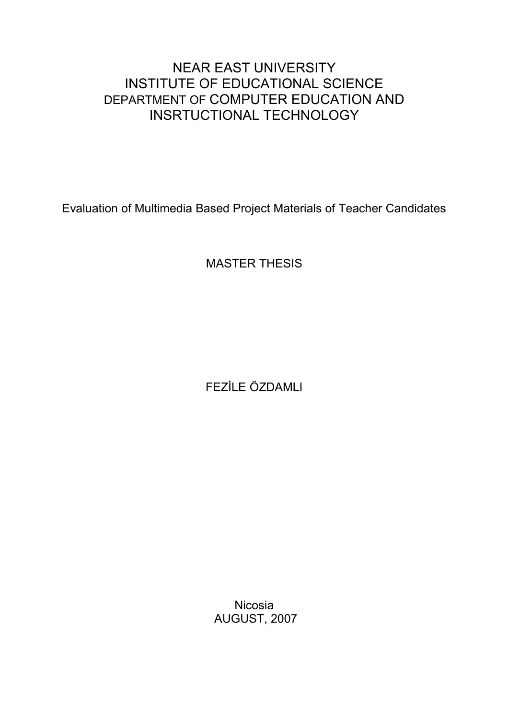# NEAR EAST UNIVERSITY INSTITUTE OF EDUCATIONAL SCIENCE DEPARTMENT OF COMPUTER EDUCATION AND INSRTUCTIONAL TECHNOLOGY

Evaluation of Multimedia Based Project Materials of Teacher Candidates

MASTER THESIS

FEZİLE ÖZDAMLI

Nicosia AUGUST, 2007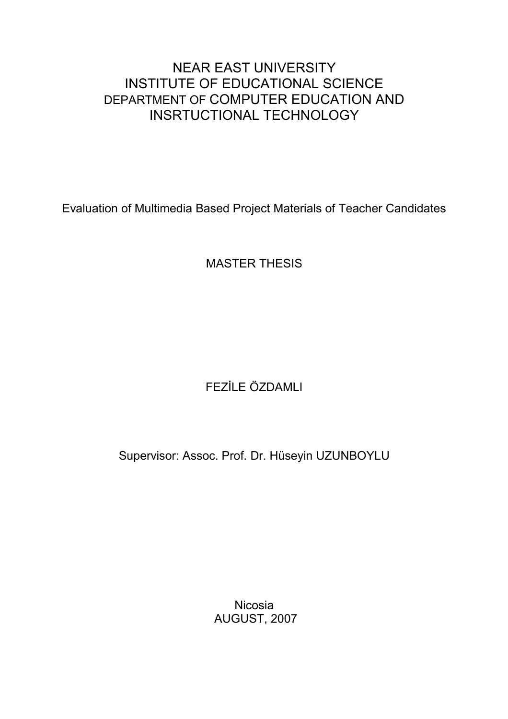# NEAR EAST UNIVERSITY INSTITUTE OF EDUCATIONAL SCIENCE DEPARTMENT OF COMPUTER EDUCATION AND INSRTUCTIONAL TECHNOLOGY

Evaluation of Multimedia Based Project Materials of Teacher Candidates

MASTER THESIS

# FEZİLE ÖZDAMLI

Supervisor: Assoc. Prof. Dr. Hüseyin UZUNBOYLU

Nicosia AUGUST, 2007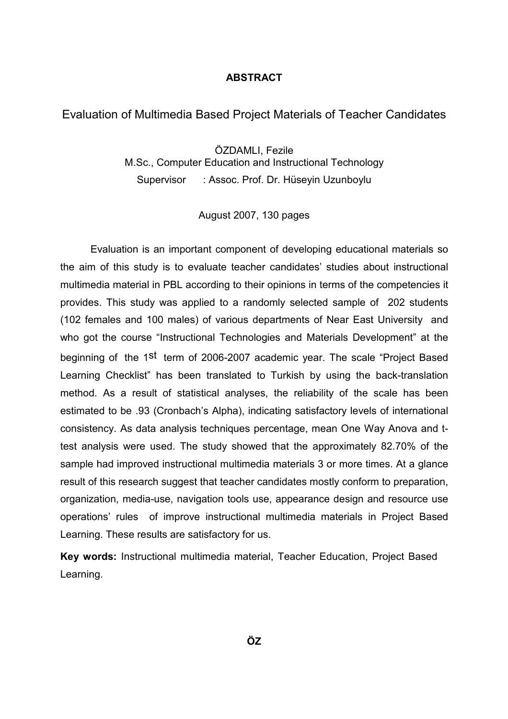#### ABSTRACT

### Evaluation of Multimedia Based Project Materials of Teacher Candidates

ÖZDAMLI, Fezile M.Sc., Computer Education and Instructional Technology Supervisor : Assoc. Prof. Dr. Hüseyin Uzunboylu

August 2007, 130 pages

 Evaluation is an important component of developing educational materials so the aim of this study is to evaluate teacher candidates' studies about instructional multimedia material in PBL according to their opinions in terms of the competencies it provides. This study was applied to a randomly selected sample of 202 students (102 females and 100 males) of various departments of Near East University and who got the course "Instructional Technologies and Materials Development" at the beginning of the 1<sup>st</sup> term of 2006-2007 academic year. The scale "Project Based Learning Checklist" has been translated to Turkish by using the back-translation method. As a result of statistical analyses, the reliability of the scale has been estimated to be .93 (Cronbach's Alpha), indicating satisfactory levels of international consistency. As data analysis techniques percentage, mean One Way Anova and ttest analysis were used. The study showed that the approximately 82.70% of the sample had improved instructional multimedia materials 3 or more times. At a glance result of this research suggest that teacher candidates mostly conform to preparation, organization, media-use, navigation tools use, appearance design and resource use operations' rules of improve instructional multimedia materials in Project Based Learning. These results are satisfactory for us.

Key words: Instructional multimedia material, Teacher Education, Project Based Learning.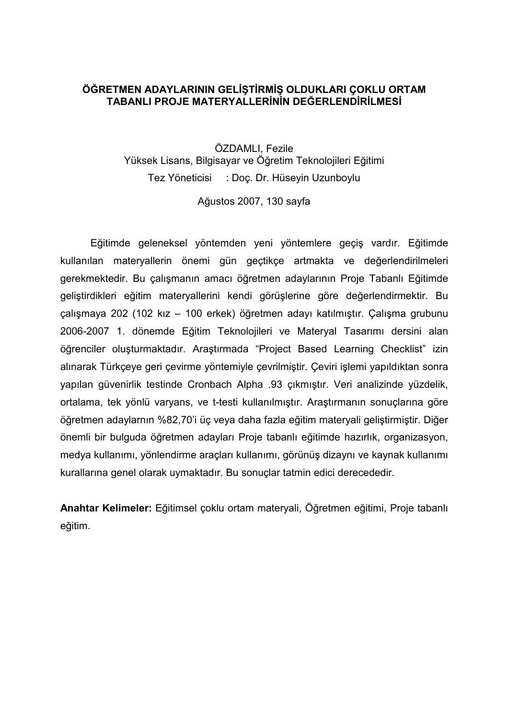#### ÖĞRETMEN ADAYLARININ GELİŞTİRMİŞ OLDUKLARI ÇOKLU ORTAM TABANLI PROJE MATERYALLERİNİN DEĞERLENDIRILMESİ

ÖZDAMLI, Fezile Yüksek Lisans, Bilgisayar ve Öğretim Teknolojileri Eğitimi Tez Yöneticisi : Doç. Dr. Hüseyin Uzunboylu

Ağustos 2007, 130 sayfa

 Eğitimde geleneksel yöntemden yeni yöntemlere geçiş vardır. Eğitimde kullanılan materyallerin önemi gün geçtikçe artmakta ve değerlendirilmeleri gerekmektedir. Bu çalışmanın amacı öğretmen adaylarının Proje Tabanlı Eğitimde geliştirdikleri eğitim materyallerini kendi görüşlerine göre değerlendirmektir. Bu çalışmaya 202 (102 kız – 100 erkek) öğretmen adayı katılmıştır. Çalışma grubunu 2006-2007 1. dönemde Eğitim Teknolojileri ve Materyal Tasarımı dersini alan öğrenciler oluşturmaktadır. Araştırmada "Project Based Learning Checklist" izin alınarak Türkçeye geri çevirme yöntemiyle çevrilmiştir. Çeviri işlemi yapıldıktan sonra yapılan güvenirlik testinde Cronbach Alpha .93 çıkmıştır. Veri analizinde yüzdelik, ortalama, tek yönlü varyans, ve t-testi kullanılmıştır. Araştırmanın sonuçlarına göre öğretmen adaylarnın %82,70'i üç veya daha fazla eğitim materyali geliştirmiştir. Diğer önemli bir bulguda öğretmen adayları Proje tabanlı eğitimde hazırlık, organizasyon, medya kullanımı, yönlendirme araçları kullanımı, görünüş dizaynı ve kaynak kullanımı kurallarına genel olarak uymaktadır. Bu sonuçlar tatmin edici derecededir.

Anahtar Kelimeler: Eğitimsel çoklu ortam materyali, Öğretmen eğitimi, Proje tabanlı eğitim.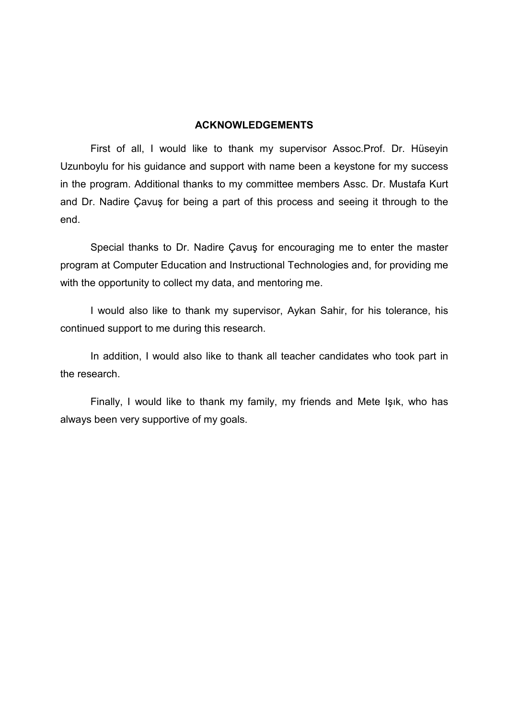#### ACKNOWLEDGEMENTS

 First of all, I would like to thank my supervisor Assoc.Prof. Dr. Hüseyin Uzunboylu for his guidance and support with name been a keystone for my success in the program. Additional thanks to my committee members Assc. Dr. Mustafa Kurt and Dr. Nadire Çavuş for being a part of this process and seeing it through to the end.

 Special thanks to Dr. Nadire Çavuş for encouraging me to enter the master program at Computer Education and Instructional Technologies and, for providing me with the opportunity to collect my data, and mentoring me.

 I would also like to thank my supervisor, Aykan Sahir, for his tolerance, his continued support to me during this research.

In addition, I would also like to thank all teacher candidates who took part in the research.

 Finally, I would like to thank my family, my friends and Mete Işık, who has always been very supportive of my goals.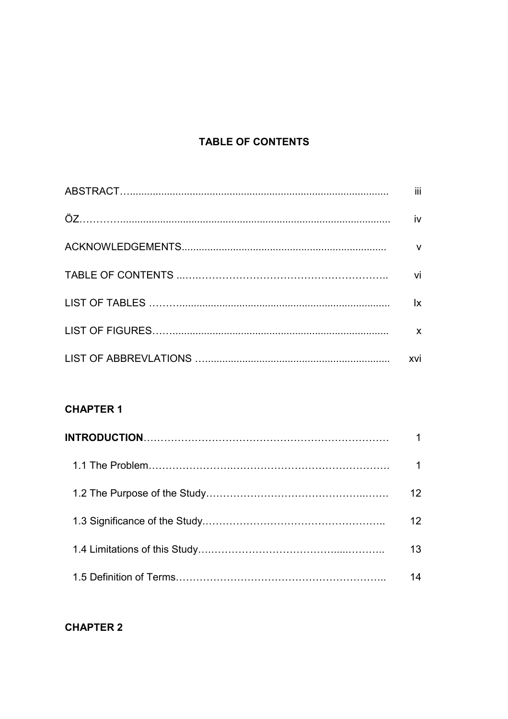# **TABLE OF CONTENTS**

| iii         |
|-------------|
| iv          |
| $\mathbf v$ |
| vi          |
| lx.         |
| X           |
| xvi         |

## **CHAPTER 1**

| 12. |
|-----|
| 12  |
| 13  |
|     |

## **CHAPTER 2**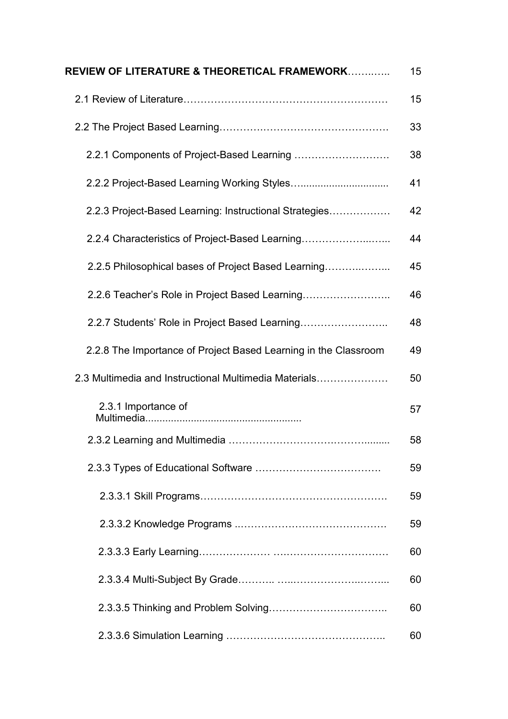| REVIEW OF LITERATURE & THEORETICAL FRAMEWORK                    | 15 |
|-----------------------------------------------------------------|----|
|                                                                 | 15 |
|                                                                 | 33 |
|                                                                 | 38 |
|                                                                 | 41 |
| 2.2.3 Project-Based Learning: Instructional Strategies          | 42 |
| 2.2.4 Characteristics of Project-Based Learning                 | 44 |
| 2.2.5 Philosophical bases of Project Based Learning             | 45 |
|                                                                 | 46 |
| 2.2.7 Students' Role in Project Based Learning                  | 48 |
| 2.2.8 The Importance of Project Based Learning in the Classroom | 49 |
| 2.3 Multimedia and Instructional Multimedia Materials           | 50 |
| 2.3.1 Importance of                                             | 57 |
|                                                                 | 58 |
|                                                                 | 59 |
|                                                                 | 59 |
|                                                                 | 59 |
|                                                                 | 60 |
|                                                                 | 60 |
|                                                                 | 60 |
|                                                                 | 60 |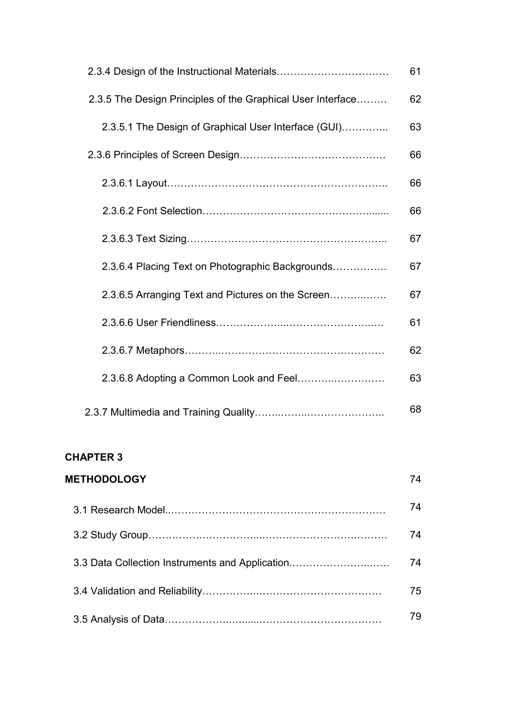|                                                             | 61 |
|-------------------------------------------------------------|----|
| 2.3.5 The Design Principles of the Graphical User Interface | 62 |
| 2.3.5.1 The Design of Graphical User Interface (GUI)        | 63 |
|                                                             | 66 |
|                                                             | 66 |
|                                                             | 66 |
|                                                             | 67 |
| 2.3.6.4 Placing Text on Photographic Backgrounds            | 67 |
| 2.3.6.5 Arranging Text and Pictures on the Screen           | 67 |
|                                                             | 61 |
|                                                             | 62 |
|                                                             | 63 |
|                                                             | 68 |

| <b>METHODOLOGY</b>                              | 74 |
|-------------------------------------------------|----|
|                                                 | 74 |
|                                                 | 74 |
| 3.3 Data Collection Instruments and Application | 74 |
|                                                 | 75 |
|                                                 | 79 |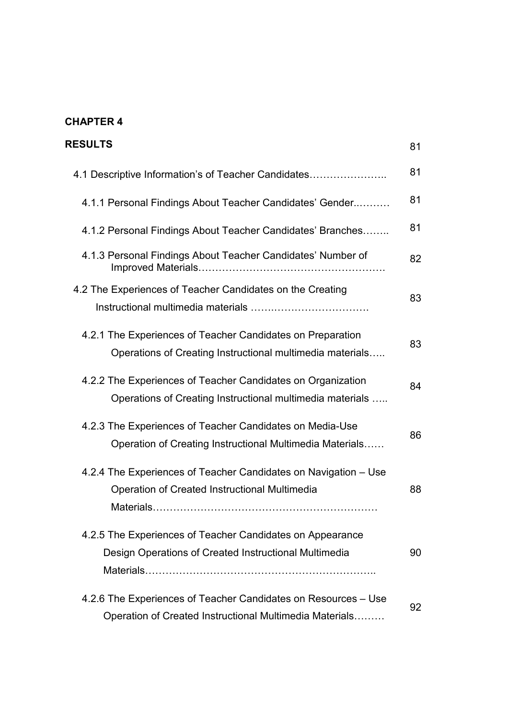| <b>RESULTS</b>                                                                                                            | 81 |
|---------------------------------------------------------------------------------------------------------------------------|----|
| 4.1 Descriptive Information's of Teacher Candidates                                                                       | 81 |
| 4.1.1 Personal Findings About Teacher Candidates' Gender                                                                  | 81 |
| 4.1.2 Personal Findings About Teacher Candidates' Branches                                                                | 81 |
| 4.1.3 Personal Findings About Teacher Candidates' Number of                                                               | 82 |
| 4.2 The Experiences of Teacher Candidates on the Creating                                                                 | 83 |
| 4.2.1 The Experiences of Teacher Candidates on Preparation<br>Operations of Creating Instructional multimedia materials   | 83 |
| 4.2.2 The Experiences of Teacher Candidates on Organization<br>Operations of Creating Instructional multimedia materials  | 84 |
| 4.2.3 The Experiences of Teacher Candidates on Media-Use<br>Operation of Creating Instructional Multimedia Materials      | 86 |
| 4.2.4 The Experiences of Teacher Candidates on Navigation – Use<br>Operation of Created Instructional Multimedia          | 88 |
| 4.2.5 The Experiences of Teacher Candidates on Appearance<br>Design Operations of Created Instructional Multimedia        | 90 |
| 4.2.6 The Experiences of Teacher Candidates on Resources - Use<br>Operation of Created Instructional Multimedia Materials | 92 |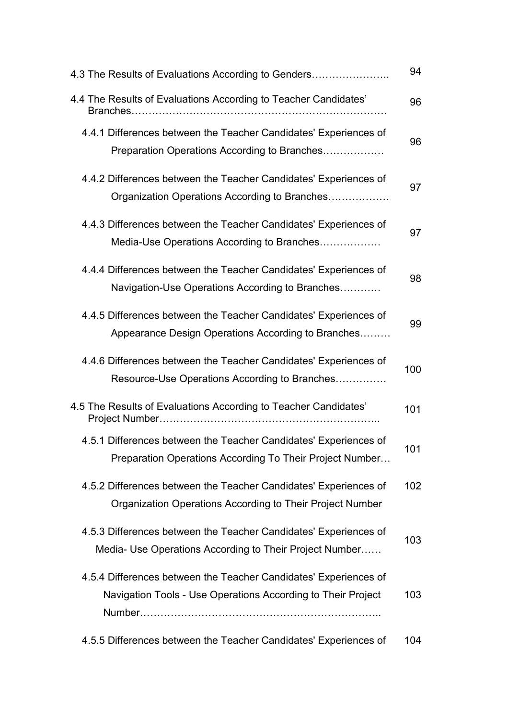| 4.3 The Results of Evaluations According to Genders                                                                              | 94  |
|----------------------------------------------------------------------------------------------------------------------------------|-----|
| 4.4 The Results of Evaluations According to Teacher Candidates'                                                                  | 96  |
| 4.4.1 Differences between the Teacher Candidates' Experiences of<br>Preparation Operations According to Branches                 | 96  |
| 4.4.2 Differences between the Teacher Candidates' Experiences of<br>Organization Operations According to Branches                | 97  |
| 4.4.3 Differences between the Teacher Candidates' Experiences of<br>Media-Use Operations According to Branches                   | 97  |
| 4.4.4 Differences between the Teacher Candidates' Experiences of<br>Navigation-Use Operations According to Branches              | 98  |
| 4.4.5 Differences between the Teacher Candidates' Experiences of<br>Appearance Design Operations According to Branches           | 99  |
| 4.4.6 Differences between the Teacher Candidates' Experiences of<br>Resource-Use Operations According to Branches                | 100 |
| 4.5 The Results of Evaluations According to Teacher Candidates'                                                                  | 101 |
| 4.5.1 Differences between the Teacher Candidates' Experiences of<br>Preparation Operations According To Their Project Number     | 101 |
| 4.5.2 Differences between the Teacher Candidates' Experiences of<br>Organization Operations According to Their Project Number    | 102 |
| 4.5.3 Differences between the Teacher Candidates' Experiences of<br>Media- Use Operations According to Their Project Number      | 103 |
| 4.5.4 Differences between the Teacher Candidates' Experiences of<br>Navigation Tools - Use Operations According to Their Project | 103 |
| 4.5.5 Differences between the Teacher Candidates' Experiences of                                                                 | 104 |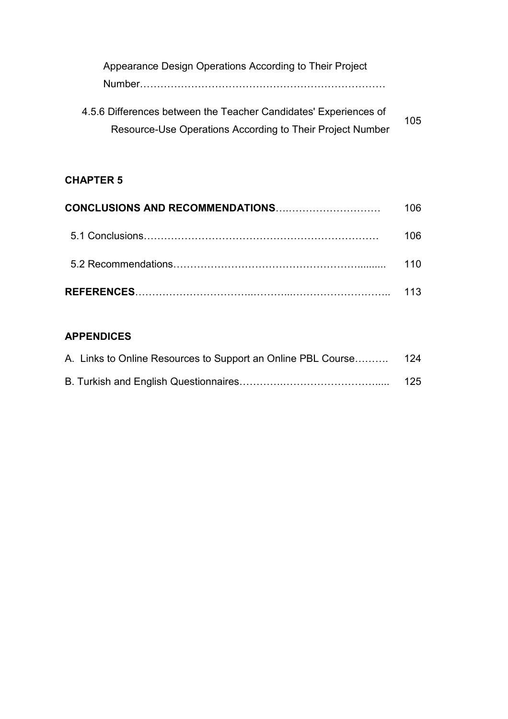| Appearance Design Operations According to Their Project          |     |
|------------------------------------------------------------------|-----|
|                                                                  |     |
| 4.5.6 Differences between the Teacher Candidates' Experiences of | 105 |
| Resource-Use Operations According to Their Project Number        |     |

| CONCLUSIONS AND RECOMMENDATIONS | กค  |
|---------------------------------|-----|
|                                 | กค  |
|                                 | 10. |
|                                 | 13. |

# APPENDICES

| A. Links to Online Resources to Support an Online PBL Course 124 |     |
|------------------------------------------------------------------|-----|
|                                                                  | 125 |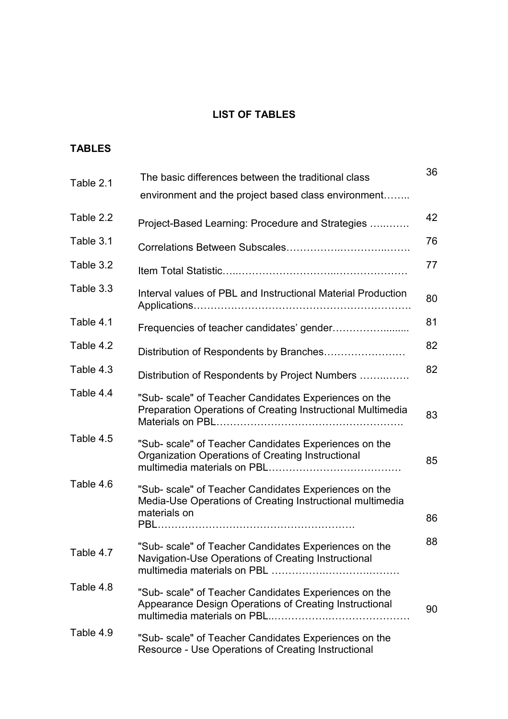# LIST OF TABLES

# TABLES

| Table 2.1 | The basic differences between the traditional class<br>environment and the project based class environment                         | 36 |
|-----------|------------------------------------------------------------------------------------------------------------------------------------|----|
| Table 2.2 | Project-Based Learning: Procedure and Strategies                                                                                   | 42 |
| Table 3.1 |                                                                                                                                    | 76 |
| Table 3.2 |                                                                                                                                    | 77 |
| Table 3.3 | Interval values of PBL and Instructional Material Production                                                                       | 80 |
| Table 4.1 |                                                                                                                                    | 81 |
| Table 4.2 |                                                                                                                                    | 82 |
| Table 4.3 | Distribution of Respondents by Project Numbers                                                                                     | 82 |
| Table 4.4 | "Sub- scale" of Teacher Candidates Experiences on the<br>Preparation Operations of Creating Instructional Multimedia               | 83 |
| Table 4.5 | "Sub- scale" of Teacher Candidates Experiences on the<br>Organization Operations of Creating Instructional                         | 85 |
| Table 4.6 | "Sub- scale" of Teacher Candidates Experiences on the<br>Media-Use Operations of Creating Instructional multimedia<br>materials on | 86 |
| Table 4.7 | "Sub- scale" of Teacher Candidates Experiences on the<br>Navigation-Use Operations of Creating Instructional                       | 88 |
| Table 4.8 | "Sub- scale" of Teacher Candidates Experiences on the<br>Appearance Design Operations of Creating Instructional                    | 90 |
| Table 4.9 | "Sub- scale" of Teacher Candidates Experiences on the<br>Resource - Use Operations of Creating Instructional                       |    |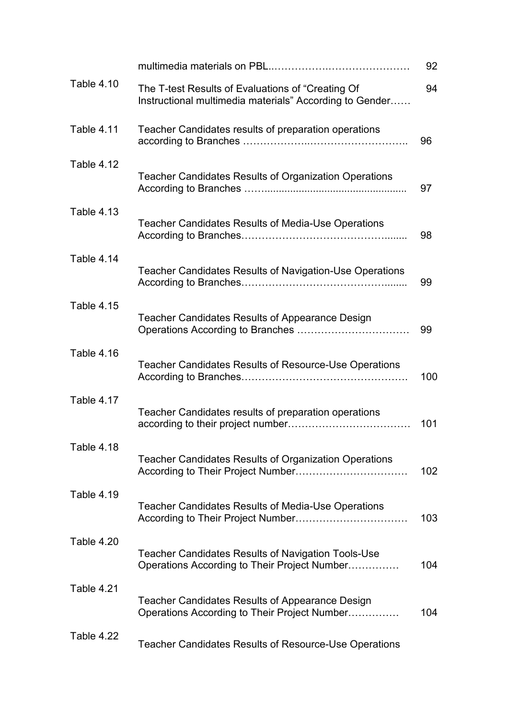|            |                                                                                                              | 92  |
|------------|--------------------------------------------------------------------------------------------------------------|-----|
| Table 4.10 | The T-test Results of Evaluations of "Creating Of<br>Instructional multimedia materials" According to Gender | 94  |
| Table 4.11 | Teacher Candidates results of preparation operations                                                         | 96  |
| Table 4.12 | <b>Teacher Candidates Results of Organization Operations</b>                                                 | 97  |
| Table 4.13 | <b>Teacher Candidates Results of Media-Use Operations</b>                                                    | 98  |
| Table 4.14 | <b>Teacher Candidates Results of Navigation-Use Operations</b>                                               | 99  |
| Table 4.15 | <b>Teacher Candidates Results of Appearance Design</b>                                                       | 99  |
| Table 4.16 | <b>Teacher Candidates Results of Resource-Use Operations</b>                                                 | 100 |
| Table 4.17 | Teacher Candidates results of preparation operations                                                         | 101 |
| Table 4.18 | <b>Teacher Candidates Results of Organization Operations</b>                                                 | 102 |
| Table 4.19 | <b>Teacher Candidates Results of Media-Use Operations</b>                                                    | 103 |
| Table 4.20 | <b>Teacher Candidates Results of Navigation Tools-Use</b><br>Operations According to Their Project Number    | 104 |
| Table 4.21 | <b>Teacher Candidates Results of Appearance Design</b><br>Operations According to Their Project Number       | 104 |
| Table 4.22 | <b>Teacher Candidates Results of Resource-Use Operations</b>                                                 |     |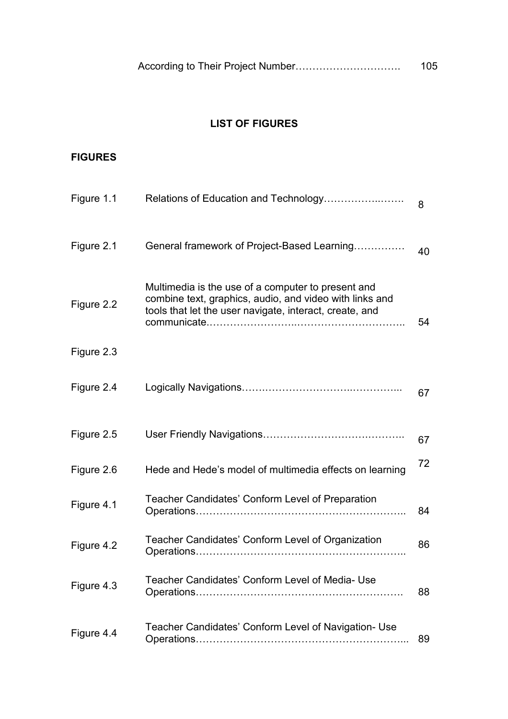|  | According to Their Project Number | 105 |
|--|-----------------------------------|-----|
|--|-----------------------------------|-----|

## LIST OF FIGURES

### FIGURES

| Figure 1.1 |                                                                                                                                                                          | 8  |
|------------|--------------------------------------------------------------------------------------------------------------------------------------------------------------------------|----|
| Figure 2.1 | General framework of Project-Based Learning                                                                                                                              | 40 |
| Figure 2.2 | Multimedia is the use of a computer to present and<br>combine text, graphics, audio, and video with links and<br>tools that let the user navigate, interact, create, and | 54 |
| Figure 2.3 |                                                                                                                                                                          |    |
| Figure 2.4 |                                                                                                                                                                          | 67 |
| Figure 2.5 |                                                                                                                                                                          | 67 |
| Figure 2.6 | Hede and Hede's model of multimedia effects on learning                                                                                                                  | 72 |
| Figure 4.1 | Teacher Candidates' Conform Level of Preparation                                                                                                                         | 84 |
| Figure 4.2 | Teacher Candidates' Conform Level of Organization                                                                                                                        | 86 |
| Figure 4.3 | Teacher Candidates' Conform Level of Media- Use                                                                                                                          | 88 |
| Figure 4.4 | Teacher Candidates' Conform Level of Navigation- Use                                                                                                                     | 89 |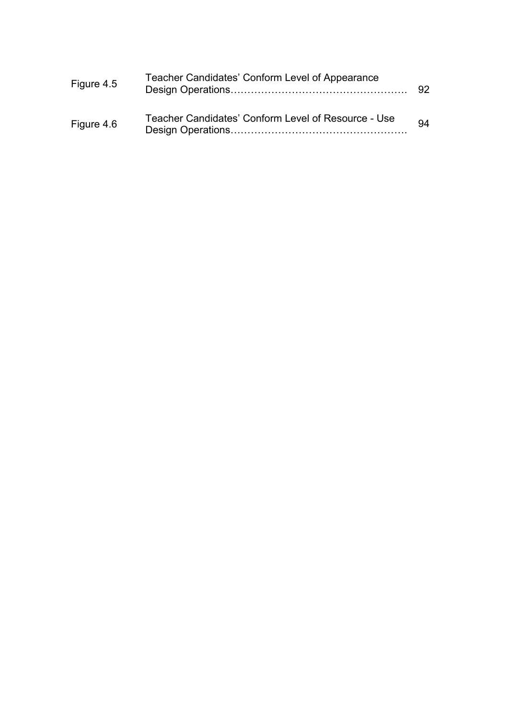| Figure 4.5 | Teacher Candidates' Conform Level of Appearance     | 92. |
|------------|-----------------------------------------------------|-----|
| Figure 4.6 | Teacher Candidates' Conform Level of Resource - Use | 94  |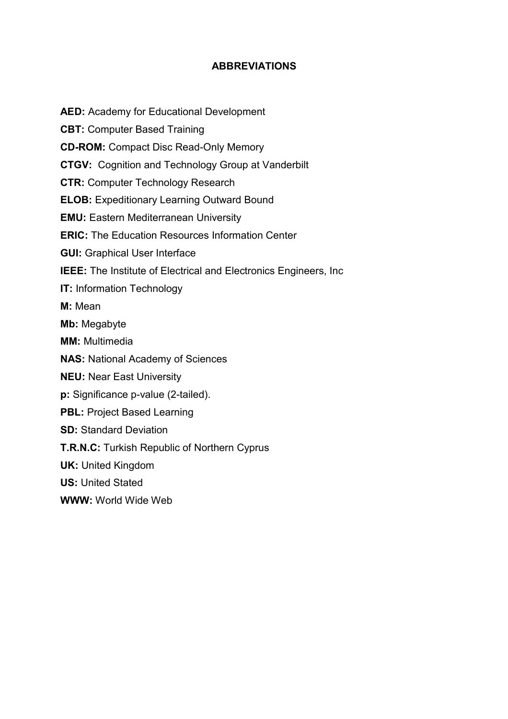### ABBREVIATIONS

AED: Academy for Educational Development CBT: Computer Based Training CD-ROM: Compact Disc Read-Only Memory CTGV: Cognition and Technology Group at Vanderbilt CTR: Computer Technology Research ELOB: Expeditionary Learning Outward Bound EMU: Eastern Mediterranean University ERIC: The Education Resources Information Center GUI: Graphical User Interface IEEE: The Institute of Electrical and Electronics Engineers, Inc IT: Information Technology M: Mean Mb: Megabyte MM: Multimedia NAS: National Academy of Sciences NEU: Near East University p: Significance p-value (2-tailed). PBL: Project Based Learning SD: Standard Deviation T.R.N.C: Turkish Republic of Northern Cyprus UK: United Kingdom US: United Stated WWW: World Wide Web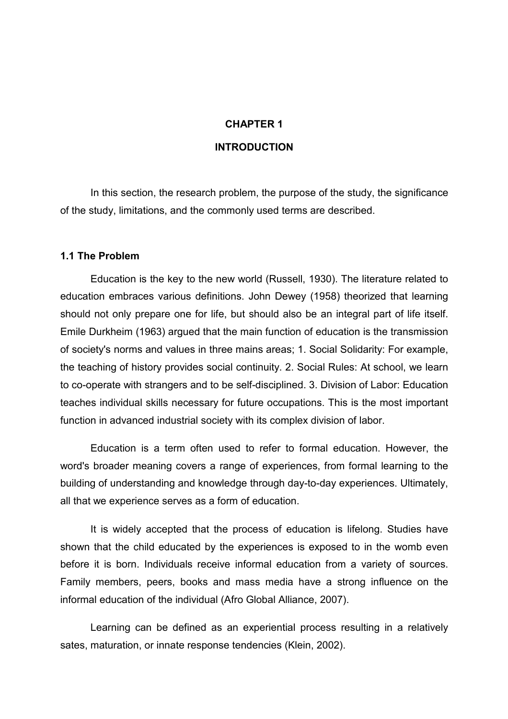# CHAPTER 1 **INTRODUCTION**

In this section, the research problem, the purpose of the study, the significance of the study, limitations, and the commonly used terms are described.

#### 1.1 The Problem

 Education is the key to the new world (Russell, 1930). The literature related to education embraces various definitions. John Dewey (1958) theorized that learning should not only prepare one for life, but should also be an integral part of life itself. Emile Durkheim (1963) argued that the main function of education is the transmission of society's norms and values in three mains areas; 1. Social Solidarity: For example, the teaching of history provides social continuity. 2. Social Rules: At school, we learn to co-operate with strangers and to be self-disciplined. 3. Division of Labor: Education teaches individual skills necessary for future occupations. This is the most important function in advanced industrial society with its complex division of labor.

 Education is a term often used to refer to formal education. However, the word's broader meaning covers a range of experiences, from formal learning to the building of understanding and knowledge through day-to-day experiences. Ultimately, all that we experience serves as a form of education.

 It is widely accepted that the process of education is lifelong. Studies have shown that the child educated by the experiences is exposed to in the womb even before it is born. Individuals receive informal education from a variety of sources. Family members, peers, books and mass media have a strong influence on the informal education of the individual (Afro Global Alliance, 2007).

 Learning can be defined as an experiential process resulting in a relatively sates, maturation, or innate response tendencies (Klein, 2002).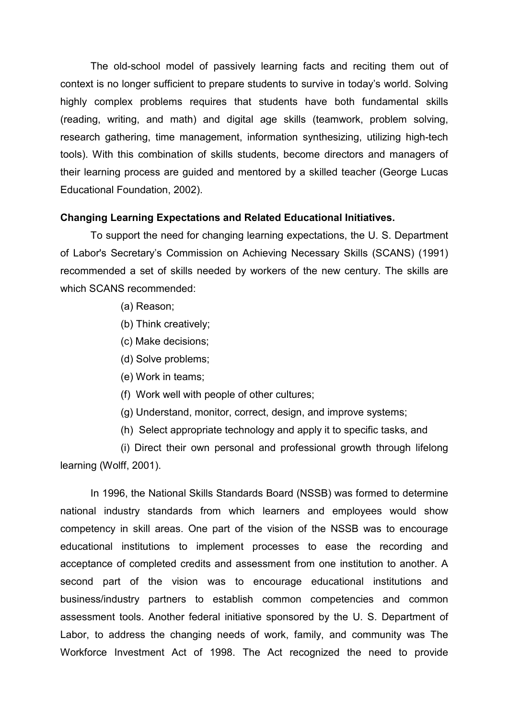The old-school model of passively learning facts and reciting them out of context is no longer sufficient to prepare students to survive in today's world. Solving highly complex problems requires that students have both fundamental skills (reading, writing, and math) and digital age skills (teamwork, problem solving, research gathering, time management, information synthesizing, utilizing high-tech tools). With this combination of skills students, become directors and managers of their learning process are guided and mentored by a skilled teacher (George Lucas Educational Foundation, 2002).

#### Changing Learning Expectations and Related Educational Initiatives.

 To support the need for changing learning expectations, the U. S. Department of Labor's Secretary's Commission on Achieving Necessary Skills (SCANS) (1991) recommended a set of skills needed by workers of the new century. The skills are which SCANS recommended:

- (a) Reason;
- (b) Think creatively;
- (c) Make decisions;
- (d) Solve problems;
- (e) Work in teams;
- (f) Work well with people of other cultures;
- (g) Understand, monitor, correct, design, and improve systems;
- (h) Select appropriate technology and apply it to specific tasks, and

 (i) Direct their own personal and professional growth through lifelong learning (Wolff, 2001).

 In 1996, the National Skills Standards Board (NSSB) was formed to determine national industry standards from which learners and employees would show competency in skill areas. One part of the vision of the NSSB was to encourage educational institutions to implement processes to ease the recording and acceptance of completed credits and assessment from one institution to another. A second part of the vision was to encourage educational institutions and business/industry partners to establish common competencies and common assessment tools. Another federal initiative sponsored by the U. S. Department of Labor, to address the changing needs of work, family, and community was The Workforce Investment Act of 1998. The Act recognized the need to provide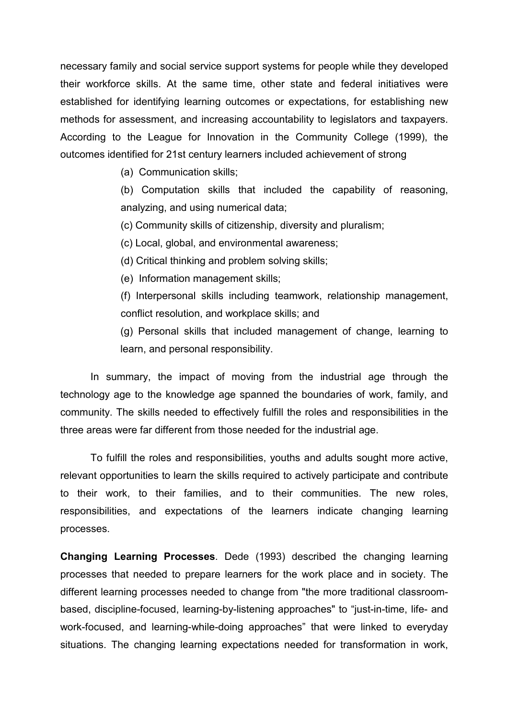necessary family and social service support systems for people while they developed their workforce skills. At the same time, other state and federal initiatives were established for identifying learning outcomes or expectations, for establishing new methods for assessment, and increasing accountability to legislators and taxpayers. According to the League for Innovation in the Community College (1999), the outcomes identified for 21st century learners included achievement of strong

(a) Communication skills;

(b) Computation skills that included the capability of reasoning, analyzing, and using numerical data;

(c) Community skills of citizenship, diversity and pluralism;

(c) Local, global, and environmental awareness;

(d) Critical thinking and problem solving skills;

(e) Information management skills;

(f) Interpersonal skills including teamwork, relationship management, conflict resolution, and workplace skills; and

(g) Personal skills that included management of change, learning to learn, and personal responsibility.

 In summary, the impact of moving from the industrial age through the technology age to the knowledge age spanned the boundaries of work, family, and community. The skills needed to effectively fulfill the roles and responsibilities in the three areas were far different from those needed for the industrial age.

 To fulfill the roles and responsibilities, youths and adults sought more active, relevant opportunities to learn the skills required to actively participate and contribute to their work, to their families, and to their communities. The new roles, responsibilities, and expectations of the learners indicate changing learning processes.

Changing Learning Processes. Dede (1993) described the changing learning processes that needed to prepare learners for the work place and in society. The different learning processes needed to change from "the more traditional classroombased, discipline-focused, learning-by-listening approaches" to "just-in-time, life- and work-focused, and learning-while-doing approaches" that were linked to everyday situations. The changing learning expectations needed for transformation in work,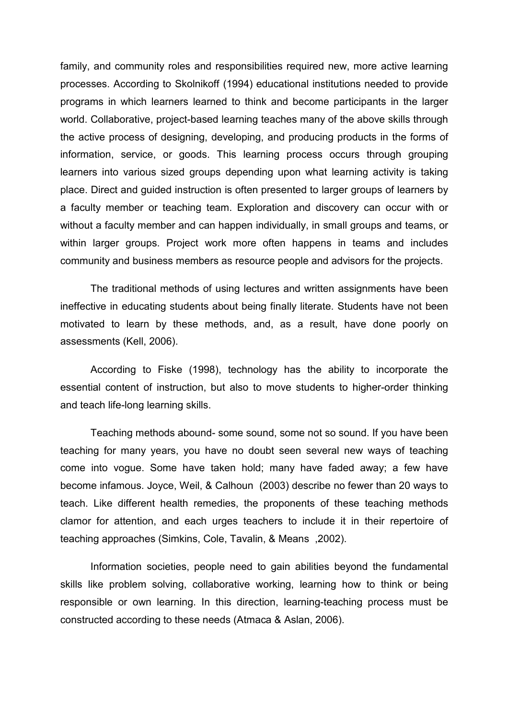family, and community roles and responsibilities required new, more active learning processes. According to Skolnikoff (1994) educational institutions needed to provide programs in which learners learned to think and become participants in the larger world. Collaborative, project-based learning teaches many of the above skills through the active process of designing, developing, and producing products in the forms of information, service, or goods. This learning process occurs through grouping learners into various sized groups depending upon what learning activity is taking place. Direct and guided instruction is often presented to larger groups of learners by a faculty member or teaching team. Exploration and discovery can occur with or without a faculty member and can happen individually, in small groups and teams, or within larger groups. Project work more often happens in teams and includes community and business members as resource people and advisors for the projects.

 The traditional methods of using lectures and written assignments have been ineffective in educating students about being finally literate. Students have not been motivated to learn by these methods, and, as a result, have done poorly on assessments (Kell, 2006).

 According to Fiske (1998), technology has the ability to incorporate the essential content of instruction, but also to move students to higher-order thinking and teach life-long learning skills.

 Teaching methods abound- some sound, some not so sound. If you have been teaching for many years, you have no doubt seen several new ways of teaching come into vogue. Some have taken hold; many have faded away; a few have become infamous. Joyce, Weil, & Calhoun (2003) describe no fewer than 20 ways to teach. Like different health remedies, the proponents of these teaching methods clamor for attention, and each urges teachers to include it in their repertoire of teaching approaches (Simkins, Cole, Tavalin, & Means ,2002).

 Information societies, people need to gain abilities beyond the fundamental skills like problem solving, collaborative working, learning how to think or being responsible or own learning. In this direction, learning-teaching process must be constructed according to these needs (Atmaca & Aslan, 2006).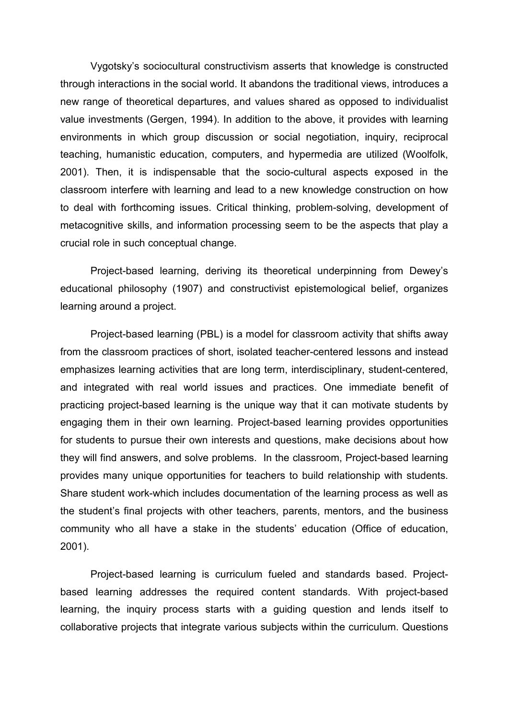Vygotsky's sociocultural constructivism asserts that knowledge is constructed through interactions in the social world. It abandons the traditional views, introduces a new range of theoretical departures, and values shared as opposed to individualist value investments (Gergen, 1994). In addition to the above, it provides with learning environments in which group discussion or social negotiation, inquiry, reciprocal teaching, humanistic education, computers, and hypermedia are utilized (Woolfolk, 2001). Then, it is indispensable that the socio-cultural aspects exposed in the classroom interfere with learning and lead to a new knowledge construction on how to deal with forthcoming issues. Critical thinking, problem-solving, development of metacognitive skills, and information processing seem to be the aspects that play a crucial role in such conceptual change.

 Project-based learning, deriving its theoretical underpinning from Dewey's educational philosophy (1907) and constructivist epistemological belief, organizes learning around a project.

 Project-based learning (PBL) is a model for classroom activity that shifts away from the classroom practices of short, isolated teacher-centered lessons and instead emphasizes learning activities that are long term, interdisciplinary, student-centered, and integrated with real world issues and practices. One immediate benefit of practicing project-based learning is the unique way that it can motivate students by engaging them in their own learning. Project-based learning provides opportunities for students to pursue their own interests and questions, make decisions about how they will find answers, and solve problems. In the classroom, Project-based learning provides many unique opportunities for teachers to build relationship with students. Share student work-which includes documentation of the learning process as well as the student's final projects with other teachers, parents, mentors, and the business community who all have a stake in the students' education (Office of education, 2001).

 Project-based learning is curriculum fueled and standards based. Projectbased learning addresses the required content standards. With project-based learning, the inquiry process starts with a guiding question and lends itself to collaborative projects that integrate various subjects within the curriculum. Questions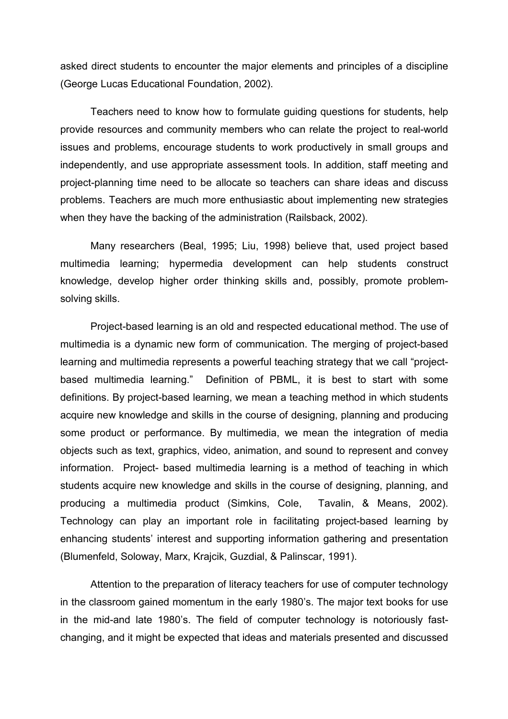asked direct students to encounter the major elements and principles of a discipline (George Lucas Educational Foundation, 2002).

 Teachers need to know how to formulate guiding questions for students, help provide resources and community members who can relate the project to real-world issues and problems, encourage students to work productively in small groups and independently, and use appropriate assessment tools. In addition, staff meeting and project-planning time need to be allocate so teachers can share ideas and discuss problems. Teachers are much more enthusiastic about implementing new strategies when they have the backing of the administration (Railsback, 2002).

 Many researchers (Beal, 1995; Liu, 1998) believe that, used project based multimedia learning; hypermedia development can help students construct knowledge, develop higher order thinking skills and, possibly, promote problemsolving skills.

 Project-based learning is an old and respected educational method. The use of multimedia is a dynamic new form of communication. The merging of project-based learning and multimedia represents a powerful teaching strategy that we call "projectbased multimedia learning." Definition of PBML, it is best to start with some definitions. By project-based learning, we mean a teaching method in which students acquire new knowledge and skills in the course of designing, planning and producing some product or performance. By multimedia, we mean the integration of media objects such as text, graphics, video, animation, and sound to represent and convey information. Project- based multimedia learning is a method of teaching in which students acquire new knowledge and skills in the course of designing, planning, and producing a multimedia product (Simkins, Cole, Tavalin, & Means, 2002). Technology can play an important role in facilitating project-based learning by enhancing students' interest and supporting information gathering and presentation (Blumenfeld, Soloway, Marx, Krajcik, Guzdial, & Palinscar, 1991).

Attention to the preparation of literacy teachers for use of computer technology in the classroom gained momentum in the early 1980's. The major text books for use in the mid-and late 1980's. The field of computer technology is notoriously fastchanging, and it might be expected that ideas and materials presented and discussed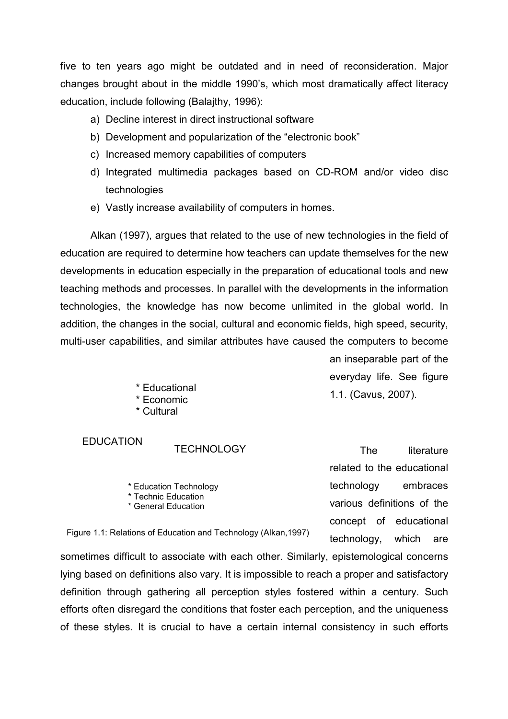five to ten years ago might be outdated and in need of reconsideration. Major changes brought about in the middle 1990's, which most dramatically affect literacy education, include following (Balajthy, 1996):

- a) Decline interest in direct instructional software
- b) Development and popularization of the "electronic book"
- c) Increased memory capabilities of computers
- d) Integrated multimedia packages based on CD-ROM and/or video disc technologies
- e) Vastly increase availability of computers in homes.

Alkan (1997), argues that related to the use of new technologies in the field of education are required to determine how teachers can update themselves for the new developments in education especially in the preparation of educational tools and new teaching methods and processes. In parallel with the developments in the information technologies, the knowledge has now become unlimited in the global world. In addition, the changes in the social, cultural and economic fields, high speed, security, multi-user capabilities, and similar attributes have caused the computers to become

an inseparable part of the everyday life. See figure 1.1. (Cavus, 2007).

\* Educational \* Economic

\* Cultural

### EDUCATION

#### **TECHNOLOGY**

\* Education Technology \* Technic Education \* General Education

The literature related to the educational technology embraces various definitions of the concept of educational technology, which are

Figure 1.1: Relations of Education and Technology (Alkan,1997)

sometimes difficult to associate with each other. Similarly, epistemological concerns lying based on definitions also vary. It is impossible to reach a proper and satisfactory definition through gathering all perception styles fostered within a century. Such efforts often disregard the conditions that foster each perception, and the uniqueness of these styles. It is crucial to have a certain internal consistency in such efforts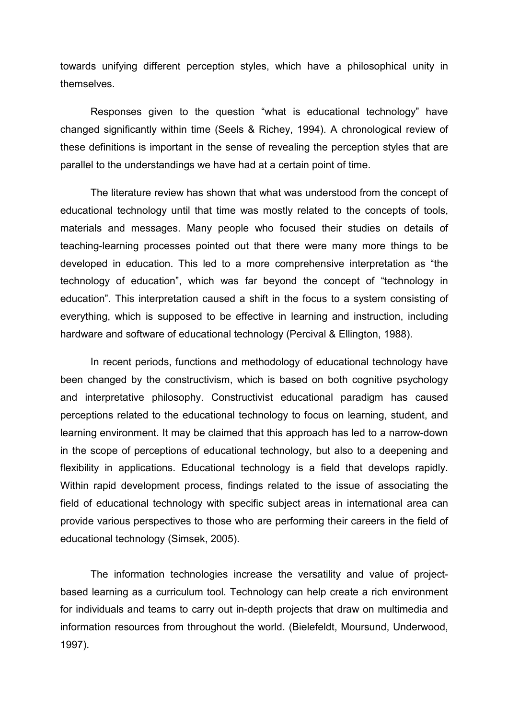towards unifying different perception styles, which have a philosophical unity in themselves.

Responses given to the question "what is educational technology" have changed significantly within time (Seels & Richey, 1994). A chronological review of these definitions is important in the sense of revealing the perception styles that are parallel to the understandings we have had at a certain point of time.

The literature review has shown that what was understood from the concept of educational technology until that time was mostly related to the concepts of tools, materials and messages. Many people who focused their studies on details of teaching-learning processes pointed out that there were many more things to be developed in education. This led to a more comprehensive interpretation as "the technology of education", which was far beyond the concept of "technology in education". This interpretation caused a shift in the focus to a system consisting of everything, which is supposed to be effective in learning and instruction, including hardware and software of educational technology (Percival & Ellington, 1988).

In recent periods, functions and methodology of educational technology have been changed by the constructivism, which is based on both cognitive psychology and interpretative philosophy. Constructivist educational paradigm has caused perceptions related to the educational technology to focus on learning, student, and learning environment. It may be claimed that this approach has led to a narrow-down in the scope of perceptions of educational technology, but also to a deepening and flexibility in applications. Educational technology is a field that develops rapidly. Within rapid development process, findings related to the issue of associating the field of educational technology with specific subject areas in international area can provide various perspectives to those who are performing their careers in the field of educational technology (Simsek, 2005).

 The information technologies increase the versatility and value of projectbased learning as a curriculum tool. Technology can help create a rich environment for individuals and teams to carry out in-depth projects that draw on multimedia and information resources from throughout the world. (Bielefeldt, Moursund, Underwood, 1997).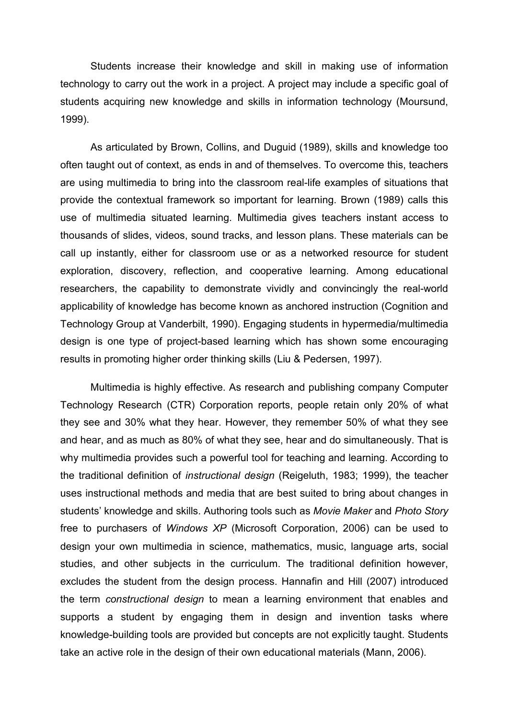Students increase their knowledge and skill in making use of information technology to carry out the work in a project. A project may include a specific goal of students acquiring new knowledge and skills in information technology (Moursund, 1999).

 As articulated by Brown, Collins, and Duguid (1989), skills and knowledge too often taught out of context, as ends in and of themselves. To overcome this, teachers are using multimedia to bring into the classroom real-life examples of situations that provide the contextual framework so important for learning. Brown (1989) calls this use of multimedia situated learning. Multimedia gives teachers instant access to thousands of slides, videos, sound tracks, and lesson plans. These materials can be call up instantly, either for classroom use or as a networked resource for student exploration, discovery, reflection, and cooperative learning. Among educational researchers, the capability to demonstrate vividly and convincingly the real-world applicability of knowledge has become known as anchored instruction (Cognition and Technology Group at Vanderbilt, 1990). Engaging students in hypermedia/multimedia design is one type of project-based learning which has shown some encouraging results in promoting higher order thinking skills (Liu & Pedersen, 1997).

 Multimedia is highly effective. As research and publishing company Computer Technology Research (CTR) Corporation reports, people retain only 20% of what they see and 30% what they hear. However, they remember 50% of what they see and hear, and as much as 80% of what they see, hear and do simultaneously. That is why multimedia provides such a powerful tool for teaching and learning. According to the traditional definition of instructional design (Reigeluth, 1983; 1999), the teacher uses instructional methods and media that are best suited to bring about changes in students' knowledge and skills. Authoring tools such as Movie Maker and Photo Story free to purchasers of Windows XP (Microsoft Corporation, 2006) can be used to design your own multimedia in science, mathematics, music, language arts, social studies, and other subjects in the curriculum. The traditional definition however, excludes the student from the design process. Hannafin and Hill (2007) introduced the term constructional design to mean a learning environment that enables and supports a student by engaging them in design and invention tasks where knowledge-building tools are provided but concepts are not explicitly taught. Students take an active role in the design of their own educational materials (Mann, 2006).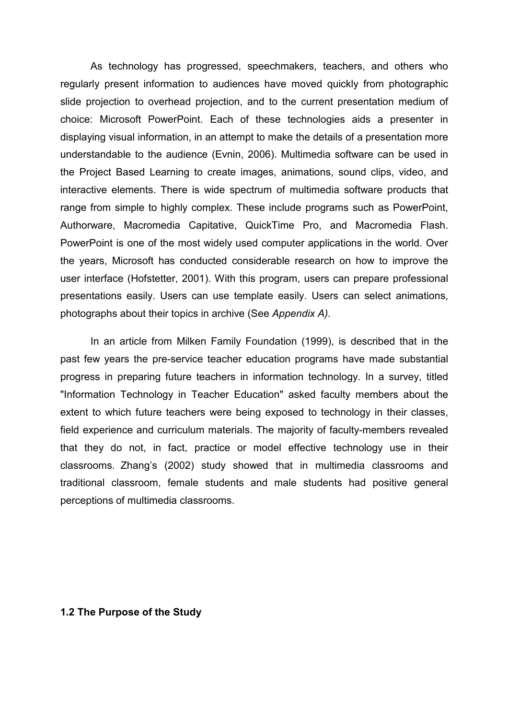As technology has progressed, speechmakers, teachers, and others who regularly present information to audiences have moved quickly from photographic slide projection to overhead projection, and to the current presentation medium of choice: Microsoft PowerPoint. Each of these technologies aids a presenter in displaying visual information, in an attempt to make the details of a presentation more understandable to the audience (Evnin, 2006). Multimedia software can be used in the Project Based Learning to create images, animations, sound clips, video, and interactive elements. There is wide spectrum of multimedia software products that range from simple to highly complex. These include programs such as PowerPoint, Authorware, Macromedia Capitative, QuickTime Pro, and Macromedia Flash. PowerPoint is one of the most widely used computer applications in the world. Over the years, Microsoft has conducted considerable research on how to improve the user interface (Hofstetter, 2001). With this program, users can prepare professional presentations easily. Users can use template easily. Users can select animations, photographs about their topics in archive (See Appendix A).

 In an article from Milken Family Foundation (1999), is described that in the past few years the pre-service teacher education programs have made substantial progress in preparing future teachers in information technology. In a survey, titled "Information Technology in Teacher Education" asked faculty members about the extent to which future teachers were being exposed to technology in their classes, field experience and curriculum materials. The majority of faculty-members revealed that they do not, in fact, practice or model effective technology use in their classrooms. Zhang's (2002) study showed that in multimedia classrooms and traditional classroom, female students and male students had positive general perceptions of multimedia classrooms.

#### 1.2 The Purpose of the Study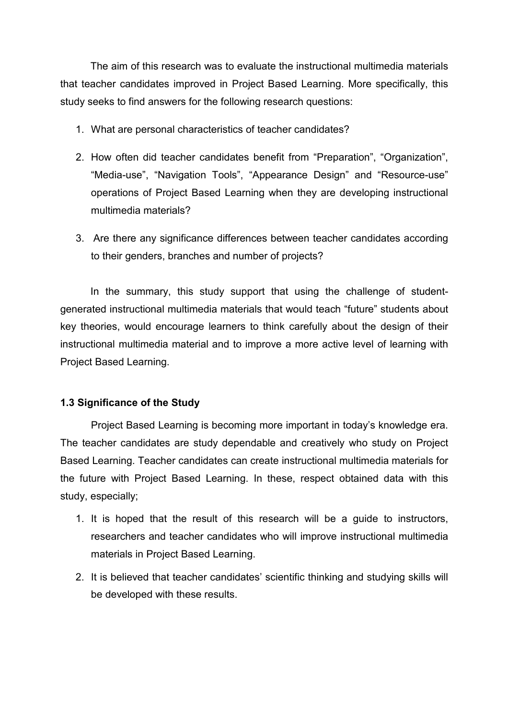The aim of this research was to evaluate the instructional multimedia materials that teacher candidates improved in Project Based Learning. More specifically, this study seeks to find answers for the following research questions:

- 1. What are personal characteristics of teacher candidates?
- 2. How often did teacher candidates benefit from "Preparation", "Organization", "Media-use", "Navigation Tools", "Appearance Design" and "Resource-use" operations of Project Based Learning when they are developing instructional multimedia materials?
- 3. Are there any significance differences between teacher candidates according to their genders, branches and number of projects?

 In the summary, this study support that using the challenge of studentgenerated instructional multimedia materials that would teach "future" students about key theories, would encourage learners to think carefully about the design of their instructional multimedia material and to improve a more active level of learning with Project Based Learning.

### 1.3 Significance of the Study

Project Based Learning is becoming more important in today's knowledge era. The teacher candidates are study dependable and creatively who study on Project Based Learning. Teacher candidates can create instructional multimedia materials for the future with Project Based Learning. In these, respect obtained data with this study, especially;

- 1. It is hoped that the result of this research will be a guide to instructors, researchers and teacher candidates who will improve instructional multimedia materials in Project Based Learning.
- 2. It is believed that teacher candidates' scientific thinking and studying skills will be developed with these results.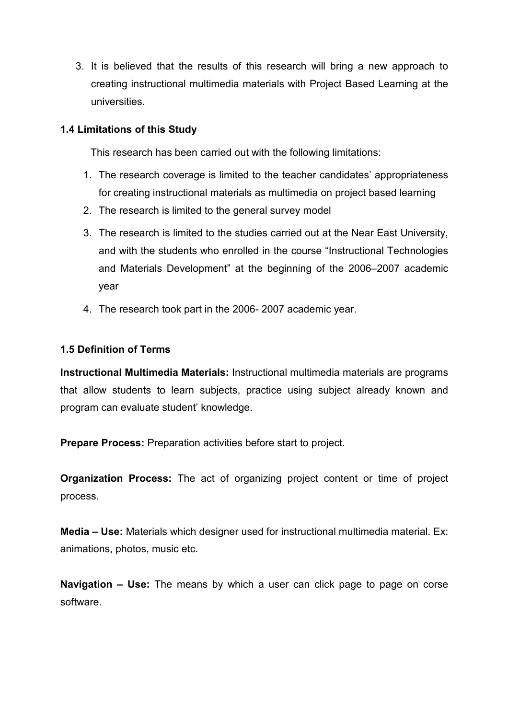3. It is believed that the results of this research will bring a new approach to creating instructional multimedia materials with Project Based Learning at the universities.

### 1.4 Limitations of this Study

This research has been carried out with the following limitations:

- 1. The research coverage is limited to the teacher candidates' appropriateness for creating instructional materials as multimedia on project based learning
- 2. The research is limited to the general survey model
- 3. The research is limited to the studies carried out at the Near East University, and with the students who enrolled in the course "Instructional Technologies and Materials Development" at the beginning of the 2006–2007 academic year
- 4. The research took part in the 2006- 2007 academic year.

#### 1.5 Definition of Terms

Instructional Multimedia Materials: Instructional multimedia materials are programs that allow students to learn subjects, practice using subject already known and program can evaluate student' knowledge.

Prepare Process: Preparation activities before start to project.

Organization Process: The act of organizing project content or time of project process.

Media – Use: Materials which designer used for instructional multimedia material. Ex: animations, photos, music etc.

Navigation – Use: The means by which a user can click page to page on corse software.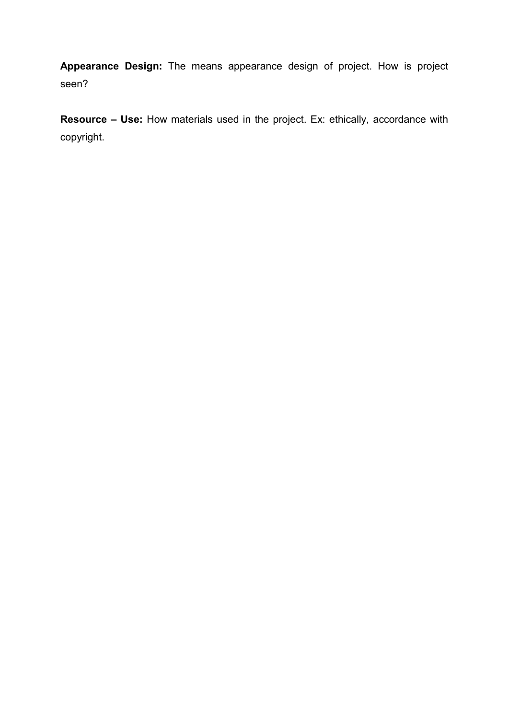Appearance Design: The means appearance design of project. How is project seen?

Resource - Use: How materials used in the project. Ex: ethically, accordance with copyright.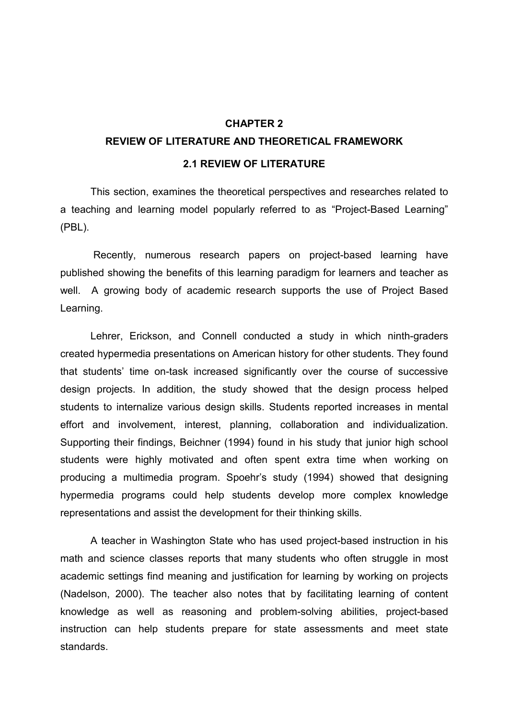#### REVIEW OF LITERATURE AND THEORETICAL FRAMEWORK

#### 2.1 REVIEW OF LITERATURE

 This section, examines the theoretical perspectives and researches related to a teaching and learning model popularly referred to as "Project-Based Learning" (PBL).

 Recently, numerous research papers on project-based learning have published showing the benefits of this learning paradigm for learners and teacher as well. A growing body of academic research supports the use of Project Based Learning.

 Lehrer, Erickson, and Connell conducted a study in which ninth-graders created hypermedia presentations on American history for other students. They found that students' time on-task increased significantly over the course of successive design projects. In addition, the study showed that the design process helped students to internalize various design skills. Students reported increases in mental effort and involvement, interest, planning, collaboration and individualization. Supporting their findings, Beichner (1994) found in his study that junior high school students were highly motivated and often spent extra time when working on producing a multimedia program. Spoehr's study (1994) showed that designing hypermedia programs could help students develop more complex knowledge representations and assist the development for their thinking skills.

 A teacher in Washington State who has used project-based instruction in his math and science classes reports that many students who often struggle in most academic settings find meaning and justification for learning by working on projects (Nadelson, 2000). The teacher also notes that by facilitating learning of content knowledge as well as reasoning and problem-solving abilities, project-based instruction can help students prepare for state assessments and meet state standards.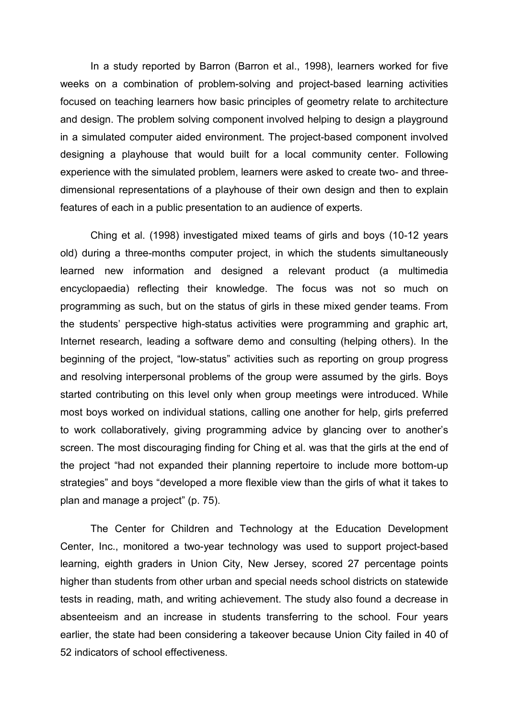In a study reported by Barron (Barron et al., 1998), learners worked for five weeks on a combination of problem-solving and project-based learning activities focused on teaching learners how basic principles of geometry relate to architecture and design. The problem solving component involved helping to design a playground in a simulated computer aided environment. The project-based component involved designing a playhouse that would built for a local community center. Following experience with the simulated problem, learners were asked to create two- and threedimensional representations of a playhouse of their own design and then to explain features of each in a public presentation to an audience of experts.

 Ching et al. (1998) investigated mixed teams of girls and boys (10-12 years old) during a three-months computer project, in which the students simultaneously learned new information and designed a relevant product (a multimedia encyclopaedia) reflecting their knowledge. The focus was not so much on programming as such, but on the status of girls in these mixed gender teams. From the students' perspective high-status activities were programming and graphic art, Internet research, leading a software demo and consulting (helping others). In the beginning of the project, "low-status" activities such as reporting on group progress and resolving interpersonal problems of the group were assumed by the girls. Boys started contributing on this level only when group meetings were introduced. While most boys worked on individual stations, calling one another for help, girls preferred to work collaboratively, giving programming advice by glancing over to another's screen. The most discouraging finding for Ching et al. was that the girls at the end of the project "had not expanded their planning repertoire to include more bottom-up strategies" and boys "developed a more flexible view than the girls of what it takes to plan and manage a project" (p. 75).

 The Center for Children and Technology at the Education Development Center, Inc., monitored a two-year technology was used to support project-based learning, eighth graders in Union City, New Jersey, scored 27 percentage points higher than students from other urban and special needs school districts on statewide tests in reading, math, and writing achievement. The study also found a decrease in absenteeism and an increase in students transferring to the school. Four years earlier, the state had been considering a takeover because Union City failed in 40 of 52 indicators of school effectiveness.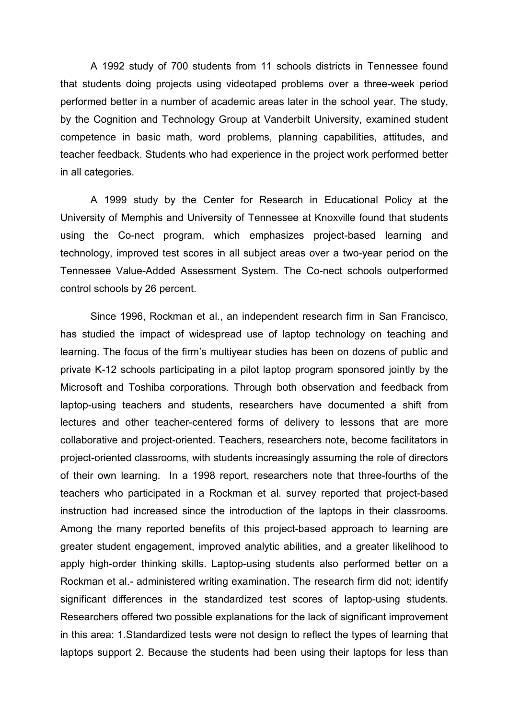A 1992 study of 700 students from 11 schools districts in Tennessee found that students doing projects using videotaped problems over a three-week period performed better in a number of academic areas later in the school year. The study, by the Cognition and Technology Group at Vanderbilt University, examined student competence in basic math, word problems, planning capabilities, attitudes, and teacher feedback. Students who had experience in the project work performed better in all categories.

 A 1999 study by the Center for Research in Educational Policy at the University of Memphis and University of Tennessee at Knoxville found that students using the Co-nect program, which emphasizes project-based learning and technology, improved test scores in all subject areas over a two-year period on the Tennessee Value-Added Assessment System. The Co-nect schools outperformed control schools by 26 percent.

 Since 1996, Rockman et al., an independent research firm in San Francisco, has studied the impact of widespread use of laptop technology on teaching and learning. The focus of the firm's multiyear studies has been on dozens of public and private K-12 schools participating in a pilot laptop program sponsored jointly by the Microsoft and Toshiba corporations. Through both observation and feedback from laptop-using teachers and students, researchers have documented a shift from lectures and other teacher-centered forms of delivery to lessons that are more collaborative and project-oriented. Teachers, researchers note, become facilitators in project-oriented classrooms, with students increasingly assuming the role of directors of their own learning. In a 1998 report, researchers note that three-fourths of the teachers who participated in a Rockman et al. survey reported that project-based instruction had increased since the introduction of the laptops in their classrooms. Among the many reported benefits of this project-based approach to learning are greater student engagement, improved analytic abilities, and a greater likelihood to apply high-order thinking skills. Laptop-using students also performed better on a Rockman et al.- administered writing examination. The research firm did not; identify significant differences in the standardized test scores of laptop-using students. Researchers offered two possible explanations for the lack of significant improvement in this area: 1.Standardized tests were not design to reflect the types of learning that laptops support 2. Because the students had been using their laptops for less than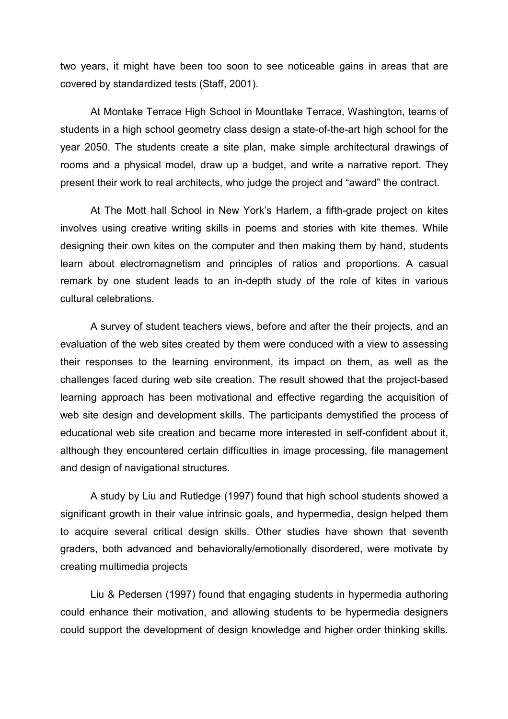two years, it might have been too soon to see noticeable gains in areas that are covered by standardized tests (Staff, 2001).

 At Montake Terrace High School in Mountlake Terrace, Washington, teams of students in a high school geometry class design a state-of-the-art high school for the year 2050. The students create a site plan, make simple architectural drawings of rooms and a physical model, draw up a budget, and write a narrative report. They present their work to real architects, who judge the project and "award" the contract.

 At The Mott hall School in New York's Harlem, a fifth-grade project on kites involves using creative writing skills in poems and stories with kite themes. While designing their own kites on the computer and then making them by hand, students learn about electromagnetism and principles of ratios and proportions. A casual remark by one student leads to an in-depth study of the role of kites in various cultural celebrations.

 A survey of student teachers views, before and after the their projects, and an evaluation of the web sites created by them were conduced with a view to assessing their responses to the learning environment, its impact on them, as well as the challenges faced during web site creation. The result showed that the project-based learning approach has been motivational and effective regarding the acquisition of web site design and development skills. The participants demystified the process of educational web site creation and became more interested in self-confident about it, although they encountered certain difficulties in image processing, file management and design of navigational structures.

 A study by Liu and Rutledge (1997) found that high school students showed a significant growth in their value intrinsic goals, and hypermedia, design helped them to acquire several critical design skills. Other studies have shown that seventh graders, both advanced and behaviorally/emotionally disordered, were motivate by creating multimedia projects

 Liu & Pedersen (1997) found that engaging students in hypermedia authoring could enhance their motivation, and allowing students to be hypermedia designers could support the development of design knowledge and higher order thinking skills.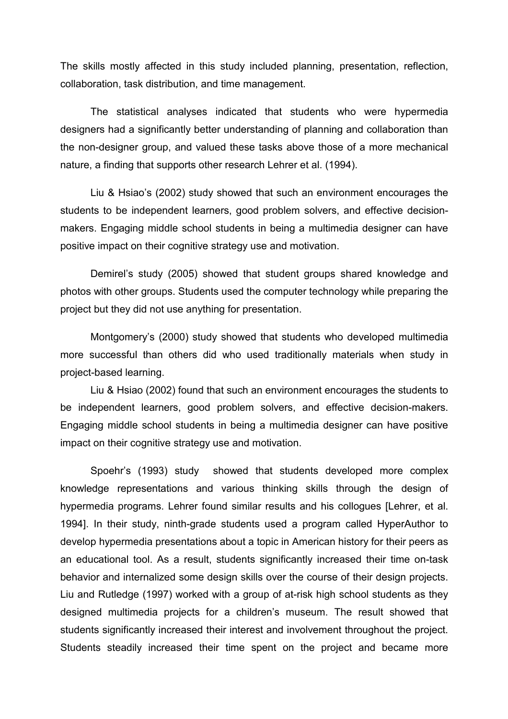The skills mostly affected in this study included planning, presentation, reflection, collaboration, task distribution, and time management.

 The statistical analyses indicated that students who were hypermedia designers had a significantly better understanding of planning and collaboration than the non-designer group, and valued these tasks above those of a more mechanical nature, a finding that supports other research Lehrer et al. (1994).

 Liu & Hsiao's (2002) study showed that such an environment encourages the students to be independent learners, good problem solvers, and effective decisionmakers. Engaging middle school students in being a multimedia designer can have positive impact on their cognitive strategy use and motivation.

 Demirel's study (2005) showed that student groups shared knowledge and photos with other groups. Students used the computer technology while preparing the project but they did not use anything for presentation.

Montgomery's (2000) study showed that students who developed multimedia more successful than others did who used traditionally materials when study in project-based learning.

 Liu & Hsiao (2002) found that such an environment encourages the students to be independent learners, good problem solvers, and effective decision-makers. Engaging middle school students in being a multimedia designer can have positive impact on their cognitive strategy use and motivation.

 Spoehr's (1993) study showed that students developed more complex knowledge representations and various thinking skills through the design of hypermedia programs. Lehrer found similar results and his collogues [Lehrer, et al. 1994]. In their study, ninth-grade students used a program called HyperAuthor to develop hypermedia presentations about a topic in American history for their peers as an educational tool. As a result, students significantly increased their time on-task behavior and internalized some design skills over the course of their design projects. Liu and Rutledge (1997) worked with a group of at-risk high school students as they designed multimedia projects for a children's museum. The result showed that students significantly increased their interest and involvement throughout the project. Students steadily increased their time spent on the project and became more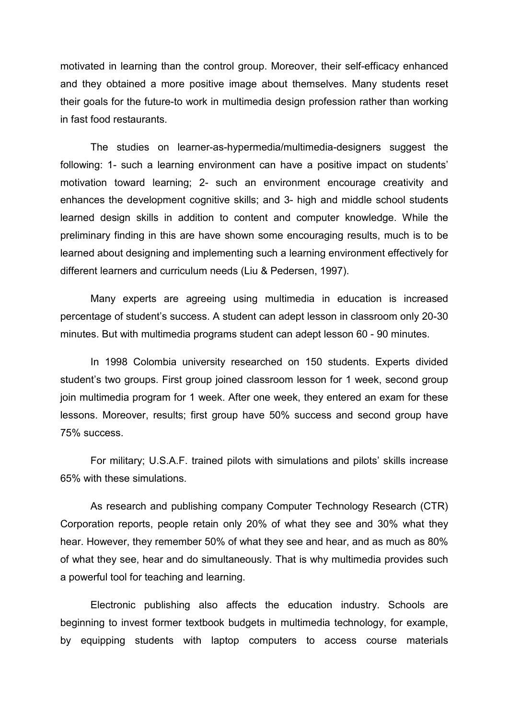motivated in learning than the control group. Moreover, their self-efficacy enhanced and they obtained a more positive image about themselves. Many students reset their goals for the future-to work in multimedia design profession rather than working in fast food restaurants.

 The studies on learner-as-hypermedia/multimedia-designers suggest the following: 1- such a learning environment can have a positive impact on students' motivation toward learning; 2- such an environment encourage creativity and enhances the development cognitive skills; and 3- high and middle school students learned design skills in addition to content and computer knowledge. While the preliminary finding in this are have shown some encouraging results, much is to be learned about designing and implementing such a learning environment effectively for different learners and curriculum needs (Liu & Pedersen, 1997).

 Many experts are agreeing using multimedia in education is increased percentage of student's success. A student can adept lesson in classroom only 20-30 minutes. But with multimedia programs student can adept lesson 60 - 90 minutes.

 In 1998 Colombia university researched on 150 students. Experts divided student's two groups. First group joined classroom lesson for 1 week, second group join multimedia program for 1 week. After one week, they entered an exam for these lessons. Moreover, results; first group have 50% success and second group have 75% success.

 For military; U.S.A.F. trained pilots with simulations and pilots' skills increase 65% with these simulations.

 As research and publishing company Computer Technology Research (CTR) Corporation reports, people retain only 20% of what they see and 30% what they hear. However, they remember 50% of what they see and hear, and as much as 80% of what they see, hear and do simultaneously. That is why multimedia provides such a powerful tool for teaching and learning.

 Electronic publishing also affects the education industry. Schools are beginning to invest former textbook budgets in multimedia technology, for example, by equipping students with laptop computers to access course materials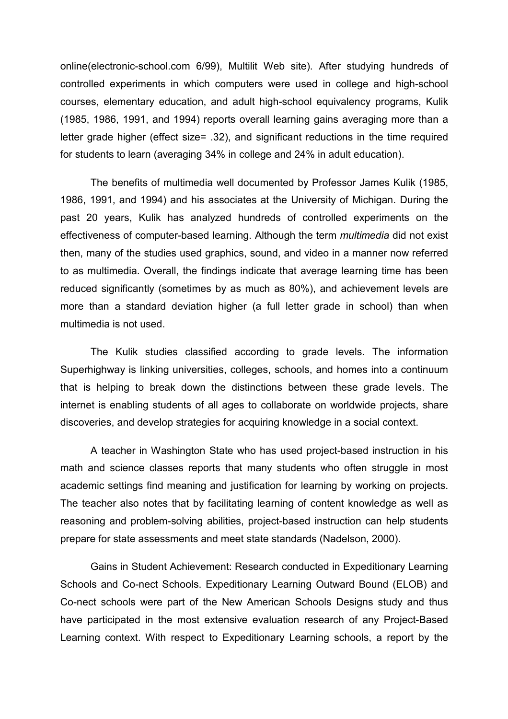online(electronic-school.com 6/99), Multilit Web site). After studying hundreds of controlled experiments in which computers were used in college and high-school courses, elementary education, and adult high-school equivalency programs, Kulik (1985, 1986, 1991, and 1994) reports overall learning gains averaging more than a letter grade higher (effect size= .32), and significant reductions in the time required for students to learn (averaging 34% in college and 24% in adult education).

 The benefits of multimedia well documented by Professor James Kulik (1985, 1986, 1991, and 1994) and his associates at the University of Michigan. During the past 20 years, Kulik has analyzed hundreds of controlled experiments on the effectiveness of computer-based learning. Although the term multimedia did not exist then, many of the studies used graphics, sound, and video in a manner now referred to as multimedia. Overall, the findings indicate that average learning time has been reduced significantly (sometimes by as much as 80%), and achievement levels are more than a standard deviation higher (a full letter grade in school) than when multimedia is not used.

 The Kulik studies classified according to grade levels. The information Superhighway is linking universities, colleges, schools, and homes into a continuum that is helping to break down the distinctions between these grade levels. The internet is enabling students of all ages to collaborate on worldwide projects, share discoveries, and develop strategies for acquiring knowledge in a social context.

 A teacher in Washington State who has used project-based instruction in his math and science classes reports that many students who often struggle in most academic settings find meaning and justification for learning by working on projects. The teacher also notes that by facilitating learning of content knowledge as well as reasoning and problem-solving abilities, project-based instruction can help students prepare for state assessments and meet state standards (Nadelson, 2000).

 Gains in Student Achievement: Research conducted in Expeditionary Learning Schools and Co-nect Schools. Expeditionary Learning Outward Bound (ELOB) and Co-nect schools were part of the New American Schools Designs study and thus have participated in the most extensive evaluation research of any Project-Based Learning context. With respect to Expeditionary Learning schools, a report by the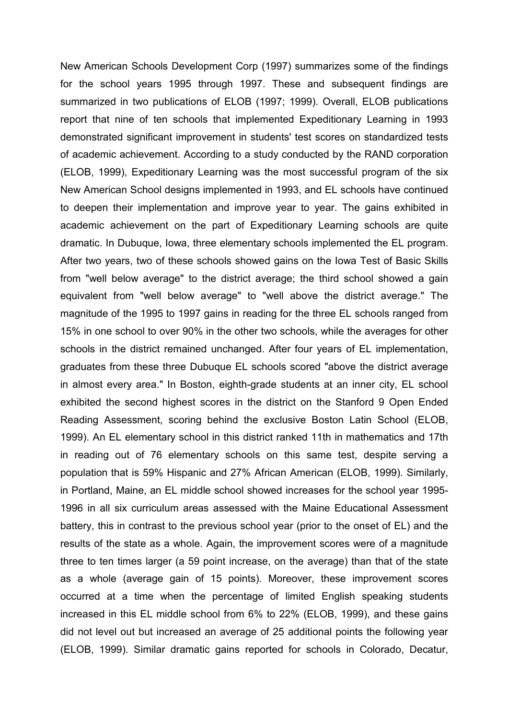New American Schools Development Corp (1997) summarizes some of the findings for the school years 1995 through 1997. These and subsequent findings are summarized in two publications of ELOB (1997; 1999). Overall, ELOB publications report that nine of ten schools that implemented Expeditionary Learning in 1993 demonstrated significant improvement in students' test scores on standardized tests of academic achievement. According to a study conducted by the RAND corporation (ELOB, 1999), Expeditionary Learning was the most successful program of the six New American School designs implemented in 1993, and EL schools have continued to deepen their implementation and improve year to year. The gains exhibited in academic achievement on the part of Expeditionary Learning schools are quite dramatic. In Dubuque, Iowa, three elementary schools implemented the EL program. After two years, two of these schools showed gains on the Iowa Test of Basic Skills from "well below average" to the district average; the third school showed a gain equivalent from "well below average" to "well above the district average." The magnitude of the 1995 to 1997 gains in reading for the three EL schools ranged from 15% in one school to over 90% in the other two schools, while the averages for other schools in the district remained unchanged. After four years of EL implementation, graduates from these three Dubuque EL schools scored "above the district average in almost every area." In Boston, eighth-grade students at an inner city, EL school exhibited the second highest scores in the district on the Stanford 9 Open Ended Reading Assessment, scoring behind the exclusive Boston Latin School (ELOB, 1999). An EL elementary school in this district ranked 11th in mathematics and 17th in reading out of 76 elementary schools on this same test, despite serving a population that is 59% Hispanic and 27% African American (ELOB, 1999). Similarly, in Portland, Maine, an EL middle school showed increases for the school year 1995- 1996 in all six curriculum areas assessed with the Maine Educational Assessment battery, this in contrast to the previous school year (prior to the onset of EL) and the results of the state as a whole. Again, the improvement scores were of a magnitude three to ten times larger (a 59 point increase, on the average) than that of the state as a whole (average gain of 15 points). Moreover, these improvement scores occurred at a time when the percentage of limited English speaking students increased in this EL middle school from 6% to 22% (ELOB, 1999), and these gains did not level out but increased an average of 25 additional points the following year (ELOB, 1999). Similar dramatic gains reported for schools in Colorado, Decatur,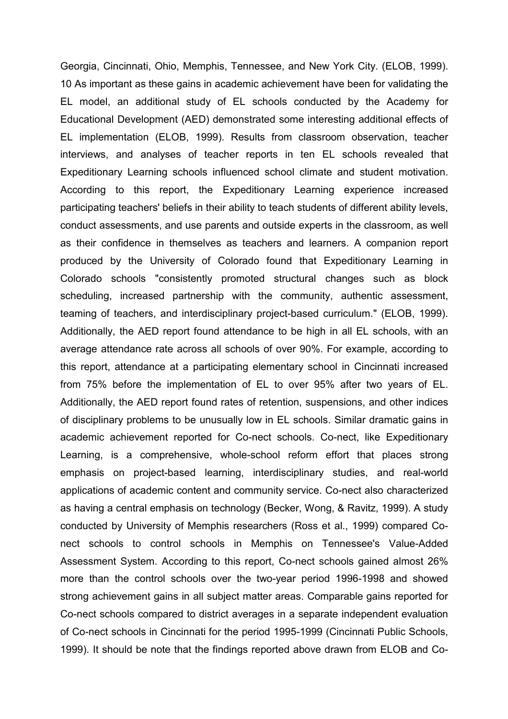Georgia, Cincinnati, Ohio, Memphis, Tennessee, and New York City. (ELOB, 1999). 10 As important as these gains in academic achievement have been for validating the EL model, an additional study of EL schools conducted by the Academy for Educational Development (AED) demonstrated some interesting additional effects of EL implementation (ELOB, 1999). Results from classroom observation, teacher interviews, and analyses of teacher reports in ten EL schools revealed that Expeditionary Learning schools influenced school climate and student motivation. According to this report, the Expeditionary Learning experience increased participating teachers' beliefs in their ability to teach students of different ability levels, conduct assessments, and use parents and outside experts in the classroom, as well as their confidence in themselves as teachers and learners. A companion report produced by the University of Colorado found that Expeditionary Learning in Colorado schools "consistently promoted structural changes such as block scheduling, increased partnership with the community, authentic assessment, teaming of teachers, and interdisciplinary project-based curriculum." (ELOB, 1999). Additionally, the AED report found attendance to be high in all EL schools, with an average attendance rate across all schools of over 90%. For example, according to this report, attendance at a participating elementary school in Cincinnati increased from 75% before the implementation of EL to over 95% after two years of EL. Additionally, the AED report found rates of retention, suspensions, and other indices of disciplinary problems to be unusually low in EL schools. Similar dramatic gains in academic achievement reported for Co-nect schools. Co-nect, like Expeditionary Learning, is a comprehensive, whole-school reform effort that places strong emphasis on project-based learning, interdisciplinary studies, and real-world applications of academic content and community service. Co-nect also characterized as having a central emphasis on technology (Becker, Wong, & Ravitz, 1999). A study conducted by University of Memphis researchers (Ross et al., 1999) compared Conect schools to control schools in Memphis on Tennessee's Value-Added Assessment System. According to this report, Co-nect schools gained almost 26% more than the control schools over the two-year period 1996-1998 and showed strong achievement gains in all subject matter areas. Comparable gains reported for Co-nect schools compared to district averages in a separate independent evaluation of Co-nect schools in Cincinnati for the period 1995-1999 (Cincinnati Public Schools, 1999). It should be note that the findings reported above drawn from ELOB and Co-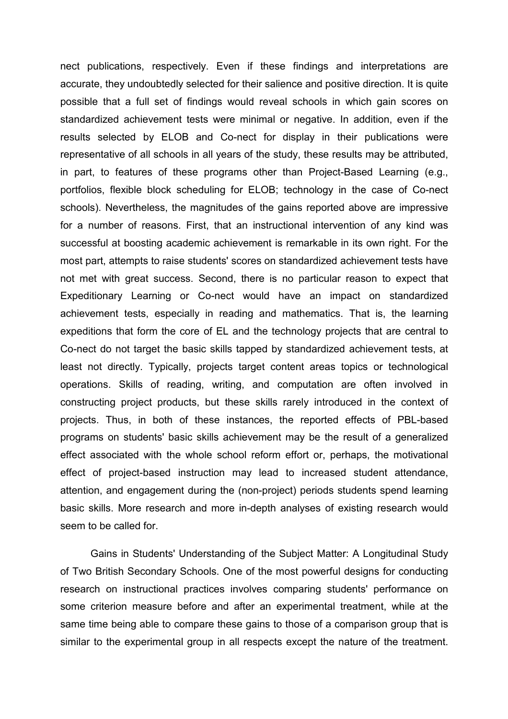nect publications, respectively. Even if these findings and interpretations are accurate, they undoubtedly selected for their salience and positive direction. It is quite possible that a full set of findings would reveal schools in which gain scores on standardized achievement tests were minimal or negative. In addition, even if the results selected by ELOB and Co-nect for display in their publications were representative of all schools in all years of the study, these results may be attributed, in part, to features of these programs other than Project-Based Learning (e.g., portfolios, flexible block scheduling for ELOB; technology in the case of Co-nect schools). Nevertheless, the magnitudes of the gains reported above are impressive for a number of reasons. First, that an instructional intervention of any kind was successful at boosting academic achievement is remarkable in its own right. For the most part, attempts to raise students' scores on standardized achievement tests have not met with great success. Second, there is no particular reason to expect that Expeditionary Learning or Co-nect would have an impact on standardized achievement tests, especially in reading and mathematics. That is, the learning expeditions that form the core of EL and the technology projects that are central to Co-nect do not target the basic skills tapped by standardized achievement tests, at least not directly. Typically, projects target content areas topics or technological operations. Skills of reading, writing, and computation are often involved in constructing project products, but these skills rarely introduced in the context of projects. Thus, in both of these instances, the reported effects of PBL-based programs on students' basic skills achievement may be the result of a generalized effect associated with the whole school reform effort or, perhaps, the motivational effect of project-based instruction may lead to increased student attendance, attention, and engagement during the (non-project) periods students spend learning basic skills. More research and more in-depth analyses of existing research would seem to be called for.

 Gains in Students' Understanding of the Subject Matter: A Longitudinal Study of Two British Secondary Schools. One of the most powerful designs for conducting research on instructional practices involves comparing students' performance on some criterion measure before and after an experimental treatment, while at the same time being able to compare these gains to those of a comparison group that is similar to the experimental group in all respects except the nature of the treatment.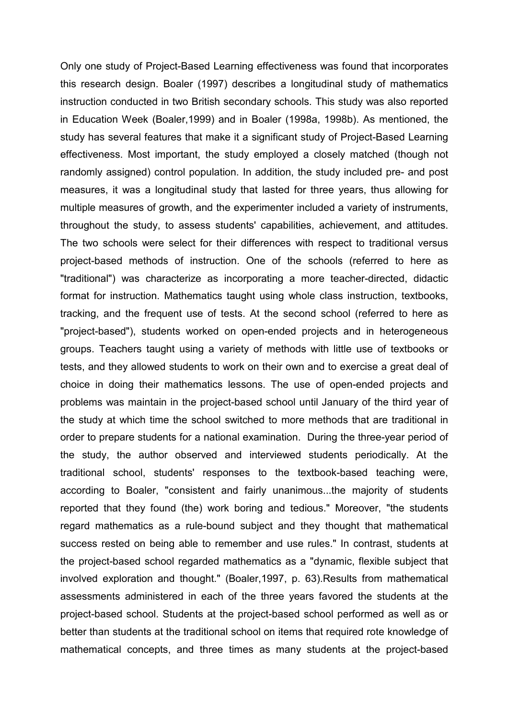Only one study of Project-Based Learning effectiveness was found that incorporates this research design. Boaler (1997) describes a longitudinal study of mathematics instruction conducted in two British secondary schools. This study was also reported in Education Week (Boaler,1999) and in Boaler (1998a, 1998b). As mentioned, the study has several features that make it a significant study of Project-Based Learning effectiveness. Most important, the study employed a closely matched (though not randomly assigned) control population. In addition, the study included pre- and post measures, it was a longitudinal study that lasted for three years, thus allowing for multiple measures of growth, and the experimenter included a variety of instruments, throughout the study, to assess students' capabilities, achievement, and attitudes. The two schools were select for their differences with respect to traditional versus project-based methods of instruction. One of the schools (referred to here as "traditional") was characterize as incorporating a more teacher-directed, didactic format for instruction. Mathematics taught using whole class instruction, textbooks, tracking, and the frequent use of tests. At the second school (referred to here as "project-based"), students worked on open-ended projects and in heterogeneous groups. Teachers taught using a variety of methods with little use of textbooks or tests, and they allowed students to work on their own and to exercise a great deal of choice in doing their mathematics lessons. The use of open-ended projects and problems was maintain in the project-based school until January of the third year of the study at which time the school switched to more methods that are traditional in order to prepare students for a national examination. During the three-year period of the study, the author observed and interviewed students periodically. At the traditional school, students' responses to the textbook-based teaching were, according to Boaler, "consistent and fairly unanimous...the majority of students reported that they found (the) work boring and tedious." Moreover, "the students regard mathematics as a rule-bound subject and they thought that mathematical success rested on being able to remember and use rules." In contrast, students at the project-based school regarded mathematics as a "dynamic, flexible subject that involved exploration and thought." (Boaler,1997, p. 63).Results from mathematical assessments administered in each of the three years favored the students at the project-based school. Students at the project-based school performed as well as or better than students at the traditional school on items that required rote knowledge of mathematical concepts, and three times as many students at the project-based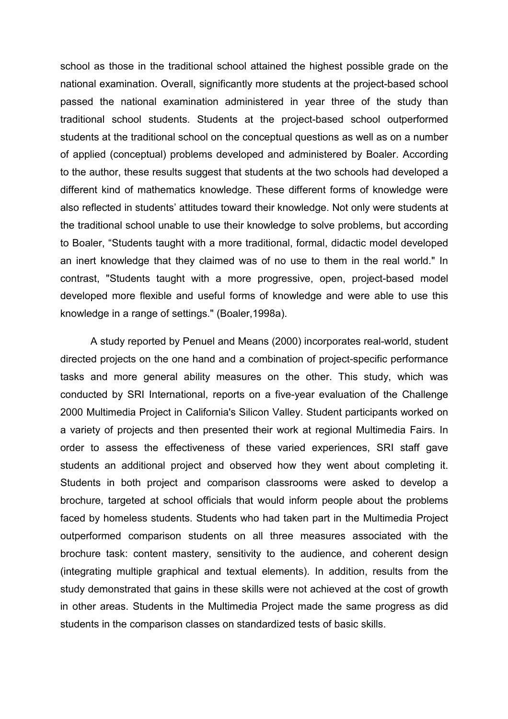school as those in the traditional school attained the highest possible grade on the national examination. Overall, significantly more students at the project-based school passed the national examination administered in year three of the study than traditional school students. Students at the project-based school outperformed students at the traditional school on the conceptual questions as well as on a number of applied (conceptual) problems developed and administered by Boaler. According to the author, these results suggest that students at the two schools had developed a different kind of mathematics knowledge. These different forms of knowledge were also reflected in students' attitudes toward their knowledge. Not only were students at the traditional school unable to use their knowledge to solve problems, but according to Boaler, "Students taught with a more traditional, formal, didactic model developed an inert knowledge that they claimed was of no use to them in the real world." In contrast, "Students taught with a more progressive, open, project-based model developed more flexible and useful forms of knowledge and were able to use this knowledge in a range of settings." (Boaler,1998a).

 A study reported by Penuel and Means (2000) incorporates real-world, student directed projects on the one hand and a combination of project-specific performance tasks and more general ability measures on the other. This study, which was conducted by SRI International, reports on a five-year evaluation of the Challenge 2000 Multimedia Project in California's Silicon Valley. Student participants worked on a variety of projects and then presented their work at regional Multimedia Fairs. In order to assess the effectiveness of these varied experiences, SRI staff gave students an additional project and observed how they went about completing it. Students in both project and comparison classrooms were asked to develop a brochure, targeted at school officials that would inform people about the problems faced by homeless students. Students who had taken part in the Multimedia Project outperformed comparison students on all three measures associated with the brochure task: content mastery, sensitivity to the audience, and coherent design (integrating multiple graphical and textual elements). In addition, results from the study demonstrated that gains in these skills were not achieved at the cost of growth in other areas. Students in the Multimedia Project made the same progress as did students in the comparison classes on standardized tests of basic skills.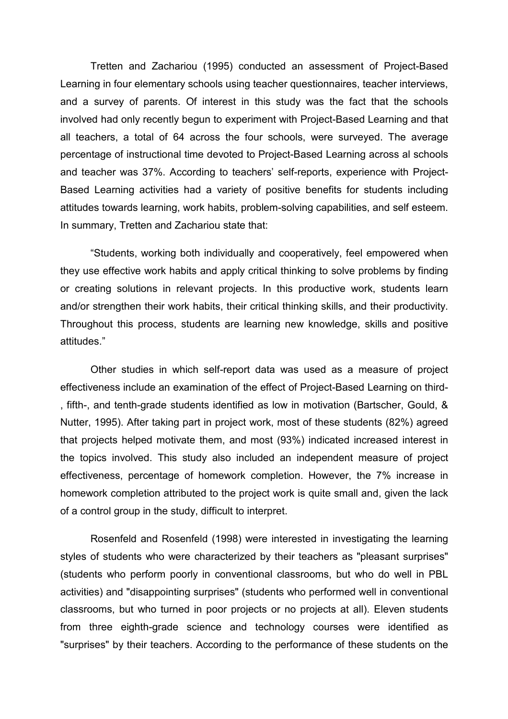Tretten and Zachariou (1995) conducted an assessment of Project-Based Learning in four elementary schools using teacher questionnaires, teacher interviews, and a survey of parents. Of interest in this study was the fact that the schools involved had only recently begun to experiment with Project-Based Learning and that all teachers, a total of 64 across the four schools, were surveyed. The average percentage of instructional time devoted to Project-Based Learning across al schools and teacher was 37%. According to teachers' self-reports, experience with Project-Based Learning activities had a variety of positive benefits for students including attitudes towards learning, work habits, problem-solving capabilities, and self esteem. In summary, Tretten and Zachariou state that:

 "Students, working both individually and cooperatively, feel empowered when they use effective work habits and apply critical thinking to solve problems by finding or creating solutions in relevant projects. In this productive work, students learn and/or strengthen their work habits, their critical thinking skills, and their productivity. Throughout this process, students are learning new knowledge, skills and positive attitudes."

 Other studies in which self-report data was used as a measure of project effectiveness include an examination of the effect of Project-Based Learning on third- , fifth-, and tenth-grade students identified as low in motivation (Bartscher, Gould, & Nutter, 1995). After taking part in project work, most of these students (82%) agreed that projects helped motivate them, and most (93%) indicated increased interest in the topics involved. This study also included an independent measure of project effectiveness, percentage of homework completion. However, the 7% increase in homework completion attributed to the project work is quite small and, given the lack of a control group in the study, difficult to interpret.

 Rosenfeld and Rosenfeld (1998) were interested in investigating the learning styles of students who were characterized by their teachers as "pleasant surprises" (students who perform poorly in conventional classrooms, but who do well in PBL activities) and "disappointing surprises" (students who performed well in conventional classrooms, but who turned in poor projects or no projects at all). Eleven students from three eighth-grade science and technology courses were identified as "surprises" by their teachers. According to the performance of these students on the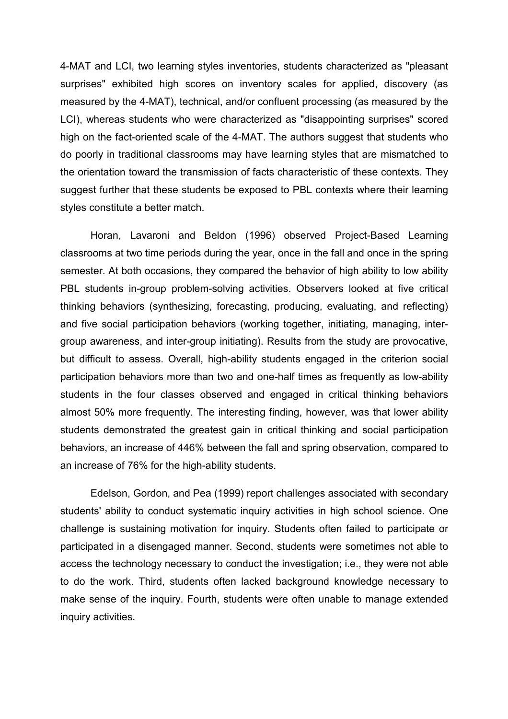4-MAT and LCI, two learning styles inventories, students characterized as "pleasant surprises" exhibited high scores on inventory scales for applied, discovery (as measured by the 4-MAT), technical, and/or confluent processing (as measured by the LCI), whereas students who were characterized as "disappointing surprises" scored high on the fact-oriented scale of the 4-MAT. The authors suggest that students who do poorly in traditional classrooms may have learning styles that are mismatched to the orientation toward the transmission of facts characteristic of these contexts. They suggest further that these students be exposed to PBL contexts where their learning styles constitute a better match.

 Horan, Lavaroni and Beldon (1996) observed Project-Based Learning classrooms at two time periods during the year, once in the fall and once in the spring semester. At both occasions, they compared the behavior of high ability to low ability PBL students in-group problem-solving activities. Observers looked at five critical thinking behaviors (synthesizing, forecasting, producing, evaluating, and reflecting) and five social participation behaviors (working together, initiating, managing, intergroup awareness, and inter-group initiating). Results from the study are provocative, but difficult to assess. Overall, high-ability students engaged in the criterion social participation behaviors more than two and one-half times as frequently as low-ability students in the four classes observed and engaged in critical thinking behaviors almost 50% more frequently. The interesting finding, however, was that lower ability students demonstrated the greatest gain in critical thinking and social participation behaviors, an increase of 446% between the fall and spring observation, compared to an increase of 76% for the high-ability students.

 Edelson, Gordon, and Pea (1999) report challenges associated with secondary students' ability to conduct systematic inquiry activities in high school science. One challenge is sustaining motivation for inquiry. Students often failed to participate or participated in a disengaged manner. Second, students were sometimes not able to access the technology necessary to conduct the investigation; i.e., they were not able to do the work. Third, students often lacked background knowledge necessary to make sense of the inquiry. Fourth, students were often unable to manage extended inquiry activities.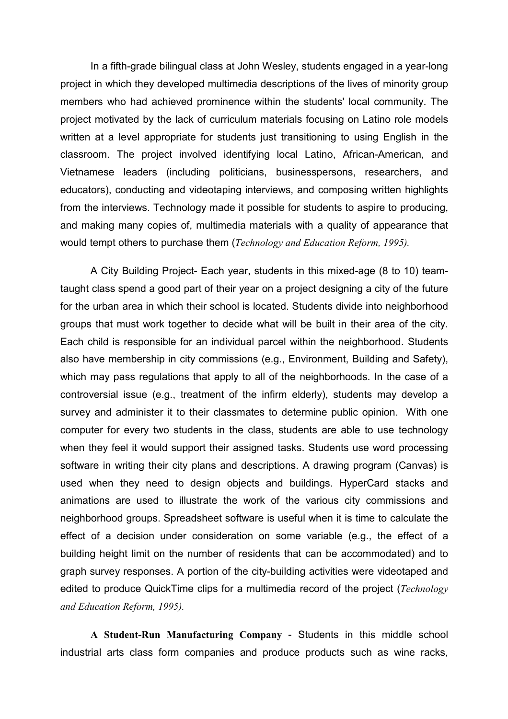In a fifth-grade bilingual class at John Wesley, students engaged in a year-long project in which they developed multimedia descriptions of the lives of minority group members who had achieved prominence within the students' local community. The project motivated by the lack of curriculum materials focusing on Latino role models written at a level appropriate for students just transitioning to using English in the classroom. The project involved identifying local Latino, African-American, and Vietnamese leaders (including politicians, businesspersons, researchers, and educators), conducting and videotaping interviews, and composing written highlights from the interviews. Technology made it possible for students to aspire to producing, and making many copies of, multimedia materials with a quality of appearance that would tempt others to purchase them (Technology and Education Reform, 1995).

A City Building Project- Each year, students in this mixed-age (8 to 10) teamtaught class spend a good part of their year on a project designing a city of the future for the urban area in which their school is located. Students divide into neighborhood groups that must work together to decide what will be built in their area of the city. Each child is responsible for an individual parcel within the neighborhood. Students also have membership in city commissions (e.g., Environment, Building and Safety), which may pass regulations that apply to all of the neighborhoods. In the case of a controversial issue (e.g., treatment of the infirm elderly), students may develop a survey and administer it to their classmates to determine public opinion. With one computer for every two students in the class, students are able to use technology when they feel it would support their assigned tasks. Students use word processing software in writing their city plans and descriptions. A drawing program (Canvas) is used when they need to design objects and buildings. HyperCard stacks and animations are used to illustrate the work of the various city commissions and neighborhood groups. Spreadsheet software is useful when it is time to calculate the effect of a decision under consideration on some variable (e.g., the effect of a building height limit on the number of residents that can be accommodated) and to graph survey responses. A portion of the city-building activities were videotaped and edited to produce QuickTime clips for a multimedia record of the project (*Technology* and Education Reform, 1995).

A Student-Run Manufacturing Company - Students in this middle school industrial arts class form companies and produce products such as wine racks,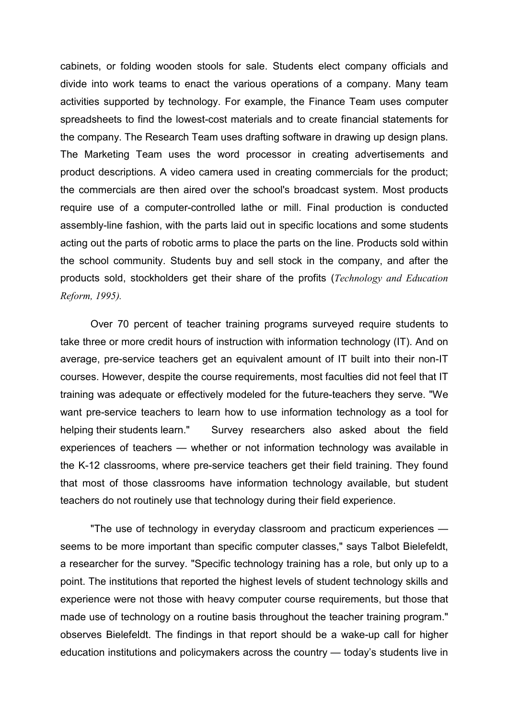cabinets, or folding wooden stools for sale. Students elect company officials and divide into work teams to enact the various operations of a company. Many team activities supported by technology. For example, the Finance Team uses computer spreadsheets to find the lowest-cost materials and to create financial statements for the company. The Research Team uses drafting software in drawing up design plans. The Marketing Team uses the word processor in creating advertisements and product descriptions. A video camera used in creating commercials for the product; the commercials are then aired over the school's broadcast system. Most products require use of a computer-controlled lathe or mill. Final production is conducted assembly-line fashion, with the parts laid out in specific locations and some students acting out the parts of robotic arms to place the parts on the line. Products sold within the school community. Students buy and sell stock in the company, and after the products sold, stockholders get their share of the profits (Technology and Education Reform, 1995).

 Over 70 percent of teacher training programs surveyed require students to take three or more credit hours of instruction with information technology (IT). And on average, pre-service teachers get an equivalent amount of IT built into their non-IT courses. However, despite the course requirements, most faculties did not feel that IT training was adequate or effectively modeled for the future-teachers they serve. "We want pre-service teachers to learn how to use information technology as a tool for helping their students learn." Survey researchers also asked about the field experiences of teachers — whether or not information technology was available in the K-12 classrooms, where pre-service teachers get their field training. They found that most of those classrooms have information technology available, but student teachers do not routinely use that technology during their field experience.

 "The use of technology in everyday classroom and practicum experiences seems to be more important than specific computer classes," says Talbot Bielefeldt, a researcher for the survey. "Specific technology training has a role, but only up to a point. The institutions that reported the highest levels of student technology skills and experience were not those with heavy computer course requirements, but those that made use of technology on a routine basis throughout the teacher training program." observes Bielefeldt. The findings in that report should be a wake-up call for higher education institutions and policymakers across the country — today's students live in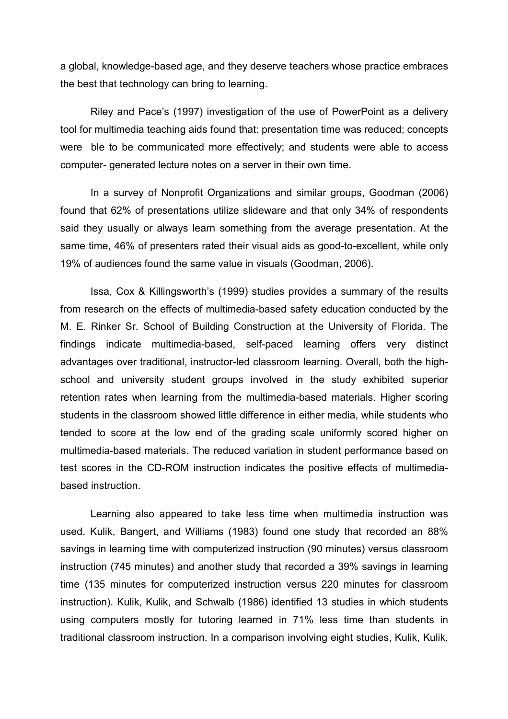a global, knowledge-based age, and they deserve teachers whose practice embraces the best that technology can bring to learning.

 Riley and Pace's (1997) investigation of the use of PowerPoint as a delivery tool for multimedia teaching aids found that: presentation time was reduced; concepts were ble to be communicated more effectively; and students were able to access computer- generated lecture notes on a server in their own time.

 In a survey of Nonprofit Organizations and similar groups, Goodman (2006) found that 62% of presentations utilize slideware and that only 34% of respondents said they usually or always learn something from the average presentation. At the same time, 46% of presenters rated their visual aids as good-to-excellent, while only 19% of audiences found the same value in visuals (Goodman, 2006).

 Issa, Cox & Killingsworth's (1999) studies provides a summary of the results from research on the effects of multimedia-based safety education conducted by the M. E. Rinker Sr. School of Building Construction at the University of Florida. The findings indicate multimedia-based, self-paced learning offers very distinct advantages over traditional, instructor-led classroom learning. Overall, both the highschool and university student groups involved in the study exhibited superior retention rates when learning from the multimedia-based materials. Higher scoring students in the classroom showed little difference in either media, while students who tended to score at the low end of the grading scale uniformly scored higher on multimedia-based materials. The reduced variation in student performance based on test scores in the CD-ROM instruction indicates the positive effects of multimediabased instruction.

 Learning also appeared to take less time when multimedia instruction was used. Kulik, Bangert, and Williams (1983) found one study that recorded an 88% savings in learning time with computerized instruction (90 minutes) versus classroom instruction (745 minutes) and another study that recorded a 39% savings in learning time (135 minutes for computerized instruction versus 220 minutes for classroom instruction). Kulik, Kulik, and Schwalb (1986) identified 13 studies in which students using computers mostly for tutoring learned in 71% less time than students in traditional classroom instruction. In a comparison involving eight studies, Kulik, Kulik,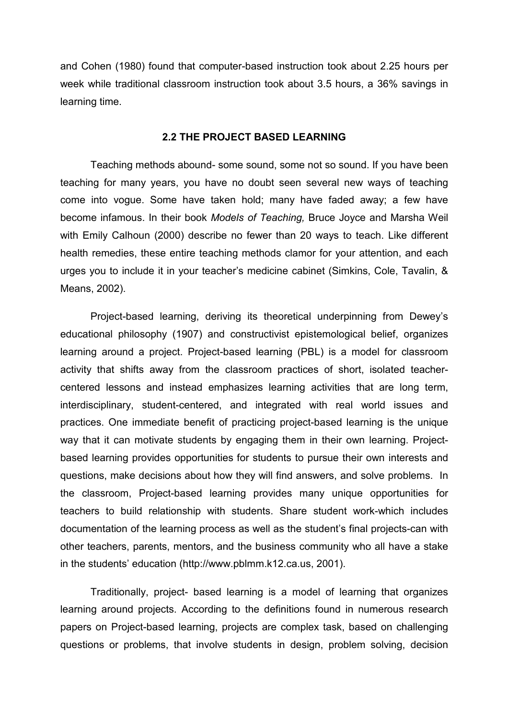and Cohen (1980) found that computer-based instruction took about 2.25 hours per week while traditional classroom instruction took about 3.5 hours, a 36% savings in learning time.

### 2.2 THE PROJECT BASED LEARNING

 Teaching methods abound- some sound, some not so sound. If you have been teaching for many years, you have no doubt seen several new ways of teaching come into vogue. Some have taken hold; many have faded away; a few have become infamous. In their book Models of Teaching, Bruce Joyce and Marsha Weil with Emily Calhoun (2000) describe no fewer than 20 ways to teach. Like different health remedies, these entire teaching methods clamor for your attention, and each urges you to include it in your teacher's medicine cabinet (Simkins, Cole, Tavalin, & Means, 2002).

 Project-based learning, deriving its theoretical underpinning from Dewey's educational philosophy (1907) and constructivist epistemological belief, organizes learning around a project. Project-based learning (PBL) is a model for classroom activity that shifts away from the classroom practices of short, isolated teachercentered lessons and instead emphasizes learning activities that are long term, interdisciplinary, student-centered, and integrated with real world issues and practices. One immediate benefit of practicing project-based learning is the unique way that it can motivate students by engaging them in their own learning. Projectbased learning provides opportunities for students to pursue their own interests and questions, make decisions about how they will find answers, and solve problems. In the classroom, Project-based learning provides many unique opportunities for teachers to build relationship with students. Share student work-which includes documentation of the learning process as well as the student's final projects-can with other teachers, parents, mentors, and the business community who all have a stake in the students' education (http://www.pblmm.k12.ca.us, 2001).

 Traditionally, project- based learning is a model of learning that organizes learning around projects. According to the definitions found in numerous research papers on Project-based learning, projects are complex task, based on challenging questions or problems, that involve students in design, problem solving, decision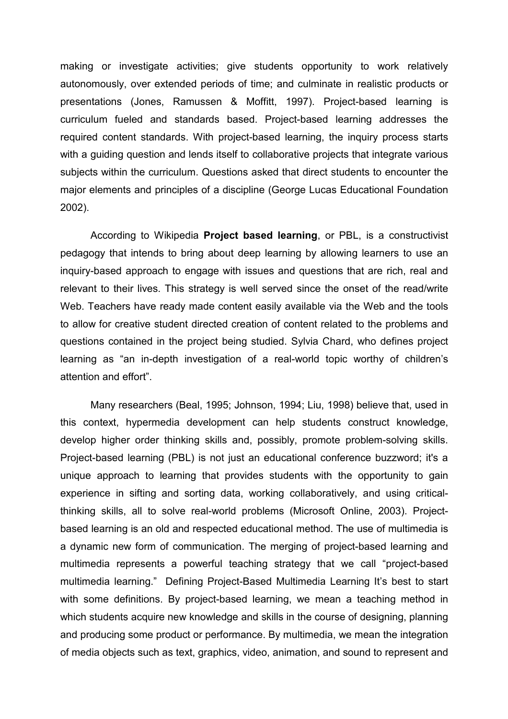making or investigate activities; give students opportunity to work relatively autonomously, over extended periods of time; and culminate in realistic products or presentations (Jones, Ramussen & Moffitt, 1997). Project-based learning is curriculum fueled and standards based. Project-based learning addresses the required content standards. With project-based learning, the inquiry process starts with a quiding question and lends itself to collaborative projects that integrate various subjects within the curriculum. Questions asked that direct students to encounter the major elements and principles of a discipline (George Lucas Educational Foundation 2002).

 According to Wikipedia Project based learning, or PBL, is a constructivist pedagogy that intends to bring about deep learning by allowing learners to use an inquiry-based approach to engage with issues and questions that are rich, real and relevant to their lives. This strategy is well served since the onset of the read/write Web. Teachers have ready made content easily available via the Web and the tools to allow for creative student directed creation of content related to the problems and questions contained in the project being studied. Sylvia Chard, who defines project learning as "an in-depth investigation of a real-world topic worthy of children's attention and effort".

 Many researchers (Beal, 1995; Johnson, 1994; Liu, 1998) believe that, used in this context, hypermedia development can help students construct knowledge, develop higher order thinking skills and, possibly, promote problem-solving skills. Project-based learning (PBL) is not just an educational conference buzzword; it's a unique approach to learning that provides students with the opportunity to gain experience in sifting and sorting data, working collaboratively, and using criticalthinking skills, all to solve real-world problems (Microsoft Online, 2003). Projectbased learning is an old and respected educational method. The use of multimedia is a dynamic new form of communication. The merging of project-based learning and multimedia represents a powerful teaching strategy that we call "project-based multimedia learning." Defining Project-Based Multimedia Learning It's best to start with some definitions. By project-based learning, we mean a teaching method in which students acquire new knowledge and skills in the course of designing, planning and producing some product or performance. By multimedia, we mean the integration of media objects such as text, graphics, video, animation, and sound to represent and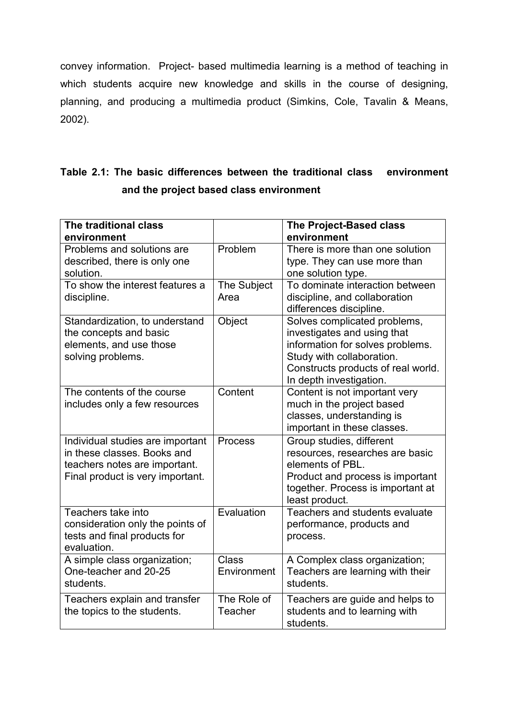convey information. Project- based multimedia learning is a method of teaching in which students acquire new knowledge and skills in the course of designing, planning, and producing a multimedia product (Simkins, Cole, Tavalin & Means, 2002).

# Table 2.1: The basic differences between the traditional class environment and the project based class environment

| The traditional class                                             |                | The Project-Based class                                  |
|-------------------------------------------------------------------|----------------|----------------------------------------------------------|
| environment                                                       |                | environment                                              |
| Problems and solutions are                                        | Problem        | There is more than one solution                          |
| described, there is only one                                      |                | type. They can use more than                             |
| solution.                                                         |                | one solution type.                                       |
| To show the interest features a                                   | The Subject    | To dominate interaction between                          |
| discipline.                                                       | Area           | discipline, and collaboration                            |
|                                                                   |                | differences discipline.                                  |
| Standardization, to understand                                    | Object         | Solves complicated problems,                             |
| the concepts and basic                                            |                | investigates and using that                              |
| elements, and use those                                           |                | information for solves problems.                         |
| solving problems.                                                 |                | Study with collaboration.                                |
|                                                                   |                | Constructs products of real world.                       |
|                                                                   |                | In depth investigation.                                  |
| The contents of the course                                        | Content        | Content is not important very                            |
| includes only a few resources                                     |                | much in the project based                                |
|                                                                   |                | classes, understanding is<br>important in these classes. |
|                                                                   |                |                                                          |
| Individual studies are important<br>in these classes. Books and   | Process        | Group studies, different                                 |
|                                                                   |                | resources, researches are basic<br>elements of PBL.      |
| teachers notes are important.<br>Final product is very important. |                | Product and process is important                         |
|                                                                   |                | together. Process is important at                        |
|                                                                   |                | least product.                                           |
| Teachers take into                                                | Evaluation     | Teachers and students evaluate                           |
| consideration only the points of                                  |                | performance, products and                                |
| tests and final products for                                      |                | process.                                                 |
| evaluation.                                                       |                |                                                          |
| A simple class organization;                                      | <b>Class</b>   | A Complex class organization;                            |
| One-teacher and 20-25                                             | Environment    | Teachers are learning with their                         |
| students.                                                         |                | students.                                                |
| Teachers explain and transfer                                     | The Role of    | Teachers are guide and helps to                          |
| the topics to the students.                                       | <b>Teacher</b> | students and to learning with                            |
|                                                                   |                | students.                                                |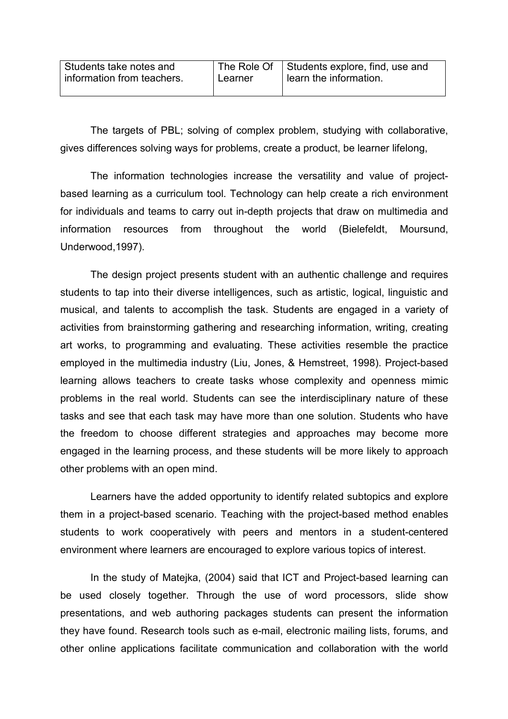| Students take notes and    |         | The Role Of Students explore, find, use and |
|----------------------------|---------|---------------------------------------------|
| information from teachers. | Learner | learn the information.                      |
|                            |         |                                             |

 The targets of PBL; solving of complex problem, studying with collaborative, gives differences solving ways for problems, create a product, be learner lifelong,

 The information technologies increase the versatility and value of projectbased learning as a curriculum tool. Technology can help create a rich environment for individuals and teams to carry out in-depth projects that draw on multimedia and information resources from throughout the world (Bielefeldt, Moursund, Underwood,1997).

 The design project presents student with an authentic challenge and requires students to tap into their diverse intelligences, such as artistic, logical, linguistic and musical, and talents to accomplish the task. Students are engaged in a variety of activities from brainstorming gathering and researching information, writing, creating art works, to programming and evaluating. These activities resemble the practice employed in the multimedia industry (Liu, Jones, & Hemstreet, 1998). Project-based learning allows teachers to create tasks whose complexity and openness mimic problems in the real world. Students can see the interdisciplinary nature of these tasks and see that each task may have more than one solution. Students who have the freedom to choose different strategies and approaches may become more engaged in the learning process, and these students will be more likely to approach other problems with an open mind.

 Learners have the added opportunity to identify related subtopics and explore them in a project-based scenario. Teaching with the project-based method enables students to work cooperatively with peers and mentors in a student-centered environment where learners are encouraged to explore various topics of interest.

 In the study of Matejka, (2004) said that ICT and Project-based learning can be used closely together. Through the use of word processors, slide show presentations, and web authoring packages students can present the information they have found. Research tools such as e-mail, electronic mailing lists, forums, and other online applications facilitate communication and collaboration with the world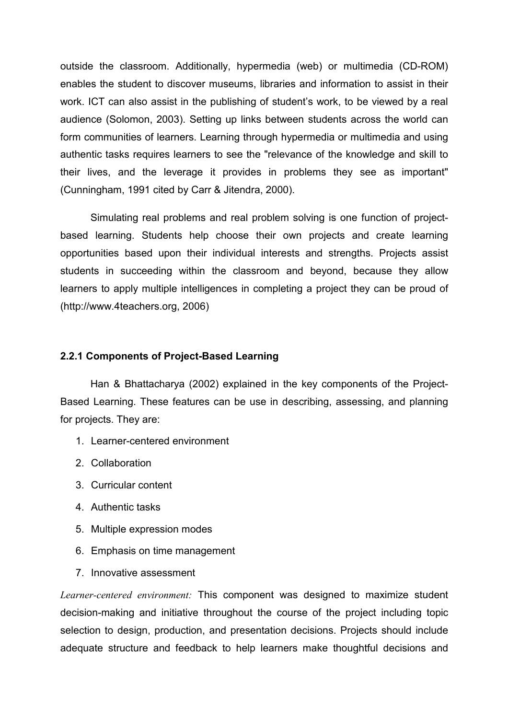outside the classroom. Additionally, hypermedia (web) or multimedia (CD-ROM) enables the student to discover museums, libraries and information to assist in their work. ICT can also assist in the publishing of student's work, to be viewed by a real audience (Solomon, 2003). Setting up links between students across the world can form communities of learners. Learning through hypermedia or multimedia and using authentic tasks requires learners to see the "relevance of the knowledge and skill to their lives, and the leverage it provides in problems they see as important" (Cunningham, 1991 cited by Carr & Jitendra, 2000).

 Simulating real problems and real problem solving is one function of projectbased learning. Students help choose their own projects and create learning opportunities based upon their individual interests and strengths. Projects assist students in succeeding within the classroom and beyond, because they allow learners to apply multiple intelligences in completing a project they can be proud of (http://www.4teachers.org, 2006)

### 2.2.1 Components of Project-Based Learning

 Han & Bhattacharya (2002) explained in the key components of the Project-Based Learning. These features can be use in describing, assessing, and planning for projects. They are:

- 1. Learner-centered environment
- 2. Collaboration
- 3. Curricular content
- 4. Authentic tasks
- 5. Multiple expression modes
- 6. Emphasis on time management
- 7. Innovative assessment

Learner-centered environment: This component was designed to maximize student decision-making and initiative throughout the course of the project including topic selection to design, production, and presentation decisions. Projects should include adequate structure and feedback to help learners make thoughtful decisions and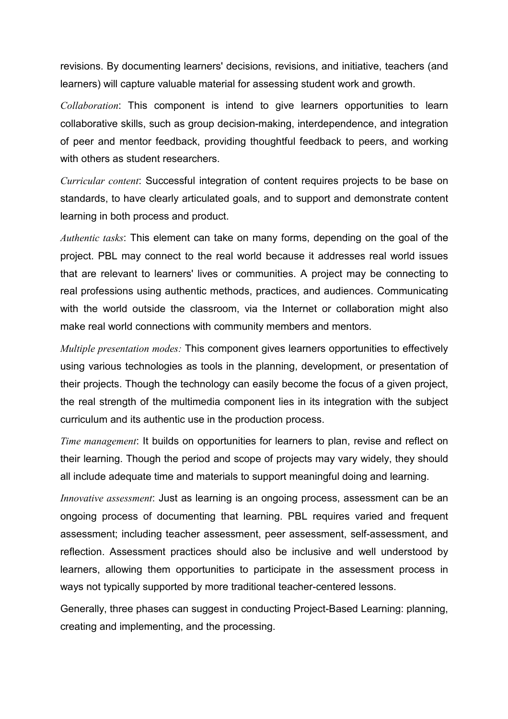revisions. By documenting learners' decisions, revisions, and initiative, teachers (and learners) will capture valuable material for assessing student work and growth.

Collaboration: This component is intend to give learners opportunities to learn collaborative skills, such as group decision-making, interdependence, and integration of peer and mentor feedback, providing thoughtful feedback to peers, and working with others as student researchers.

Curricular content: Successful integration of content requires projects to be base on standards, to have clearly articulated goals, and to support and demonstrate content learning in both process and product.

Authentic tasks: This element can take on many forms, depending on the goal of the project. PBL may connect to the real world because it addresses real world issues that are relevant to learners' lives or communities. A project may be connecting to real professions using authentic methods, practices, and audiences. Communicating with the world outside the classroom, via the Internet or collaboration might also make real world connections with community members and mentors.

Multiple presentation modes: This component gives learners opportunities to effectively using various technologies as tools in the planning, development, or presentation of their projects. Though the technology can easily become the focus of a given project, the real strength of the multimedia component lies in its integration with the subject curriculum and its authentic use in the production process.

Time management: It builds on opportunities for learners to plan, revise and reflect on their learning. Though the period and scope of projects may vary widely, they should all include adequate time and materials to support meaningful doing and learning.

Innovative assessment: Just as learning is an ongoing process, assessment can be an ongoing process of documenting that learning. PBL requires varied and frequent assessment; including teacher assessment, peer assessment, self-assessment, and reflection. Assessment practices should also be inclusive and well understood by learners, allowing them opportunities to participate in the assessment process in ways not typically supported by more traditional teacher-centered lessons.

Generally, three phases can suggest in conducting Project-Based Learning: planning, creating and implementing, and the processing.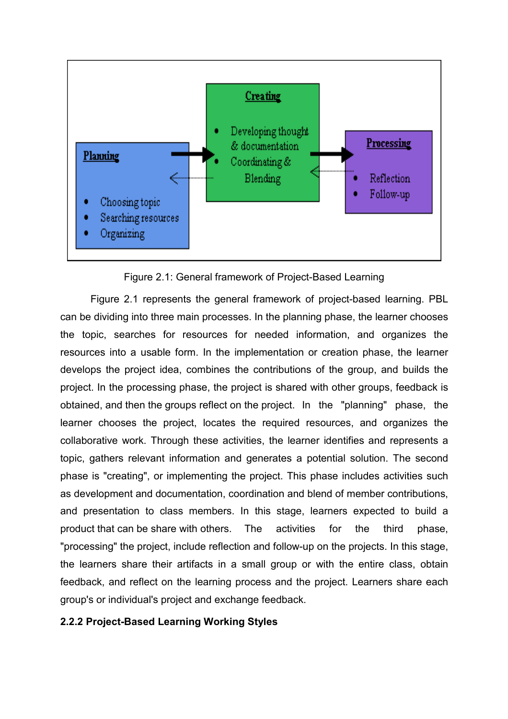

Figure 2.1: General framework of Project-Based Learning

 Figure 2.1 represents the general framework of project-based learning. PBL can be dividing into three main processes. In the planning phase, the learner chooses the topic, searches for resources for needed information, and organizes the resources into a usable form. In the implementation or creation phase, the learner develops the project idea, combines the contributions of the group, and builds the project. In the processing phase, the project is shared with other groups, feedback is obtained, and then the groups reflect on the project. In the "planning" phase, the learner chooses the project, locates the required resources, and organizes the collaborative work. Through these activities, the learner identifies and represents a topic, gathers relevant information and generates a potential solution. The second phase is "creating", or implementing the project. This phase includes activities such as development and documentation, coordination and blend of member contributions, and presentation to class members. In this stage, learners expected to build a product that can be share with others. The activities for the third phase, "processing" the project, include reflection and follow-up on the projects. In this stage, the learners share their artifacts in a small group or with the entire class, obtain feedback, and reflect on the learning process and the project. Learners share each group's or individual's project and exchange feedback.

# 2.2.2 Project-Based Learning Working Styles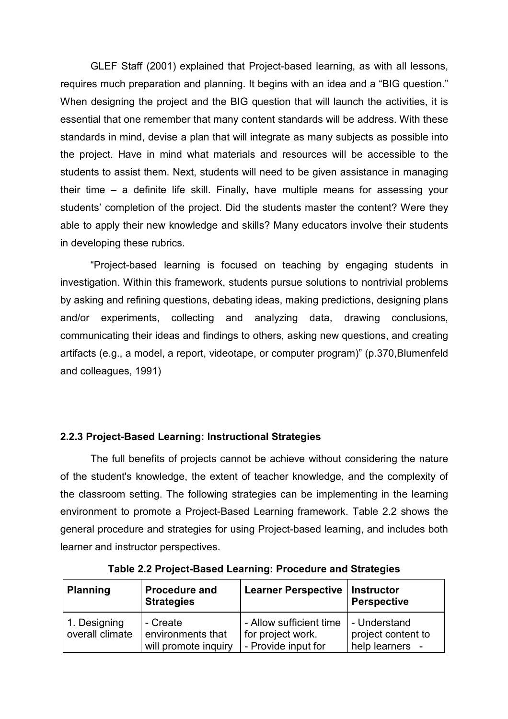GLEF Staff (2001) explained that Project-based learning, as with all lessons, requires much preparation and planning. It begins with an idea and a "BIG question." When designing the project and the BIG question that will launch the activities, it is essential that one remember that many content standards will be address. With these standards in mind, devise a plan that will integrate as many subjects as possible into the project. Have in mind what materials and resources will be accessible to the students to assist them. Next, students will need to be given assistance in managing their time – a definite life skill. Finally, have multiple means for assessing your students' completion of the project. Did the students master the content? Were they able to apply their new knowledge and skills? Many educators involve their students in developing these rubrics.

 "Project-based learning is focused on teaching by engaging students in investigation. Within this framework, students pursue solutions to nontrivial problems by asking and refining questions, debating ideas, making predictions, designing plans and/or experiments, collecting and analyzing data, drawing conclusions, communicating their ideas and findings to others, asking new questions, and creating artifacts (e.g., a model, a report, videotape, or computer program)" (p.370,Blumenfeld and colleagues, 1991)

# 2.2.3 Project-Based Learning: Instructional Strategies

 The full benefits of projects cannot be achieve without considering the nature of the student's knowledge, the extent of teacher knowledge, and the complexity of the classroom setting. The following strategies can be implementing in the learning environment to promote a Project-Based Learning framework. Table 2.2 shows the general procedure and strategies for using Project-based learning, and includes both learner and instructor perspectives.

| <b>Planning</b>                 | <b>Procedure and</b><br><b>Strategies</b>             | <b>Learner Perspective</b>                                          | <b>Instructor</b><br><b>Perspective</b>               |
|---------------------------------|-------------------------------------------------------|---------------------------------------------------------------------|-------------------------------------------------------|
| 1. Designing<br>overall climate | - Create<br>environments that<br>will promote inquiry | - Allow sufficient time<br>for project work.<br>- Provide input for | - Understand<br>project content to<br>help learners - |

Table 2.2 Project-Based Learning: Procedure and Strategies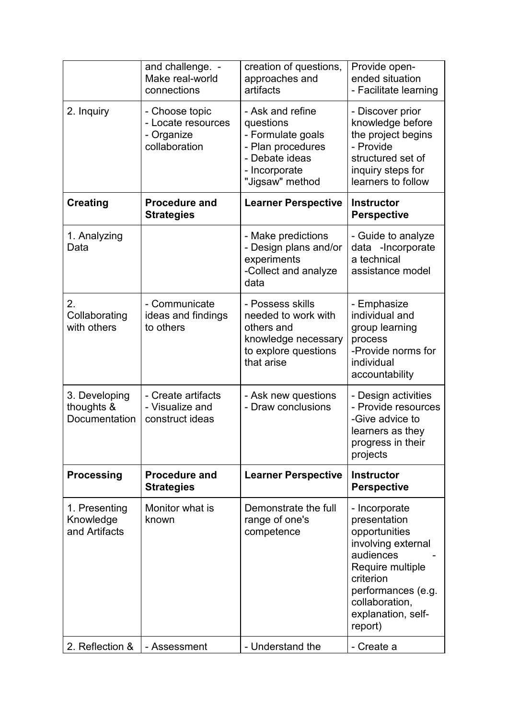|                                              | and challenge. -<br>Make real-world<br>connections                  | creation of questions,<br>approaches and<br>artifacts                                                                         | Provide open-<br>ended situation<br>- Facilitate learning                                                                                                                                   |
|----------------------------------------------|---------------------------------------------------------------------|-------------------------------------------------------------------------------------------------------------------------------|---------------------------------------------------------------------------------------------------------------------------------------------------------------------------------------------|
| 2. Inquiry                                   | - Choose topic<br>- Locate resources<br>- Organize<br>collaboration | - Ask and refine<br>questions<br>- Formulate goals<br>- Plan procedures<br>- Debate ideas<br>- Incorporate<br>"Jigsaw" method | - Discover prior<br>knowledge before<br>the project begins<br>- Provide<br>structured set of<br>inquiry steps for<br>learners to follow                                                     |
| <b>Creating</b>                              | <b>Procedure and</b><br><b>Strategies</b>                           | <b>Learner Perspective</b>                                                                                                    | <b>Instructor</b><br><b>Perspective</b>                                                                                                                                                     |
| 1. Analyzing<br>Data                         |                                                                     | - Make predictions<br>- Design plans and/or<br>experiments<br>-Collect and analyze<br>data                                    | - Guide to analyze<br>data -Incorporate<br>a technical<br>assistance model                                                                                                                  |
| 2.<br>Collaborating<br>with others           | - Communicate<br>ideas and findings<br>to others                    | - Possess skills<br>needed to work with<br>others and<br>knowledge necessary<br>to explore questions<br>that arise            | - Emphasize<br>individual and<br>group learning<br>process<br>-Provide norms for<br>individual<br>accountability                                                                            |
| 3. Developing<br>thoughts &<br>Documentation | - Create artifacts<br>- Visualize and<br>construct ideas            | - Ask new questions<br>- Draw conclusions                                                                                     | - Design activities<br>- Provide resources<br>-Give advice to<br>learners as they<br>progress in their<br>projects                                                                          |
| <b>Processing</b>                            | <b>Procedure and</b><br><b>Strategies</b>                           | <b>Learner Perspective</b>                                                                                                    | <b>Instructor</b><br><b>Perspective</b>                                                                                                                                                     |
| 1. Presenting<br>Knowledge<br>and Artifacts  | Monitor what is<br>known                                            | Demonstrate the full<br>range of one's<br>competence                                                                          | - Incorporate<br>presentation<br>opportunities<br>involving external<br>audiences<br>Require multiple<br>criterion<br>performances (e.g.<br>collaboration,<br>explanation, self-<br>report) |
| 2. Reflection &                              | - Assessment                                                        | - Understand the                                                                                                              | - Create a                                                                                                                                                                                  |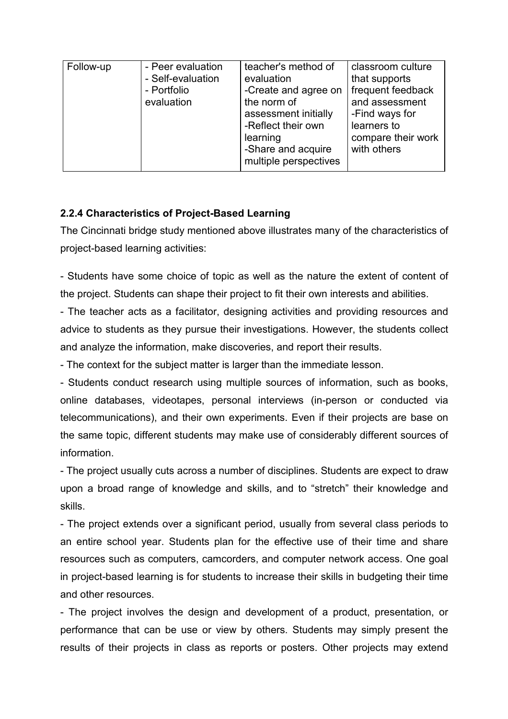| Follow-up<br>- Peer evaluation<br>- Self-evaluation<br>- Portfolio<br>evaluation | teacher's method of<br>evaluation<br>-Create and agree on<br>the norm of<br>assessment initially<br>-Reflect their own<br>learning<br>-Share and acquire<br>multiple perspectives | classroom culture<br>that supports<br>frequent feedback<br>and assessment<br>-Find ways for<br>learners to<br>compare their work<br>with others |
|----------------------------------------------------------------------------------|-----------------------------------------------------------------------------------------------------------------------------------------------------------------------------------|-------------------------------------------------------------------------------------------------------------------------------------------------|
|----------------------------------------------------------------------------------|-----------------------------------------------------------------------------------------------------------------------------------------------------------------------------------|-------------------------------------------------------------------------------------------------------------------------------------------------|

# 2.2.4 Characteristics of Project-Based Learning

The Cincinnati bridge study mentioned above illustrates many of the characteristics of project-based learning activities:

- Students have some choice of topic as well as the nature the extent of content of the project. Students can shape their project to fit their own interests and abilities.

- The teacher acts as a facilitator, designing activities and providing resources and advice to students as they pursue their investigations. However, the students collect and analyze the information, make discoveries, and report their results.

- The context for the subject matter is larger than the immediate lesson.

- Students conduct research using multiple sources of information, such as books, online databases, videotapes, personal interviews (in-person or conducted via telecommunications), and their own experiments. Even if their projects are base on the same topic, different students may make use of considerably different sources of information.

- The project usually cuts across a number of disciplines. Students are expect to draw upon a broad range of knowledge and skills, and to "stretch" their knowledge and skills.

- The project extends over a significant period, usually from several class periods to an entire school year. Students plan for the effective use of their time and share resources such as computers, camcorders, and computer network access. One goal in project-based learning is for students to increase their skills in budgeting their time and other resources.

- The project involves the design and development of a product, presentation, or performance that can be use or view by others. Students may simply present the results of their projects in class as reports or posters. Other projects may extend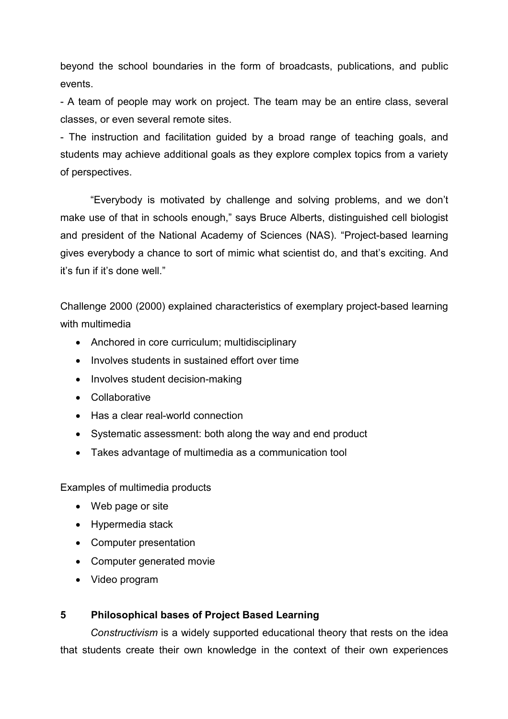beyond the school boundaries in the form of broadcasts, publications, and public events.

- A team of people may work on project. The team may be an entire class, several classes, or even several remote sites.

- The instruction and facilitation guided by a broad range of teaching goals, and students may achieve additional goals as they explore complex topics from a variety of perspectives.

 "Everybody is motivated by challenge and solving problems, and we don't make use of that in schools enough," says Bruce Alberts, distinguished cell biologist and president of the National Academy of Sciences (NAS). "Project-based learning gives everybody a chance to sort of mimic what scientist do, and that's exciting. And it's fun if it's done well."

Challenge 2000 (2000) explained characteristics of exemplary project-based learning with multimedia

- Anchored in core curriculum; multidisciplinary
- Involves students in sustained effort over time
- Involves student decision-making
- Collaborative
- Has a clear real-world connection
- Systematic assessment: both along the way and end product
- Takes advantage of multimedia as a communication tool

Examples of multimedia products

- Web page or site
- Hypermedia stack
- Computer presentation
- Computer generated movie
- Video program

# 5 Philosophical bases of Project Based Learning

Constructivism is a widely supported educational theory that rests on the idea that students create their own knowledge in the context of their own experiences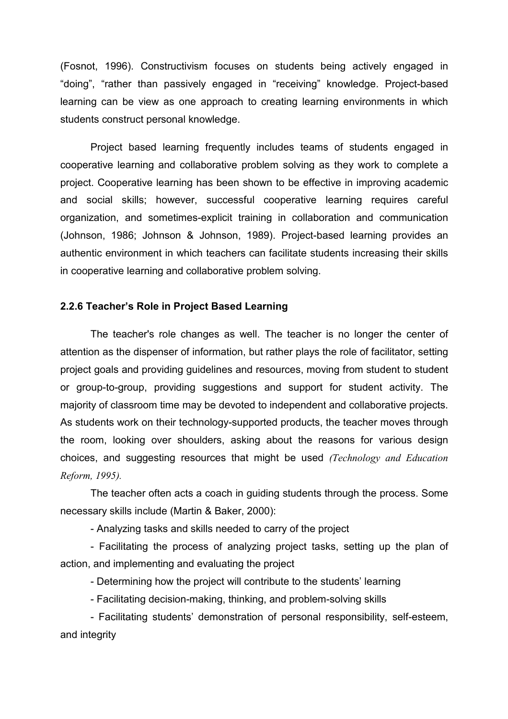(Fosnot, 1996). Constructivism focuses on students being actively engaged in "doing", "rather than passively engaged in "receiving" knowledge. Project-based learning can be view as one approach to creating learning environments in which students construct personal knowledge.

 Project based learning frequently includes teams of students engaged in cooperative learning and collaborative problem solving as they work to complete a project. Cooperative learning has been shown to be effective in improving academic and social skills; however, successful cooperative learning requires careful organization, and sometimes-explicit training in collaboration and communication (Johnson, 1986; Johnson & Johnson, 1989). Project-based learning provides an authentic environment in which teachers can facilitate students increasing their skills in cooperative learning and collaborative problem solving.

### 2.2.6 Teacher's Role in Project Based Learning

 The teacher's role changes as well. The teacher is no longer the center of attention as the dispenser of information, but rather plays the role of facilitator, setting project goals and providing guidelines and resources, moving from student to student or group-to-group, providing suggestions and support for student activity. The majority of classroom time may be devoted to independent and collaborative projects. As students work on their technology-supported products, the teacher moves through the room, looking over shoulders, asking about the reasons for various design choices, and suggesting resources that might be used (Technology and Education Reform, 1995).

 The teacher often acts a coach in guiding students through the process. Some necessary skills include (Martin & Baker, 2000):

- Analyzing tasks and skills needed to carry of the project

 - Facilitating the process of analyzing project tasks, setting up the plan of action, and implementing and evaluating the project

- Determining how the project will contribute to the students' learning

- Facilitating decision-making, thinking, and problem-solving skills

 - Facilitating students' demonstration of personal responsibility, self-esteem, and integrity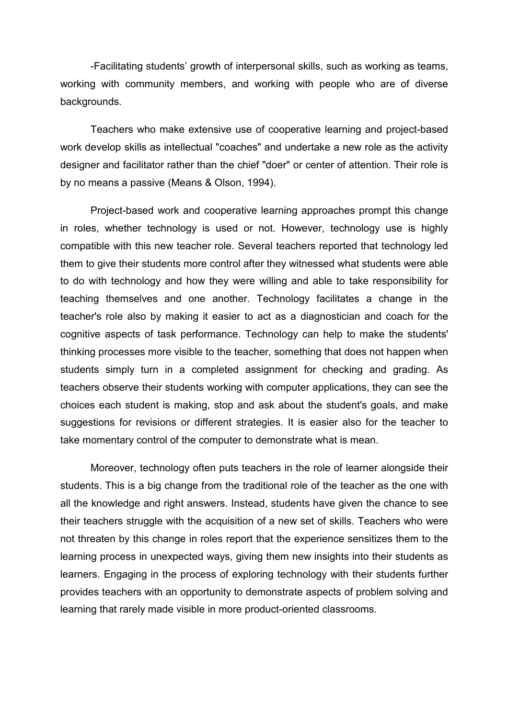-Facilitating students' growth of interpersonal skills, such as working as teams, working with community members, and working with people who are of diverse backgrounds.

 Teachers who make extensive use of cooperative learning and project-based work develop skills as intellectual "coaches" and undertake a new role as the activity designer and facilitator rather than the chief "doer" or center of attention. Their role is by no means a passive (Means & Olson, 1994).

 Project-based work and cooperative learning approaches prompt this change in roles, whether technology is used or not. However, technology use is highly compatible with this new teacher role. Several teachers reported that technology led them to give their students more control after they witnessed what students were able to do with technology and how they were willing and able to take responsibility for teaching themselves and one another. Technology facilitates a change in the teacher's role also by making it easier to act as a diagnostician and coach for the cognitive aspects of task performance. Technology can help to make the students' thinking processes more visible to the teacher, something that does not happen when students simply turn in a completed assignment for checking and grading. As teachers observe their students working with computer applications, they can see the choices each student is making, stop and ask about the student's goals, and make suggestions for revisions or different strategies. It is easier also for the teacher to take momentary control of the computer to demonstrate what is mean.

 Moreover, technology often puts teachers in the role of learner alongside their students. This is a big change from the traditional role of the teacher as the one with all the knowledge and right answers. Instead, students have given the chance to see their teachers struggle with the acquisition of a new set of skills. Teachers who were not threaten by this change in roles report that the experience sensitizes them to the learning process in unexpected ways, giving them new insights into their students as learners. Engaging in the process of exploring technology with their students further provides teachers with an opportunity to demonstrate aspects of problem solving and learning that rarely made visible in more product-oriented classrooms.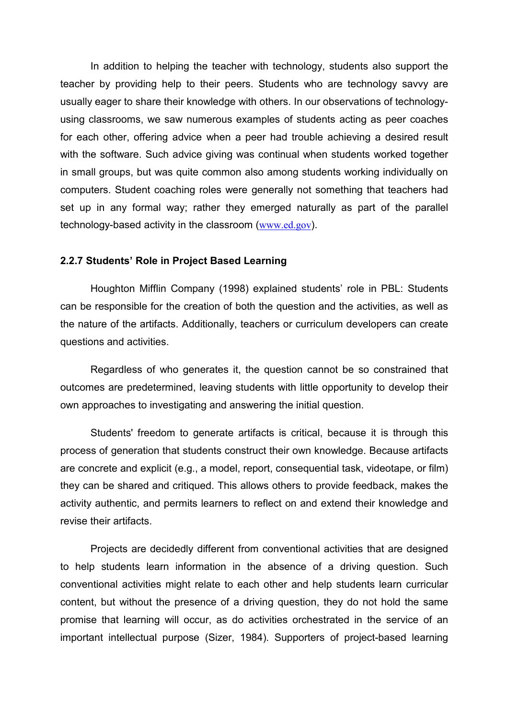In addition to helping the teacher with technology, students also support the teacher by providing help to their peers. Students who are technology savvy are usually eager to share their knowledge with others. In our observations of technologyusing classrooms, we saw numerous examples of students acting as peer coaches for each other, offering advice when a peer had trouble achieving a desired result with the software. Such advice giving was continual when students worked together in small groups, but was quite common also among students working individually on computers. Student coaching roles were generally not something that teachers had set up in any formal way; rather they emerged naturally as part of the parallel technology-based activity in the classroom (www.ed.gov).

### 2.2.7 Students' Role in Project Based Learning

 Houghton Mifflin Company (1998) explained students' role in PBL: Students can be responsible for the creation of both the question and the activities, as well as the nature of the artifacts. Additionally, teachers or curriculum developers can create questions and activities.

 Regardless of who generates it, the question cannot be so constrained that outcomes are predetermined, leaving students with little opportunity to develop their own approaches to investigating and answering the initial question.

 Students' freedom to generate artifacts is critical, because it is through this process of generation that students construct their own knowledge. Because artifacts are concrete and explicit (e.g., a model, report, consequential task, videotape, or film) they can be shared and critiqued. This allows others to provide feedback, makes the activity authentic, and permits learners to reflect on and extend their knowledge and revise their artifacts.

 Projects are decidedly different from conventional activities that are designed to help students learn information in the absence of a driving question. Such conventional activities might relate to each other and help students learn curricular content, but without the presence of a driving question, they do not hold the same promise that learning will occur, as do activities orchestrated in the service of an important intellectual purpose (Sizer, 1984). Supporters of project-based learning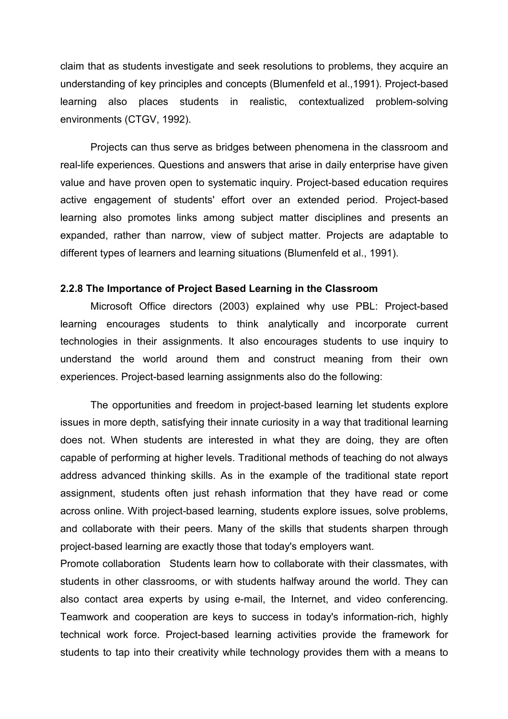claim that as students investigate and seek resolutions to problems, they acquire an understanding of key principles and concepts (Blumenfeld et al.,1991). Project-based learning also places students in realistic, contextualized problem-solving environments (CTGV, 1992).

 Projects can thus serve as bridges between phenomena in the classroom and real-life experiences. Questions and answers that arise in daily enterprise have given value and have proven open to systematic inquiry. Project-based education requires active engagement of students' effort over an extended period. Project-based learning also promotes links among subject matter disciplines and presents an expanded, rather than narrow, view of subject matter. Projects are adaptable to different types of learners and learning situations (Blumenfeld et al., 1991).

### 2.2.8 The Importance of Project Based Learning in the Classroom

 Microsoft Office directors (2003) explained why use PBL: Project-based learning encourages students to think analytically and incorporate current technologies in their assignments. It also encourages students to use inquiry to understand the world around them and construct meaning from their own experiences. Project-based learning assignments also do the following:

 The opportunities and freedom in project-based learning let students explore issues in more depth, satisfying their innate curiosity in a way that traditional learning does not. When students are interested in what they are doing, they are often capable of performing at higher levels. Traditional methods of teaching do not always address advanced thinking skills. As in the example of the traditional state report assignment, students often just rehash information that they have read or come across online. With project-based learning, students explore issues, solve problems, and collaborate with their peers. Many of the skills that students sharpen through project-based learning are exactly those that today's employers want.

Promote collaboration Students learn how to collaborate with their classmates, with students in other classrooms, or with students halfway around the world. They can also contact area experts by using e-mail, the Internet, and video conferencing. Teamwork and cooperation are keys to success in today's information-rich, highly technical work force. Project-based learning activities provide the framework for students to tap into their creativity while technology provides them with a means to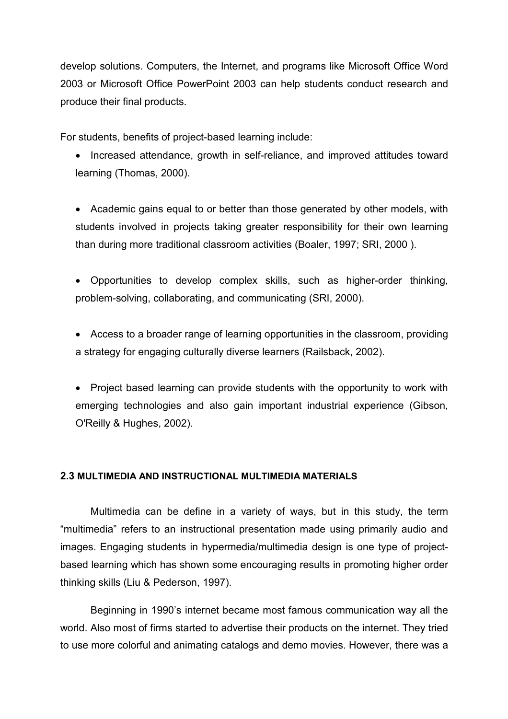develop solutions. Computers, the Internet, and programs like Microsoft Office Word 2003 or Microsoft Office PowerPoint 2003 can help students conduct research and produce their final products.

For students, benefits of project-based learning include:

• Increased attendance, growth in self-reliance, and improved attitudes toward learning (Thomas, 2000).

• Academic gains equal to or better than those generated by other models, with students involved in projects taking greater responsibility for their own learning than during more traditional classroom activities (Boaler, 1997; SRI, 2000 ).

• Opportunities to develop complex skills, such as higher-order thinking, problem-solving, collaborating, and communicating (SRI, 2000).

• Access to a broader range of learning opportunities in the classroom, providing a strategy for engaging culturally diverse learners (Railsback, 2002).

• Project based learning can provide students with the opportunity to work with emerging technologies and also gain important industrial experience (Gibson, O'Reilly & Hughes, 2002).

### 2.3 MULTIMEDIA AND INSTRUCTIONAL MULTIMEDIA MATERIALS

 Multimedia can be define in a variety of ways, but in this study, the term "multimedia" refers to an instructional presentation made using primarily audio and images. Engaging students in hypermedia/multimedia design is one type of projectbased learning which has shown some encouraging results in promoting higher order thinking skills (Liu & Pederson, 1997).

 Beginning in 1990's internet became most famous communication way all the world. Also most of firms started to advertise their products on the internet. They tried to use more colorful and animating catalogs and demo movies. However, there was a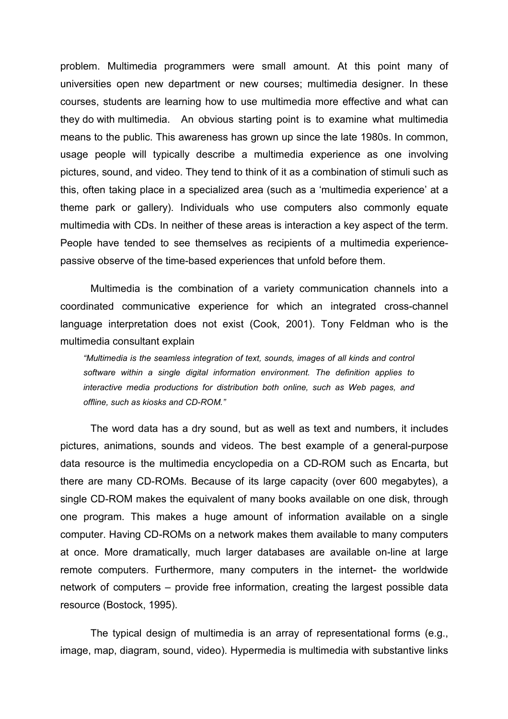problem. Multimedia programmers were small amount. At this point many of universities open new department or new courses; multimedia designer. In these courses, students are learning how to use multimedia more effective and what can they do with multimedia. An obvious starting point is to examine what multimedia means to the public. This awareness has grown up since the late 1980s. In common, usage people will typically describe a multimedia experience as one involving pictures, sound, and video. They tend to think of it as a combination of stimuli such as this, often taking place in a specialized area (such as a 'multimedia experience' at a theme park or gallery). Individuals who use computers also commonly equate multimedia with CDs. In neither of these areas is interaction a key aspect of the term. People have tended to see themselves as recipients of a multimedia experiencepassive observe of the time-based experiences that unfold before them.

 Multimedia is the combination of a variety communication channels into a coordinated communicative experience for which an integrated cross-channel language interpretation does not exist (Cook, 2001). Tony Feldman who is the multimedia consultant explain

"Multimedia is the seamless integration of text, sounds, images of all kinds and control software within a single digital information environment. The definition applies to interactive media productions for distribution both online, such as Web pages, and offline, such as kiosks and CD-ROM."

 The word data has a dry sound, but as well as text and numbers, it includes pictures, animations, sounds and videos. The best example of a general-purpose data resource is the multimedia encyclopedia on a CD-ROM such as Encarta, but there are many CD-ROMs. Because of its large capacity (over 600 megabytes), a single CD-ROM makes the equivalent of many books available on one disk, through one program. This makes a huge amount of information available on a single computer. Having CD-ROMs on a network makes them available to many computers at once. More dramatically, much larger databases are available on-line at large remote computers. Furthermore, many computers in the internet- the worldwide network of computers – provide free information, creating the largest possible data resource (Bostock, 1995).

 The typical design of multimedia is an array of representational forms (e.g., image, map, diagram, sound, video). Hypermedia is multimedia with substantive links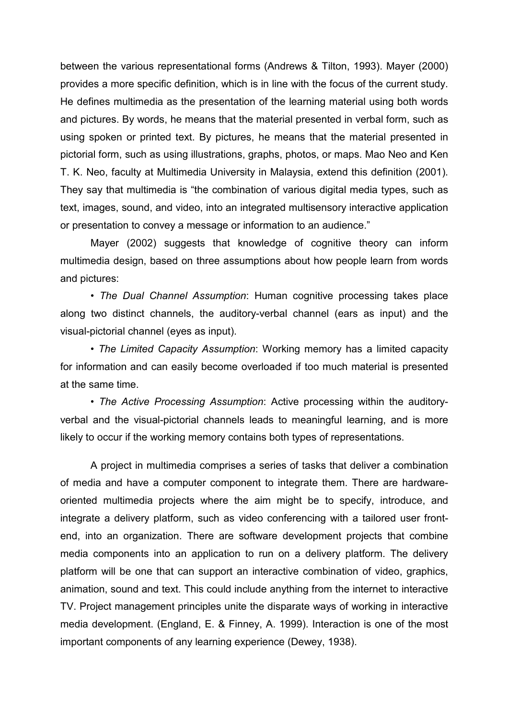between the various representational forms (Andrews & Tilton, 1993). Mayer (2000) provides a more specific definition, which is in line with the focus of the current study. He defines multimedia as the presentation of the learning material using both words and pictures. By words, he means that the material presented in verbal form, such as using spoken or printed text. By pictures, he means that the material presented in pictorial form, such as using illustrations, graphs, photos, or maps. Mao Neo and Ken T. K. Neo, faculty at Multimedia University in Malaysia, extend this definition (2001). They say that multimedia is "the combination of various digital media types, such as text, images, sound, and video, into an integrated multisensory interactive application or presentation to convey a message or information to an audience."

 Mayer (2002) suggests that knowledge of cognitive theory can inform multimedia design, based on three assumptions about how people learn from words and pictures:

• The Dual Channel Assumption: Human cognitive processing takes place along two distinct channels, the auditory-verbal channel (ears as input) and the visual-pictorial channel (eyes as input).

 • The Limited Capacity Assumption: Working memory has a limited capacity for information and can easily become overloaded if too much material is presented at the same time.

 • The Active Processing Assumption: Active processing within the auditoryverbal and the visual-pictorial channels leads to meaningful learning, and is more likely to occur if the working memory contains both types of representations.

 A project in multimedia comprises a series of tasks that deliver a combination of media and have a computer component to integrate them. There are hardwareoriented multimedia projects where the aim might be to specify, introduce, and integrate a delivery platform, such as video conferencing with a tailored user frontend, into an organization. There are software development projects that combine media components into an application to run on a delivery platform. The delivery platform will be one that can support an interactive combination of video, graphics, animation, sound and text. This could include anything from the internet to interactive TV. Project management principles unite the disparate ways of working in interactive media development. (England, E. & Finney, A. 1999). Interaction is one of the most important components of any learning experience (Dewey, 1938).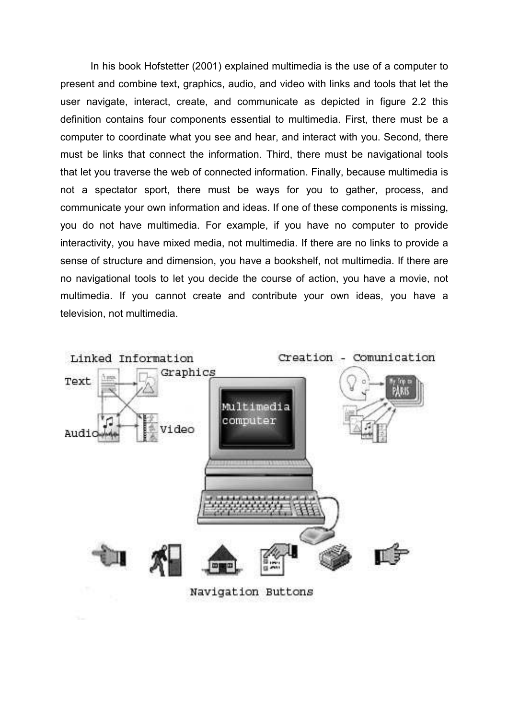In his book Hofstetter (2001) explained multimedia is the use of a computer to present and combine text, graphics, audio, and video with links and tools that let the user navigate, interact, create, and communicate as depicted in figure 2.2 this definition contains four components essential to multimedia. First, there must be a computer to coordinate what you see and hear, and interact with you. Second, there must be links that connect the information. Third, there must be navigational tools that let you traverse the web of connected information. Finally, because multimedia is not a spectator sport, there must be ways for you to gather, process, and communicate your own information and ideas. If one of these components is missing, you do not have multimedia. For example, if you have no computer to provide interactivity, you have mixed media, not multimedia. If there are no links to provide a sense of structure and dimension, you have a bookshelf, not multimedia. If there are no navigational tools to let you decide the course of action, you have a movie, not multimedia. If you cannot create and contribute your own ideas, you have a television, not multimedia.

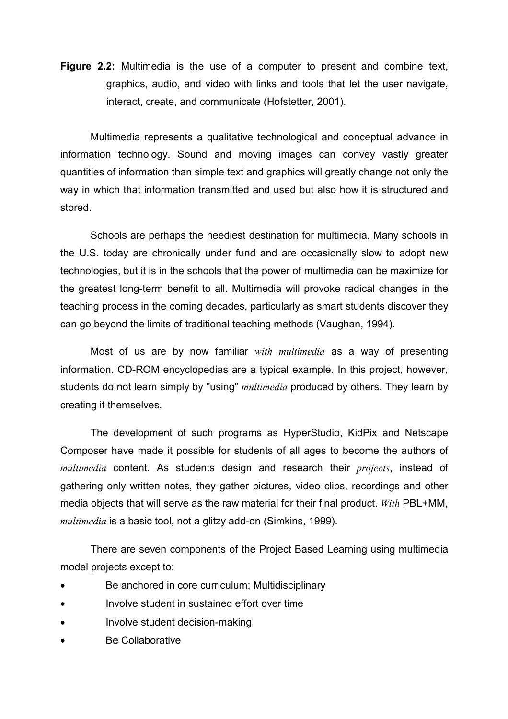Figure 2.2: Multimedia is the use of a computer to present and combine text, graphics, audio, and video with links and tools that let the user navigate, interact, create, and communicate (Hofstetter, 2001).

 Multimedia represents a qualitative technological and conceptual advance in information technology. Sound and moving images can convey vastly greater quantities of information than simple text and graphics will greatly change not only the way in which that information transmitted and used but also how it is structured and stored.

 Schools are perhaps the neediest destination for multimedia. Many schools in the U.S. today are chronically under fund and are occasionally slow to adopt new technologies, but it is in the schools that the power of multimedia can be maximize for the greatest long-term benefit to all. Multimedia will provoke radical changes in the teaching process in the coming decades, particularly as smart students discover they can go beyond the limits of traditional teaching methods (Vaughan, 1994).

Most of us are by now familiar with multimedia as a way of presenting information. CD-ROM encyclopedias are a typical example. In this project, however, students do not learn simply by "using" *multimedia* produced by others. They learn by creating it themselves.

 The development of such programs as HyperStudio, KidPix and Netscape Composer have made it possible for students of all ages to become the authors of multimedia content. As students design and research their *projects*, instead of gathering only written notes, they gather pictures, video clips, recordings and other media objects that will serve as the raw material for their final product. With PBL+MM, multimedia is a basic tool, not a glitzy add-on (Simkins, 1999).

 There are seven components of the Project Based Learning using multimedia model projects except to:

- Be anchored in core curriculum; Multidisciplinary
- Involve student in sustained effort over time
- Involve student decision-making
- Be Collaborative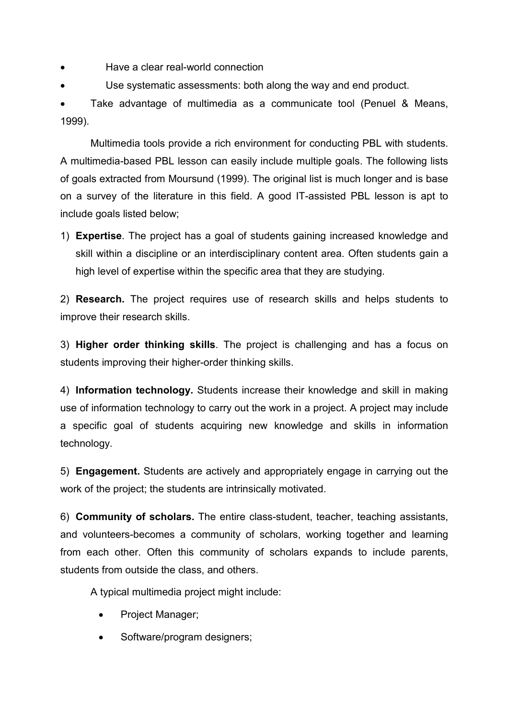- Have a clear real-world connection
- Use systematic assessments: both along the way and end product.

• Take advantage of multimedia as a communicate tool (Penuel & Means, 1999).

 Multimedia tools provide a rich environment for conducting PBL with students. A multimedia-based PBL lesson can easily include multiple goals. The following lists of goals extracted from Moursund (1999). The original list is much longer and is base on a survey of the literature in this field. A good IT-assisted PBL lesson is apt to include goals listed below;

1) Expertise. The project has a goal of students gaining increased knowledge and skill within a discipline or an interdisciplinary content area. Often students gain a high level of expertise within the specific area that they are studying.

2) Research. The project requires use of research skills and helps students to improve their research skills.

3) Higher order thinking skills. The project is challenging and has a focus on students improving their higher-order thinking skills.

4) Information technology. Students increase their knowledge and skill in making use of information technology to carry out the work in a project. A project may include a specific goal of students acquiring new knowledge and skills in information technology.

5) Engagement. Students are actively and appropriately engage in carrying out the work of the project; the students are intrinsically motivated.

6) Community of scholars. The entire class-student, teacher, teaching assistants, and volunteers-becomes a community of scholars, working together and learning from each other. Often this community of scholars expands to include parents, students from outside the class, and others.

A typical multimedia project might include:

- Project Manager;
- Software/program designers;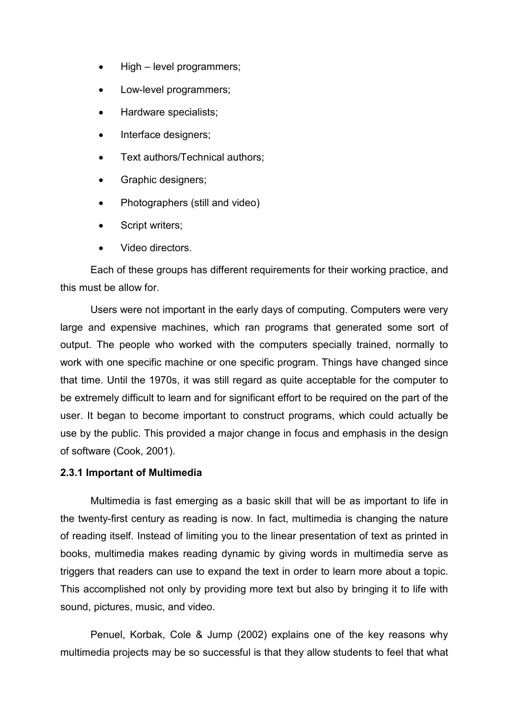- High level programmers;
- Low-level programmers:
- Hardware specialists;
- Interface designers;
- Text authors/Technical authors:
- Graphic designers;
- Photographers (still and video)
- Script writers:
- Video directors.

 Each of these groups has different requirements for their working practice, and this must be allow for.

 Users were not important in the early days of computing. Computers were very large and expensive machines, which ran programs that generated some sort of output. The people who worked with the computers specially trained, normally to work with one specific machine or one specific program. Things have changed since that time. Until the 1970s, it was still regard as quite acceptable for the computer to be extremely difficult to learn and for significant effort to be required on the part of the user. It began to become important to construct programs, which could actually be use by the public. This provided a major change in focus and emphasis in the design of software (Cook, 2001).

# 2.3.1 Important of Multimedia

 Multimedia is fast emerging as a basic skill that will be as important to life in the twenty-first century as reading is now. In fact, multimedia is changing the nature of reading itself. Instead of limiting you to the linear presentation of text as printed in books, multimedia makes reading dynamic by giving words in multimedia serve as triggers that readers can use to expand the text in order to learn more about a topic. This accomplished not only by providing more text but also by bringing it to life with sound, pictures, music, and video.

 Penuel, Korbak, Cole & Jump (2002) explains one of the key reasons why multimedia projects may be so successful is that they allow students to feel that what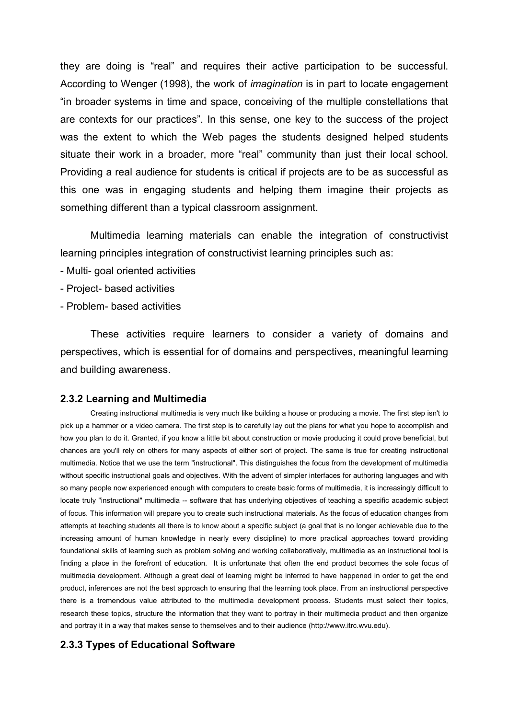they are doing is "real" and requires their active participation to be successful. According to Wenger (1998), the work of imagination is in part to locate engagement "in broader systems in time and space, conceiving of the multiple constellations that are contexts for our practices". In this sense, one key to the success of the project was the extent to which the Web pages the students designed helped students situate their work in a broader, more "real" community than just their local school. Providing a real audience for students is critical if projects are to be as successful as this one was in engaging students and helping them imagine their projects as something different than a typical classroom assignment.

 Multimedia learning materials can enable the integration of constructivist learning principles integration of constructivist learning principles such as:

- Multi- goal oriented activities
- Project- based activities
- Problem- based activities

 These activities require learners to consider a variety of domains and perspectives, which is essential for of domains and perspectives, meaningful learning and building awareness.

#### 2.3.2 Learning and Multimedia

 Creating instructional multimedia is very much like building a house or producing a movie. The first step isn't to pick up a hammer or a video camera. The first step is to carefully lay out the plans for what you hope to accomplish and how you plan to do it. Granted, if you know a little bit about construction or movie producing it could prove beneficial, but chances are you'll rely on others for many aspects of either sort of project. The same is true for creating instructional multimedia. Notice that we use the term "instructional". This distinguishes the focus from the development of multimedia without specific instructional goals and objectives. With the advent of simpler interfaces for authoring languages and with so many people now experienced enough with computers to create basic forms of multimedia, it is increasingly difficult to locate truly "instructional" multimedia -- software that has underlying objectives of teaching a specific academic subject of focus. This information will prepare you to create such instructional materials. As the focus of education changes from attempts at teaching students all there is to know about a specific subject (a goal that is no longer achievable due to the increasing amount of human knowledge in nearly every discipline) to more practical approaches toward providing foundational skills of learning such as problem solving and working collaboratively, multimedia as an instructional tool is finding a place in the forefront of education. It is unfortunate that often the end product becomes the sole focus of multimedia development. Although a great deal of learning might be inferred to have happened in order to get the end product, inferences are not the best approach to ensuring that the learning took place. From an instructional perspective there is a tremendous value attributed to the multimedia development process. Students must select their topics, research these topics, structure the information that they want to portray in their multimedia product and then organize and portray it in a way that makes sense to themselves and to their audience (http://www.itrc.wvu.edu).

#### 2.3.3 Types of Educational Software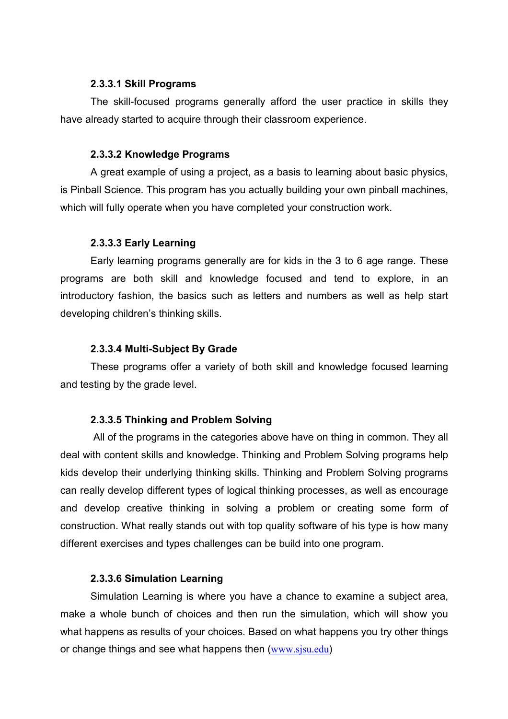### 2.3.3.1 Skill Programs

 The skill-focused programs generally afford the user practice in skills they have already started to acquire through their classroom experience.

### 2.3.3.2 Knowledge Programs

A great example of using a project, as a basis to learning about basic physics, is Pinball Science. This program has you actually building your own pinball machines, which will fully operate when you have completed your construction work.

# 2.3.3.3 Early Learning

 Early learning programs generally are for kids in the 3 to 6 age range. These programs are both skill and knowledge focused and tend to explore, in an introductory fashion, the basics such as letters and numbers as well as help start developing children's thinking skills.

# 2.3.3.4 Multi-Subject By Grade

 These programs offer a variety of both skill and knowledge focused learning and testing by the grade level.

### 2.3.3.5 Thinking and Problem Solving

 All of the programs in the categories above have on thing in common. They all deal with content skills and knowledge. Thinking and Problem Solving programs help kids develop their underlying thinking skills. Thinking and Problem Solving programs can really develop different types of logical thinking processes, as well as encourage and develop creative thinking in solving a problem or creating some form of construction. What really stands out with top quality software of his type is how many different exercises and types challenges can be build into one program.

# 2.3.3.6 Simulation Learning

 Simulation Learning is where you have a chance to examine a subject area, make a whole bunch of choices and then run the simulation, which will show you what happens as results of your choices. Based on what happens you try other things or change things and see what happens then (www.sjsu.edu)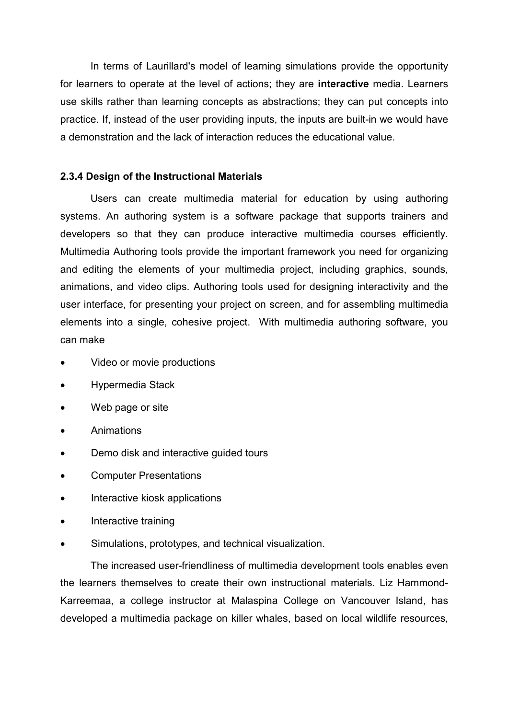In terms of Laurillard's model of learning simulations provide the opportunity for learners to operate at the level of actions; they are interactive media. Learners use skills rather than learning concepts as abstractions; they can put concepts into practice. If, instead of the user providing inputs, the inputs are built-in we would have a demonstration and the lack of interaction reduces the educational value.

### 2.3.4 Design of the Instructional Materials

 Users can create multimedia material for education by using authoring systems. An authoring system is a software package that supports trainers and developers so that they can produce interactive multimedia courses efficiently. Multimedia Authoring tools provide the important framework you need for organizing and editing the elements of your multimedia project, including graphics, sounds, animations, and video clips. Authoring tools used for designing interactivity and the user interface, for presenting your project on screen, and for assembling multimedia elements into a single, cohesive project. With multimedia authoring software, you can make

- Video or movie productions
- Hypermedia Stack
- Web page or site
- Animations
- Demo disk and interactive guided tours
- Computer Presentations
- Interactive kiosk applications
- Interactive training
- Simulations, prototypes, and technical visualization.

 The increased user-friendliness of multimedia development tools enables even the learners themselves to create their own instructional materials. Liz Hammond-Karreemaa, a college instructor at Malaspina College on Vancouver Island, has developed a multimedia package on killer whales, based on local wildlife resources,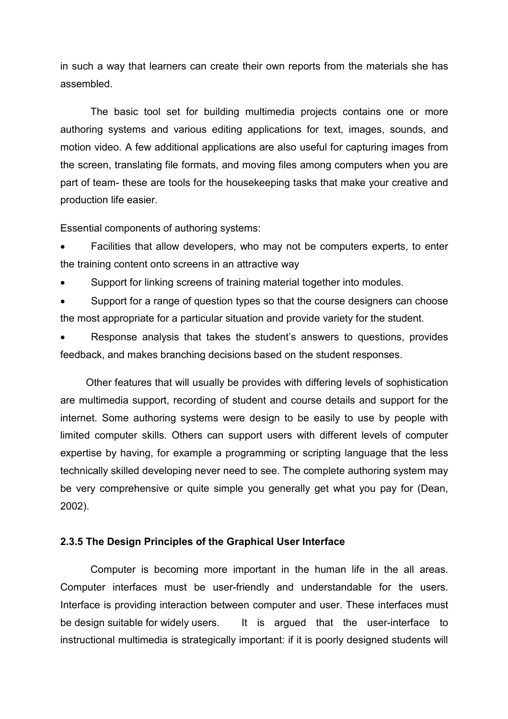in such a way that learners can create their own reports from the materials she has assembled.

 The basic tool set for building multimedia projects contains one or more authoring systems and various editing applications for text, images, sounds, and motion video. A few additional applications are also useful for capturing images from the screen, translating file formats, and moving files among computers when you are part of team- these are tools for the housekeeping tasks that make your creative and production life easier.

Essential components of authoring systems:

• Facilities that allow developers, who may not be computers experts, to enter the training content onto screens in an attractive way

• Support for linking screens of training material together into modules.

• Support for a range of question types so that the course designers can choose the most appropriate for a particular situation and provide variety for the student.

• Response analysis that takes the student's answers to questions, provides feedback, and makes branching decisions based on the student responses.

 Other features that will usually be provides with differing levels of sophistication are multimedia support, recording of student and course details and support for the internet. Some authoring systems were design to be easily to use by people with limited computer skills. Others can support users with different levels of computer expertise by having, for example a programming or scripting language that the less technically skilled developing never need to see. The complete authoring system may be very comprehensive or quite simple you generally get what you pay for (Dean, 2002).

### 2.3.5 The Design Principles of the Graphical User Interface

 Computer is becoming more important in the human life in the all areas. Computer interfaces must be user-friendly and understandable for the users. Interface is providing interaction between computer and user. These interfaces must be design suitable for widely users. It is argued that the user-interface to instructional multimedia is strategically important: if it is poorly designed students will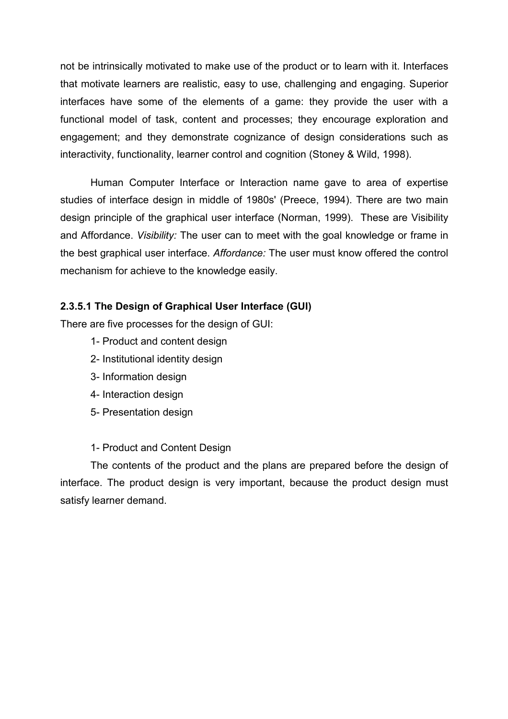not be intrinsically motivated to make use of the product or to learn with it. Interfaces that motivate learners are realistic, easy to use, challenging and engaging. Superior interfaces have some of the elements of a game: they provide the user with a functional model of task, content and processes; they encourage exploration and engagement; and they demonstrate cognizance of design considerations such as interactivity, functionality, learner control and cognition (Stoney & Wild, 1998).

 Human Computer Interface or Interaction name gave to area of expertise studies of interface design in middle of 1980s' (Preece, 1994). There are two main design principle of the graphical user interface (Norman, 1999). These are Visibility and Affordance. Visibility: The user can to meet with the goal knowledge or frame in the best graphical user interface. Affordance: The user must know offered the control mechanism for achieve to the knowledge easily.

# 2.3.5.1 The Design of Graphical User Interface (GUI)

There are five processes for the design of GUI:

- 1- Product and content design
- 2- Institutional identity design
- 3- Information design
- 4- Interaction design
- 5- Presentation design

1- Product and Content Design

 The contents of the product and the plans are prepared before the design of interface. The product design is very important, because the product design must satisfy learner demand.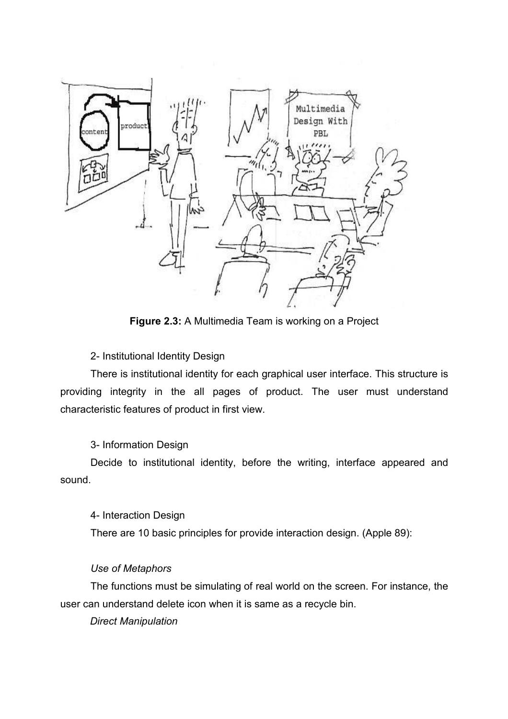

Figure 2.3: A Multimedia Team is working on a Project

2- Institutional Identity Design

 There is institutional identity for each graphical user interface. This structure is providing integrity in the all pages of product. The user must understand characteristic features of product in first view.

3- Information Design

 Decide to institutional identity, before the writing, interface appeared and sound.

4- Interaction Design

There are 10 basic principles for provide interaction design. (Apple 89):

# Use of Metaphors

 The functions must be simulating of real world on the screen. For instance, the user can understand delete icon when it is same as a recycle bin.

Direct Manipulation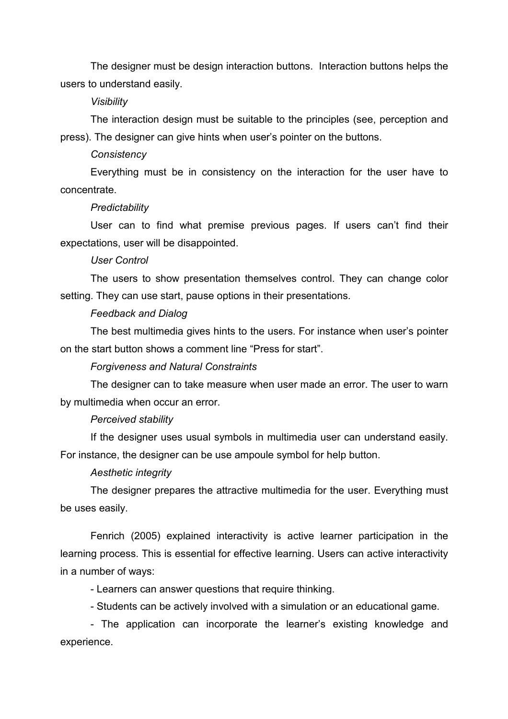The designer must be design interaction buttons. Interaction buttons helps the users to understand easily.

#### Visibility

 The interaction design must be suitable to the principles (see, perception and press). The designer can give hints when user's pointer on the buttons.

#### **Consistency**

 Everything must be in consistency on the interaction for the user have to concentrate.

#### **Predictability**

 User can to find what premise previous pages. If users can't find their expectations, user will be disappointed.

#### User Control

 The users to show presentation themselves control. They can change color setting. They can use start, pause options in their presentations.

#### Feedback and Dialog

 The best multimedia gives hints to the users. For instance when user's pointer on the start button shows a comment line "Press for start".

## Forgiveness and Natural Constraints

 The designer can to take measure when user made an error. The user to warn by multimedia when occur an error.

## Perceived stability

 If the designer uses usual symbols in multimedia user can understand easily. For instance, the designer can be use ampoule symbol for help button.

#### Aesthetic integrity

 The designer prepares the attractive multimedia for the user. Everything must be uses easily.

Fenrich (2005) explained interactivity is active learner participation in the learning process. This is essential for effective learning. Users can active interactivity in a number of ways:

- Learners can answer questions that require thinking.

- Students can be actively involved with a simulation or an educational game.

 - The application can incorporate the learner's existing knowledge and experience.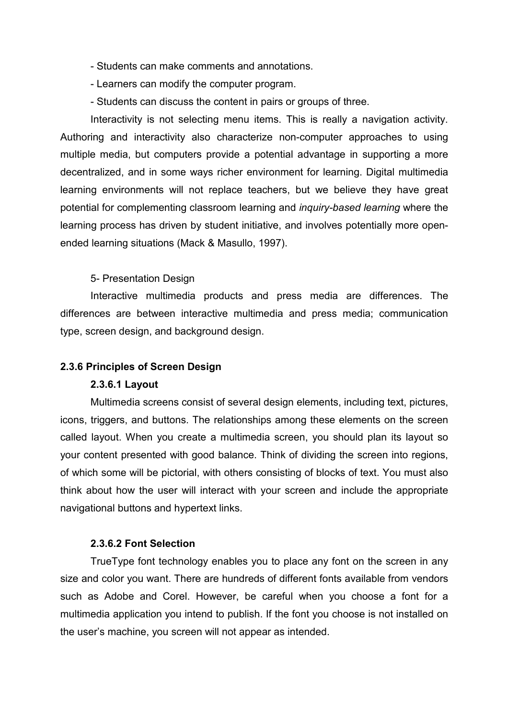- Students can make comments and annotations.
- Learners can modify the computer program.
- Students can discuss the content in pairs or groups of three.

 Interactivity is not selecting menu items. This is really a navigation activity. Authoring and interactivity also characterize non-computer approaches to using multiple media, but computers provide a potential advantage in supporting a more decentralized, and in some ways richer environment for learning. Digital multimedia learning environments will not replace teachers, but we believe they have great potential for complementing classroom learning and inquiry-based learning where the learning process has driven by student initiative, and involves potentially more openended learning situations (Mack & Masullo, 1997).

## 5- Presentation Design

 Interactive multimedia products and press media are differences. The differences are between interactive multimedia and press media; communication type, screen design, and background design.

#### 2.3.6 Principles of Screen Design

#### 2.3.6.1 Layout

 Multimedia screens consist of several design elements, including text, pictures, icons, triggers, and buttons. The relationships among these elements on the screen called layout. When you create a multimedia screen, you should plan its layout so your content presented with good balance. Think of dividing the screen into regions, of which some will be pictorial, with others consisting of blocks of text. You must also think about how the user will interact with your screen and include the appropriate navigational buttons and hypertext links.

#### 2.3.6.2 Font Selection

 TrueType font technology enables you to place any font on the screen in any size and color you want. There are hundreds of different fonts available from vendors such as Adobe and Corel. However, be careful when you choose a font for a multimedia application you intend to publish. If the font you choose is not installed on the user's machine, you screen will not appear as intended.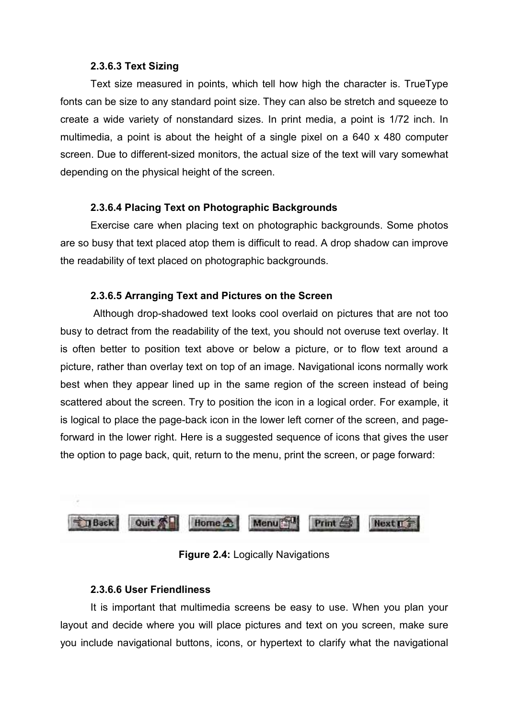## 2.3.6.3 Text Sizing

 Text size measured in points, which tell how high the character is. TrueType fonts can be size to any standard point size. They can also be stretch and squeeze to create a wide variety of nonstandard sizes. In print media, a point is 1/72 inch. In multimedia, a point is about the height of a single pixel on a 640 x 480 computer screen. Due to different-sized monitors, the actual size of the text will vary somewhat depending on the physical height of the screen.

## 2.3.6.4 Placing Text on Photographic Backgrounds

Exercise care when placing text on photographic backgrounds. Some photos are so busy that text placed atop them is difficult to read. A drop shadow can improve the readability of text placed on photographic backgrounds.

## 2.3.6.5 Arranging Text and Pictures on the Screen

 Although drop-shadowed text looks cool overlaid on pictures that are not too busy to detract from the readability of the text, you should not overuse text overlay. It is often better to position text above or below a picture, or to flow text around a picture, rather than overlay text on top of an image. Navigational icons normally work best when they appear lined up in the same region of the screen instead of being scattered about the screen. Try to position the icon in a logical order. For example, it is logical to place the page-back icon in the lower left corner of the screen, and pageforward in the lower right. Here is a suggested sequence of icons that gives the user the option to page back, quit, return to the menu, print the screen, or page forward:



Figure 2.4: Logically Navigations

## 2.3.6.6 User Friendliness

 It is important that multimedia screens be easy to use. When you plan your layout and decide where you will place pictures and text on you screen, make sure you include navigational buttons, icons, or hypertext to clarify what the navigational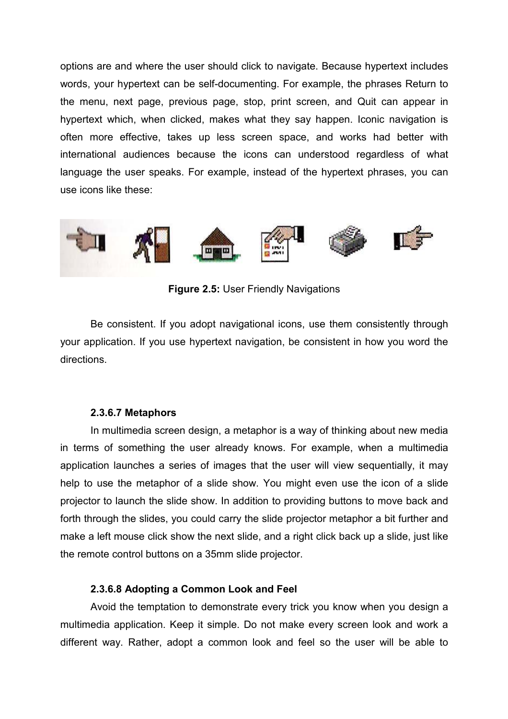options are and where the user should click to navigate. Because hypertext includes words, your hypertext can be self-documenting. For example, the phrases Return to the menu, next page, previous page, stop, print screen, and Quit can appear in hypertext which, when clicked, makes what they say happen. Iconic navigation is often more effective, takes up less screen space, and works had better with international audiences because the icons can understood regardless of what language the user speaks. For example, instead of the hypertext phrases, you can use icons like these:



Figure 2.5: User Friendly Navigations

 Be consistent. If you adopt navigational icons, use them consistently through your application. If you use hypertext navigation, be consistent in how you word the directions.

## 2.3.6.7 Metaphors

In multimedia screen design, a metaphor is a way of thinking about new media in terms of something the user already knows. For example, when a multimedia application launches a series of images that the user will view sequentially, it may help to use the metaphor of a slide show. You might even use the icon of a slide projector to launch the slide show. In addition to providing buttons to move back and forth through the slides, you could carry the slide projector metaphor a bit further and make a left mouse click show the next slide, and a right click back up a slide, just like the remote control buttons on a 35mm slide projector.

## 2.3.6.8 Adopting a Common Look and Feel

 Avoid the temptation to demonstrate every trick you know when you design a multimedia application. Keep it simple. Do not make every screen look and work a different way. Rather, adopt a common look and feel so the user will be able to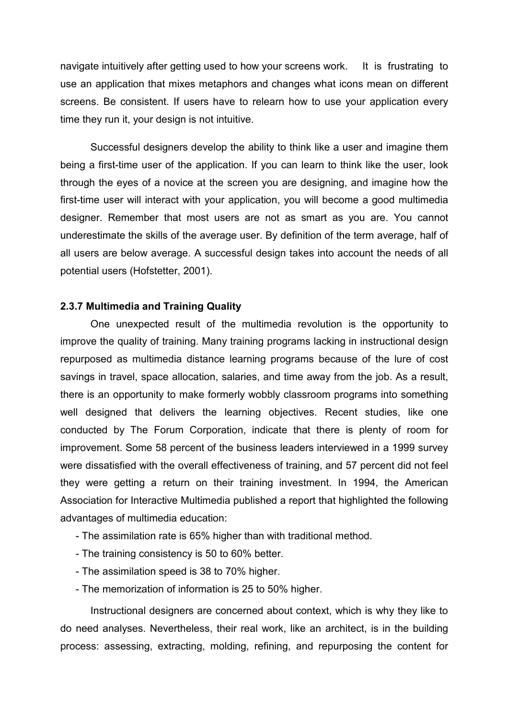navigate intuitively after getting used to how your screens work. It is frustrating to use an application that mixes metaphors and changes what icons mean on different screens. Be consistent. If users have to relearn how to use your application every time they run it, your design is not intuitive.

 Successful designers develop the ability to think like a user and imagine them being a first-time user of the application. If you can learn to think like the user, look through the eyes of a novice at the screen you are designing, and imagine how the first-time user will interact with your application, you will become a good multimedia designer. Remember that most users are not as smart as you are. You cannot underestimate the skills of the average user. By definition of the term average, half of all users are below average. A successful design takes into account the needs of all potential users (Hofstetter, 2001).

## 2.3.7 Multimedia and Training Quality

 One unexpected result of the multimedia revolution is the opportunity to improve the quality of training. Many training programs lacking in instructional design repurposed as multimedia distance learning programs because of the lure of cost savings in travel, space allocation, salaries, and time away from the job. As a result, there is an opportunity to make formerly wobbly classroom programs into something well designed that delivers the learning objectives. Recent studies, like one conducted by The Forum Corporation, indicate that there is plenty of room for improvement. Some 58 percent of the business leaders interviewed in a 1999 survey were dissatisfied with the overall effectiveness of training, and 57 percent did not feel they were getting a return on their training investment. In 1994, the American Association for Interactive Multimedia published a report that highlighted the following advantages of multimedia education:

- The assimilation rate is 65% higher than with traditional method.
- The training consistency is 50 to 60% better.
- The assimilation speed is 38 to 70% higher.
- The memorization of information is 25 to 50% higher.

 Instructional designers are concerned about context, which is why they like to do need analyses. Nevertheless, their real work, like an architect, is in the building process: assessing, extracting, molding, refining, and repurposing the content for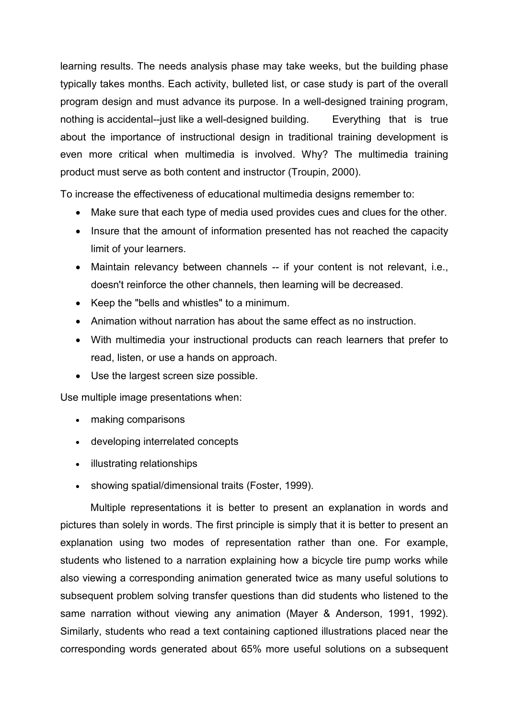learning results. The needs analysis phase may take weeks, but the building phase typically takes months. Each activity, bulleted list, or case study is part of the overall program design and must advance its purpose. In a well-designed training program, nothing is accidental--just like a well-designed building. Everything that is true about the importance of instructional design in traditional training development is even more critical when multimedia is involved. Why? The multimedia training product must serve as both content and instructor (Troupin, 2000).

To increase the effectiveness of educational multimedia designs remember to:

- Make sure that each type of media used provides cues and clues for the other.
- Insure that the amount of information presented has not reached the capacity limit of your learners.
- Maintain relevancy between channels -- if your content is not relevant, i.e., doesn't reinforce the other channels, then learning will be decreased.
- Keep the "bells and whistles" to a minimum.
- Animation without narration has about the same effect as no instruction.
- With multimedia your instructional products can reach learners that prefer to read, listen, or use a hands on approach.
- Use the largest screen size possible.

Use multiple image presentations when:

- making comparisons
- developing interrelated concepts
- illustrating relationships
- showing spatial/dimensional traits (Foster, 1999).

 Multiple representations it is better to present an explanation in words and pictures than solely in words. The first principle is simply that it is better to present an explanation using two modes of representation rather than one. For example, students who listened to a narration explaining how a bicycle tire pump works while also viewing a corresponding animation generated twice as many useful solutions to subsequent problem solving transfer questions than did students who listened to the same narration without viewing any animation (Mayer & Anderson, 1991, 1992). Similarly, students who read a text containing captioned illustrations placed near the corresponding words generated about 65% more useful solutions on a subsequent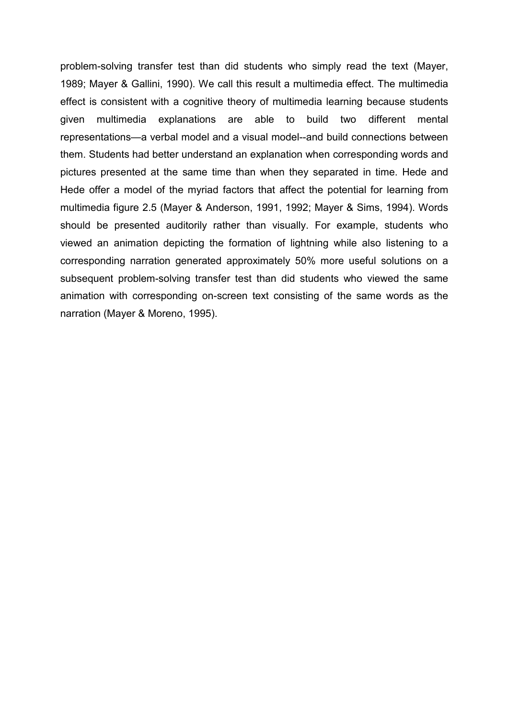problem-solving transfer test than did students who simply read the text (Mayer, 1989; Mayer & Gallini, 1990). We call this result a multimedia effect. The multimedia effect is consistent with a cognitive theory of multimedia learning because students given multimedia explanations are able to build two different mental representations—a verbal model and a visual model--and build connections between them. Students had better understand an explanation when corresponding words and pictures presented at the same time than when they separated in time. Hede and Hede offer a model of the myriad factors that affect the potential for learning from multimedia figure 2.5 (Mayer & Anderson, 1991, 1992; Mayer & Sims, 1994). Words should be presented auditorily rather than visually. For example, students who viewed an animation depicting the formation of lightning while also listening to a corresponding narration generated approximately 50% more useful solutions on a subsequent problem-solving transfer test than did students who viewed the same animation with corresponding on-screen text consisting of the same words as the narration (Mayer & Moreno, 1995).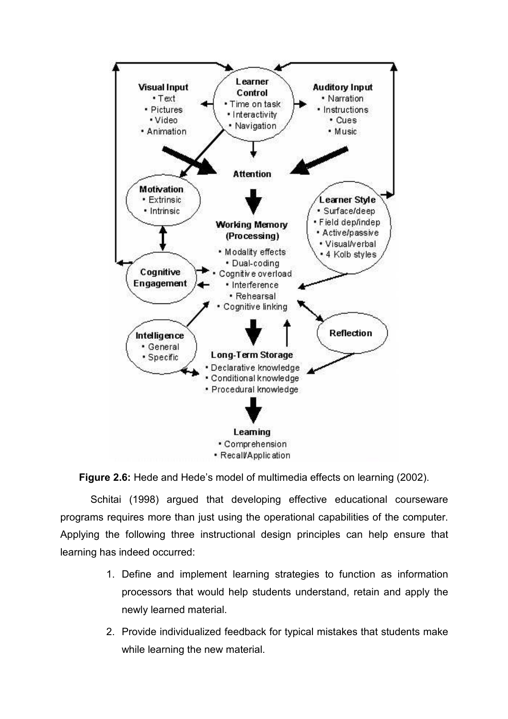



 Schitai (1998) argued that developing effective educational courseware programs requires more than just using the operational capabilities of the computer. Applying the following three instructional design principles can help ensure that learning has indeed occurred:

- 1. Define and implement learning strategies to function as information processors that would help students understand, retain and apply the newly learned material.
- 2. Provide individualized feedback for typical mistakes that students make while learning the new material.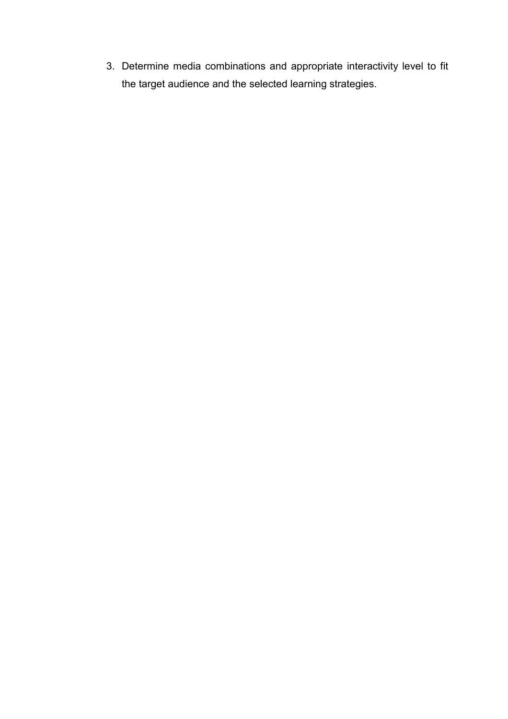3. Determine media combinations and appropriate interactivity level to fit the target audience and the selected learning strategies.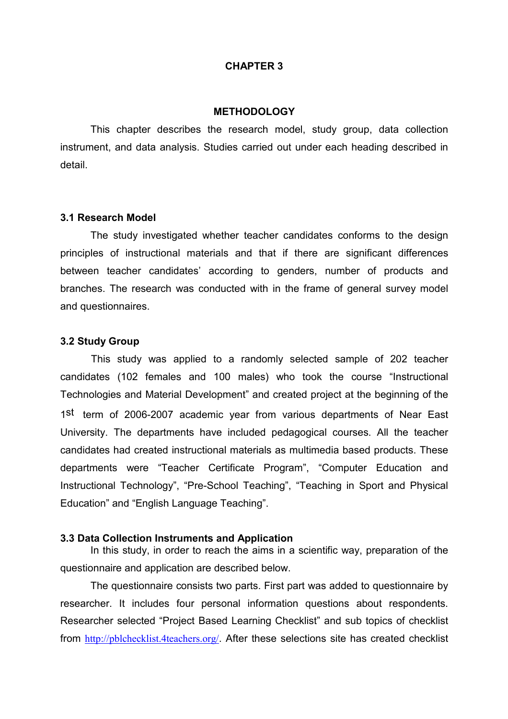#### CHAPTER 3

#### **METHODOLOGY**

 This chapter describes the research model, study group, data collection instrument, and data analysis. Studies carried out under each heading described in detail.

#### 3.1 Research Model

 The study investigated whether teacher candidates conforms to the design principles of instructional materials and that if there are significant differences between teacher candidates' according to genders, number of products and branches. The research was conducted with in the frame of general survey model and questionnaires.

#### 3.2 Study Group

 This study was applied to a randomly selected sample of 202 teacher candidates (102 females and 100 males) who took the course "Instructional Technologies and Material Development" and created project at the beginning of the 1st term of 2006-2007 academic year from various departments of Near East University. The departments have included pedagogical courses. All the teacher candidates had created instructional materials as multimedia based products. These departments were "Teacher Certificate Program", "Computer Education and Instructional Technology", "Pre-School Teaching", "Teaching in Sport and Physical Education" and "English Language Teaching".

#### 3.3 Data Collection Instruments and Application

 In this study, in order to reach the aims in a scientific way, preparation of the questionnaire and application are described below.

 The questionnaire consists two parts. First part was added to questionnaire by researcher. It includes four personal information questions about respondents. Researcher selected "Project Based Learning Checklist" and sub topics of checklist from http://pblchecklist.4teachers.org/. After these selections site has created checklist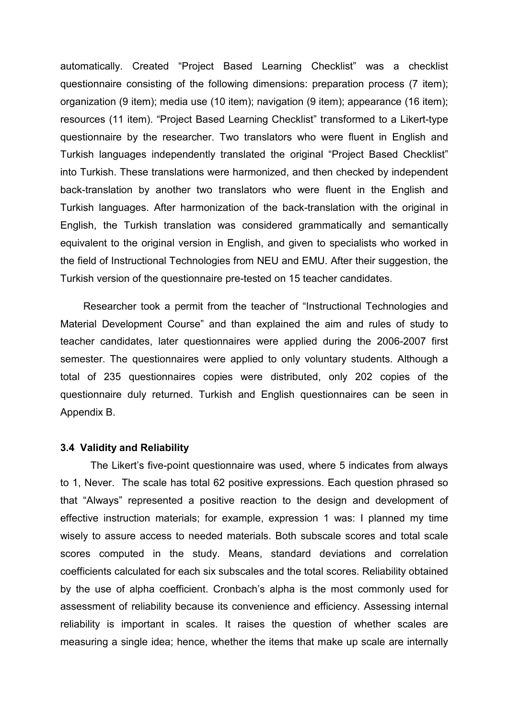automatically. Created "Project Based Learning Checklist" was a checklist questionnaire consisting of the following dimensions: preparation process (7 item); organization (9 item); media use (10 item); navigation (9 item); appearance (16 item); resources (11 item). "Project Based Learning Checklist" transformed to a Likert-type questionnaire by the researcher. Two translators who were fluent in English and Turkish languages independently translated the original "Project Based Checklist" into Turkish. These translations were harmonized, and then checked by independent back-translation by another two translators who were fluent in the English and Turkish languages. After harmonization of the back-translation with the original in English, the Turkish translation was considered grammatically and semantically equivalent to the original version in English, and given to specialists who worked in the field of Instructional Technologies from NEU and EMU. After their suggestion, the Turkish version of the questionnaire pre-tested on 15 teacher candidates.

 Researcher took a permit from the teacher of "Instructional Technologies and Material Development Course" and than explained the aim and rules of study to teacher candidates, later questionnaires were applied during the 2006-2007 first semester. The questionnaires were applied to only voluntary students. Although a total of 235 questionnaires copies were distributed, only 202 copies of the questionnaire duly returned. Turkish and English questionnaires can be seen in Appendix B.

#### 3.4 Validity and Reliability

The Likert's five-point questionnaire was used, where 5 indicates from always to 1, Never. The scale has total 62 positive expressions. Each question phrased so that "Always" represented a positive reaction to the design and development of effective instruction materials; for example, expression 1 was: I planned my time wisely to assure access to needed materials. Both subscale scores and total scale scores computed in the study. Means, standard deviations and correlation coefficients calculated for each six subscales and the total scores. Reliability obtained by the use of alpha coefficient. Cronbach's alpha is the most commonly used for assessment of reliability because its convenience and efficiency. Assessing internal reliability is important in scales. It raises the question of whether scales are measuring a single idea; hence, whether the items that make up scale are internally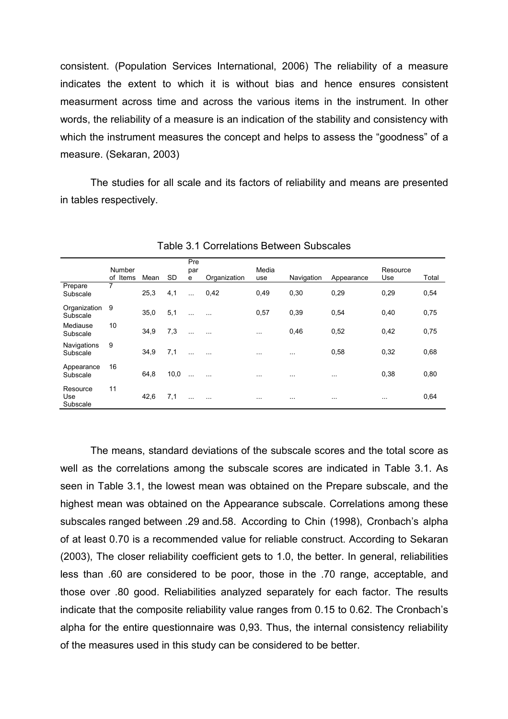consistent. (Population Services International, 2006) The reliability of a measure indicates the extent to which it is without bias and hence ensures consistent measurment across time and across the various items in the instrument. In other words, the reliability of a measure is an indication of the stability and consistency with which the instrument measures the concept and helps to assess the "goodness" of a measure. (Sekaran, 2003)

The studies for all scale and its factors of reliability and means are presented in tables respectively.

|                             | Number<br>of Items | Mean | <b>SD</b> | Pre<br>par<br>e | Organization | Media<br>use | Navigation | Appearance | Resource<br>Use | Total |
|-----------------------------|--------------------|------|-----------|-----------------|--------------|--------------|------------|------------|-----------------|-------|
| Prepare<br>Subscale         | 7                  | 25,3 | 4,1       | $\ddotsc$       | 0,42         | 0,49         | 0,30       | 0.29       | 0,29            | 0,54  |
| Organization<br>Subscale    | 9                  | 35,0 | 5,1       | $\cdots$        | $\cdots$     | 0,57         | 0,39       | 0.54       | 0,40            | 0,75  |
| Mediause<br>Subscale        | 10                 | 34,9 | 7,3       | $\cdots$        | $\cdots$     | $\cdots$     | 0,46       | 0,52       | 0,42            | 0,75  |
| Navigations<br>Subscale     | 9                  | 34,9 | 7,1       | $\ldots$        | $\ddotsc$    | $\cdots$     | $\cdots$   | 0,58       | 0,32            | 0,68  |
| Appearance<br>Subscale      | 16                 | 64,8 | 10,0      | $\ddotsc$       | $\cdots$     | $\cdots$     | $\cdots$   | $\cdots$   | 0,38            | 0,80  |
| Resource<br>Use<br>Subscale | 11                 | 42,6 | 7,1       | $\cdots$        | $\cdots$     | $\cdots$     | $\cdots$   | $\cdots$   | $\cdots$        | 0,64  |

Table 3.1 Correlations Between Subscales

The means, standard deviations of the subscale scores and the total score as well as the correlations among the subscale scores are indicated in Table 3.1. As seen in Table 3.1, the lowest mean was obtained on the Prepare subscale, and the highest mean was obtained on the Appearance subscale. Correlations among these subscales ranged between .29 and.58. According to Chin (1998), Cronbach's alpha of at least 0.70 is a recommended value for reliable construct. According to Sekaran (2003), The closer reliability coefficient gets to 1.0, the better. In general, reliabilities less than .60 are considered to be poor, those in the .70 range, acceptable, and those over .80 good. Reliabilities analyzed separately for each factor. The results indicate that the composite reliability value ranges from 0.15 to 0.62. The Cronbach's alpha for the entire questionnaire was 0,93. Thus, the internal consistency reliability of the measures used in this study can be considered to be better.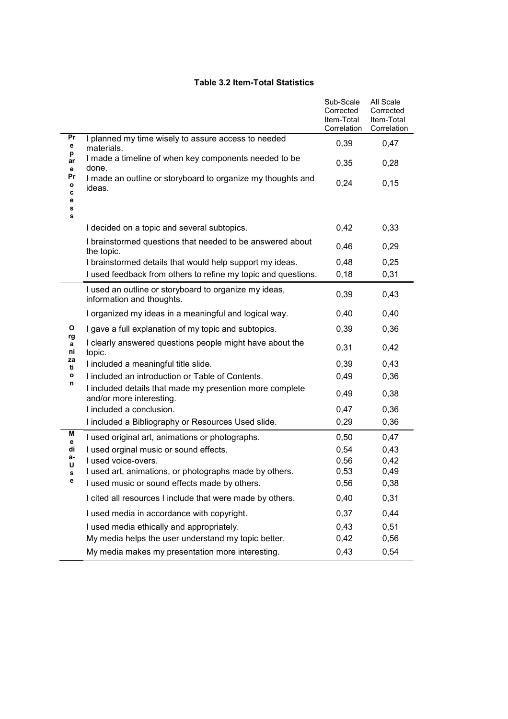#### Table 3.2 Item-Total Statistics

|                             |                                                                                      | Sub-Scale<br>Corrected<br>Item-Total<br>Correlation | All Scale<br>Corrected<br>Item-Total<br>Correlation |
|-----------------------------|--------------------------------------------------------------------------------------|-----------------------------------------------------|-----------------------------------------------------|
| Pr<br>е                     | I planned my time wisely to assure access to needed<br>materials.                    | 0,39                                                | 0,47                                                |
| р<br>ar<br>е                | I made a timeline of when key components needed to be<br>done.                       | 0,35                                                | 0,28                                                |
| Pr<br>о<br>c<br>е<br>s<br>s | I made an outline or storyboard to organize my thoughts and<br>ideas.                | 0,24                                                | 0, 15                                               |
|                             | I decided on a topic and several subtopics.                                          | 0,42                                                | 0,33                                                |
|                             | I brainstormed questions that needed to be answered about<br>the topic.              | 0,46                                                | 0,29                                                |
|                             | I brainstormed details that would help support my ideas.                             | 0,48                                                | 0,25                                                |
|                             | I used feedback from others to refine my topic and questions.                        | 0,18                                                | 0,31                                                |
|                             | I used an outline or storyboard to organize my ideas,<br>information and thoughts.   | 0,39                                                | 0,43                                                |
|                             | I organized my ideas in a meaningful and logical way.                                | 0,40                                                | 0,40                                                |
| O                           | I gave a full explanation of my topic and subtopics.                                 | 0,39                                                | 0,36                                                |
| rg<br>a<br>ni               | I clearly answered questions people might have about the<br>topic.                   | 0,31                                                | 0,42                                                |
| za<br>ti                    | I included a meaningful title slide.                                                 | 0,39                                                | 0,43                                                |
| о<br>n                      | I included an introduction or Table of Contents.                                     | 0,49                                                | 0,36                                                |
|                             | I included details that made my presention more complete<br>and/or more interesting. | 0,49                                                | 0,38                                                |
|                             | I included a conclusion.                                                             | 0,47                                                | 0,36                                                |
|                             | I included a Bibliography or Resources Used slide.                                   | 0,29                                                | 0,36                                                |
| Μ<br>е                      | I used original art, animations or photographs.                                      | 0,50                                                | 0,47                                                |
| di<br>а-                    | I used orginal music or sound effects.                                               | 0,54                                                | 0,43                                                |
| U                           | I used voice-overs.<br>I used art, animations, or photographs made by others.        | 0,56<br>0,53                                        | 0,42<br>0,49                                        |
| s<br>е                      | I used music or sound effects made by others.                                        | 0,56                                                | 0,38                                                |
|                             | I cited all resources I include that were made by others.                            | 0,40                                                | 0,31                                                |
|                             | I used media in accordance with copyright.                                           | 0,37                                                | 0,44                                                |
|                             | I used media ethically and appropriately.                                            | 0,43                                                | 0,51                                                |
|                             | My media helps the user understand my topic better.                                  | 0,42                                                | 0,56                                                |
|                             | My media makes my presentation more interesting.                                     | 0,43                                                | 0,54                                                |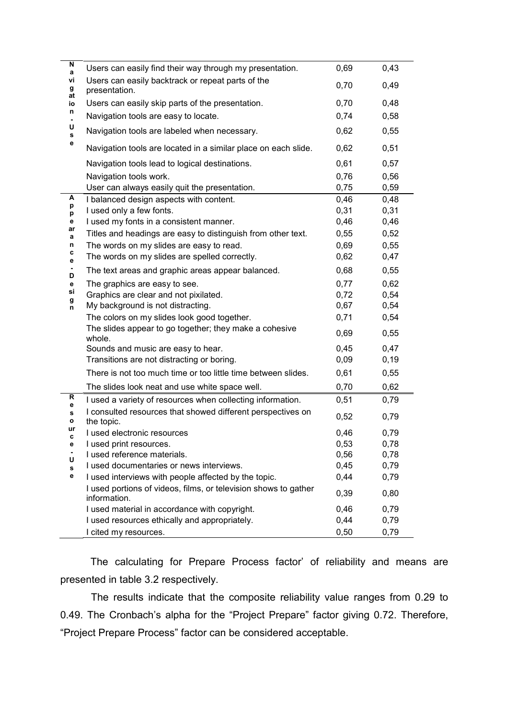| N<br>a         | Users can easily find their way through my presentation.                        | 0,69 | 0,43  |
|----------------|---------------------------------------------------------------------------------|------|-------|
| ٧İ<br>g<br>at  | Users can easily backtrack or repeat parts of the<br>presentation.              | 0,70 | 0,49  |
| io             | Users can easily skip parts of the presentation.                                | 0,70 | 0,48  |
| n              | Navigation tools are easy to locate.                                            | 0,74 | 0,58  |
| U<br>s         | Navigation tools are labeled when necessary.                                    | 0,62 | 0,55  |
| е              | Navigation tools are located in a similar place on each slide.                  | 0,62 | 0,51  |
|                | Navigation tools lead to logical destinations.                                  | 0,61 | 0,57  |
|                | Navigation tools work.                                                          | 0,76 | 0,56  |
|                | User can always easily quit the presentation.                                   | 0,75 | 0,59  |
| A<br>p         | I balanced design aspects with content.                                         | 0,46 | 0,48  |
| р              | I used only a few fonts.                                                        | 0,31 | 0,31  |
| е              | I used my fonts in a consistent manner.                                         | 0,46 | 0,46  |
| ar<br>а        | Titles and headings are easy to distinguish from other text.                    | 0,55 | 0,52  |
| n              | The words on my slides are easy to read.                                        | 0,69 | 0,55  |
| c<br>е         | The words on my slides are spelled correctly.                                   | 0,62 | 0,47  |
| D              | The text areas and graphic areas appear balanced.                               | 0,68 | 0,55  |
| е              | The graphics are easy to see.                                                   | 0,77 | 0,62  |
| si             | Graphics are clear and not pixilated.                                           | 0,72 | 0,54  |
| g<br>n         | My background is not distracting.                                               | 0,67 | 0,54  |
|                | The colors on my slides look good together.                                     | 0,71 | 0,54  |
|                | The slides appear to go together; they make a cohesive<br>whole.                | 0,69 | 0,55  |
|                | Sounds and music are easy to hear.                                              | 0,45 | 0,47  |
|                | Transitions are not distracting or boring.                                      | 0,09 | 0, 19 |
|                | There is not too much time or too little time between slides.                   | 0,61 | 0,55  |
|                | The slides look neat and use white space well.                                  | 0,70 | 0,62  |
| ${\sf R}$<br>е | I used a variety of resources when collecting information.                      | 0,51 | 0,79  |
| s<br>o         | I consulted resources that showed different perspectives on<br>the topic.       | 0,52 | 0,79  |
| ur<br>C        | I used electronic resources                                                     | 0,46 | 0,79  |
| е              | I used print resources.                                                         | 0,53 | 0,78  |
| U              | I used reference materials.                                                     | 0,56 | 0,78  |
| s              | I used documentaries or news interviews.                                        | 0,45 | 0,79  |
| е              | I used interviews with people affected by the topic.                            | 0,44 | 0,79  |
|                | I used portions of videos, films, or television shows to gather<br>information. | 0,39 | 0,80  |
|                | I used material in accordance with copyright.                                   | 0,46 | 0,79  |
|                | I used resources ethically and appropriately.                                   | 0,44 | 0,79  |
|                | I cited my resources.                                                           | 0,50 | 0,79  |

The calculating for Prepare Process factor' of reliability and means are presented in table 3.2 respectively.

 The results indicate that the composite reliability value ranges from 0.29 to 0.49. The Cronbach's alpha for the "Project Prepare" factor giving 0.72. Therefore, "Project Prepare Process" factor can be considered acceptable.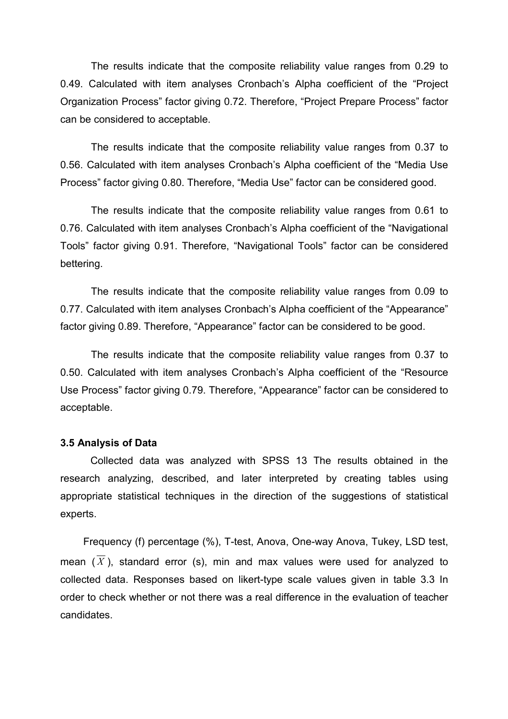The results indicate that the composite reliability value ranges from 0.29 to 0.49. Calculated with item analyses Cronbach's Alpha coefficient of the "Project Organization Process" factor giving 0.72. Therefore, "Project Prepare Process" factor can be considered to acceptable.

 The results indicate that the composite reliability value ranges from 0.37 to 0.56. Calculated with item analyses Cronbach's Alpha coefficient of the "Media Use Process" factor giving 0.80. Therefore, "Media Use" factor can be considered good.

 The results indicate that the composite reliability value ranges from 0.61 to 0.76. Calculated with item analyses Cronbach's Alpha coefficient of the "Navigational Tools" factor giving 0.91. Therefore, "Navigational Tools" factor can be considered bettering.

 The results indicate that the composite reliability value ranges from 0.09 to 0.77. Calculated with item analyses Cronbach's Alpha coefficient of the "Appearance" factor giving 0.89. Therefore, "Appearance" factor can be considered to be good.

 The results indicate that the composite reliability value ranges from 0.37 to 0.50. Calculated with item analyses Cronbach's Alpha coefficient of the "Resource Use Process" factor giving 0.79. Therefore, "Appearance" factor can be considered to acceptable.

#### 3.5 Analysis of Data

 Collected data was analyzed with SPSS 13 The results obtained in the research analyzing, described, and later interpreted by creating tables using appropriate statistical techniques in the direction of the suggestions of statistical experts.

 Frequency (f) percentage (%), T-test, Anova, One-way Anova, Tukey, LSD test, mean  $(\overline{X})$ , standard error (s), min and max values were used for analyzed to collected data. Responses based on likert-type scale values given in table 3.3 In order to check whether or not there was a real difference in the evaluation of teacher candidates.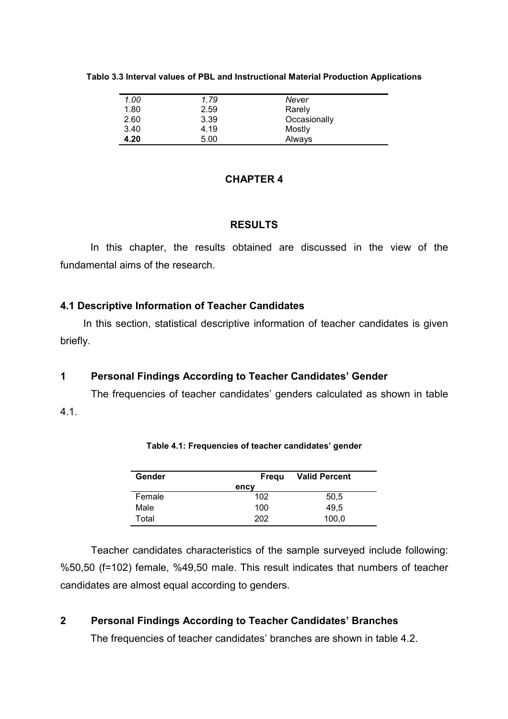| Tablo 3.3 Interval values of PBL and Instructional Material Production Applications |  |
|-------------------------------------------------------------------------------------|--|
|-------------------------------------------------------------------------------------|--|

| 1.00 | 1.79 | Never        |  |
|------|------|--------------|--|
| 1.80 | 2.59 | Rarely       |  |
|      |      |              |  |
| 2.60 | 3.39 | Occasionally |  |
| 3.40 | 4.19 | Mostly       |  |
| 4.20 | 5.00 | Always       |  |

## CHAPTER 4

## **RESULTS**

In this chapter, the results obtained are discussed in the view of the fundamental aims of the research.

## 4.1 Descriptive Information of Teacher Candidates

In this section, statistical descriptive information of teacher candidates is given briefly.

# 1 Personal Findings According to Teacher Candidates' Gender

The frequencies of teacher candidates' genders calculated as shown in table 4.1.

| Gender | Fregu | <b>Valid Percent</b> |
|--------|-------|----------------------|
|        | ency  |                      |
| Female | 102   | 50,5                 |
| Male   | 100   | 49.5                 |
| Total  | 202   | 100,0                |

Table 4.1: Frequencies of teacher candidates' gender

Teacher candidates characteristics of the sample surveyed include following: %50,50 (f=102) female, %49,50 male. This result indicates that numbers of teacher candidates are almost equal according to genders.

# 2 Personal Findings According to Teacher Candidates' Branches

The frequencies of teacher candidates' branches are shown in table 4.2.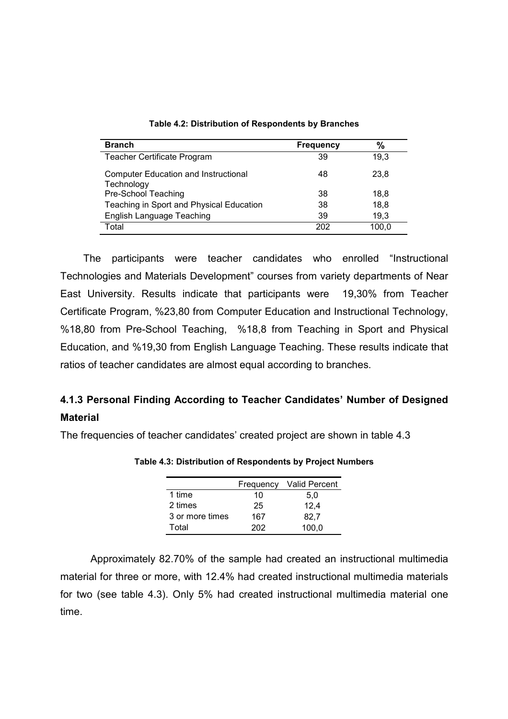| <b>Branch</b>                                             | <b>Frequency</b> | $\frac{0}{0}$ |
|-----------------------------------------------------------|------------------|---------------|
| Teacher Certificate Program                               | 39               | 19.3          |
| <b>Computer Education and Instructional</b><br>Technology | 48               | 23,8          |
| Pre-School Teaching                                       | 38               | 18.8          |
| Teaching in Sport and Physical Education                  | 38               | 18,8          |
| <b>English Language Teaching</b>                          | 39               | 19,3          |
| Total                                                     | 202              | 100.0         |

Table 4.2: Distribution of Respondents by Branches

The participants were teacher candidates who enrolled "Instructional Technologies and Materials Development" courses from variety departments of Near East University. Results indicate that participants were 19,30% from Teacher Certificate Program, %23,80 from Computer Education and Instructional Technology, %18,80 from Pre-School Teaching, %18,8 from Teaching in Sport and Physical Education, and %19,30 from English Language Teaching. These results indicate that ratios of teacher candidates are almost equal according to branches.

# 4.1.3 Personal Finding According to Teacher Candidates' Number of Designed **Material**

The frequencies of teacher candidates' created project are shown in table 4.3

|                 | Frequency | <b>Valid Percent</b> |
|-----------------|-----------|----------------------|
| 1 time          | 10        | 5.0                  |
| 2 times         | 25        | 12,4                 |
| 3 or more times | 167       | 82.7                 |
| Total           | 202       | 100.0                |

Table 4.3: Distribution of Respondents by Project Numbers

 Approximately 82.70% of the sample had created an instructional multimedia material for three or more, with 12.4% had created instructional multimedia materials for two (see table 4.3). Only 5% had created instructional multimedia material one time.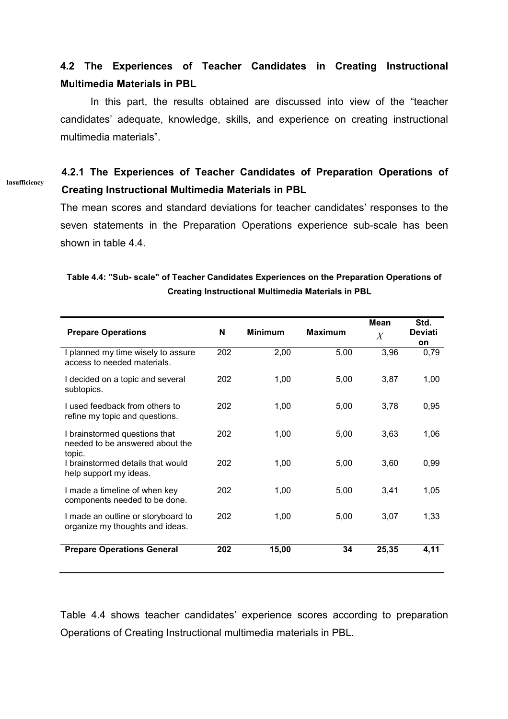# 4.2 The Experiences of Teacher Candidates in Creating Instructional Multimedia Materials in PBL

In this part, the results obtained are discussed into view of the "teacher candidates' adequate, knowledge, skills, and experience on creating instructional multimedia materials".

# 4.2.1 The Experiences of Teacher Candidates of Preparation Operations of Creating Instructional Multimedia Materials in PBL

Insufficiency

The mean scores and standard deviations for teacher candidates' responses to the seven statements in the Preparation Operations experience sub-scale has been shown in table 4.4.

| <b>Prepare Operations</b>                                             | N   | <b>Minimum</b> | <b>Maximum</b> | Mean<br>$\overline{X}$ | Std.<br><b>Deviati</b> |
|-----------------------------------------------------------------------|-----|----------------|----------------|------------------------|------------------------|
| I planned my time wisely to assure<br>access to needed materials.     | 202 | 2,00           | 5,00           | 3,96                   | on<br>0,79             |
| I decided on a topic and several<br>subtopics.                        | 202 | 1,00           | 5,00           | 3,87                   | 1,00                   |
| I used feedback from others to<br>refine my topic and questions.      | 202 | 1,00           | 5,00           | 3,78                   | 0,95                   |
| I brainstormed questions that<br>needed to be answered about the      | 202 | 1,00           | 5,00           | 3,63                   | 1,06                   |
| topic.<br>I brainstormed details that would<br>help support my ideas. | 202 | 1,00           | 5,00           | 3,60                   | 0,99                   |
| I made a timeline of when key<br>components needed to be done.        | 202 | 1,00           | 5,00           | 3,41                   | 1,05                   |
| I made an outline or storyboard to<br>organize my thoughts and ideas. | 202 | 1,00           | 5,00           | 3,07                   | 1,33                   |
| <b>Prepare Operations General</b>                                     | 202 | 15,00          | 34             | 25,35                  | 4,11                   |

## Table 4.4: "Sub- scale" of Teacher Candidates Experiences on the Preparation Operations of Creating Instructional Multimedia Materials in PBL

Table 4.4 shows teacher candidates' experience scores according to preparation Operations of Creating Instructional multimedia materials in PBL.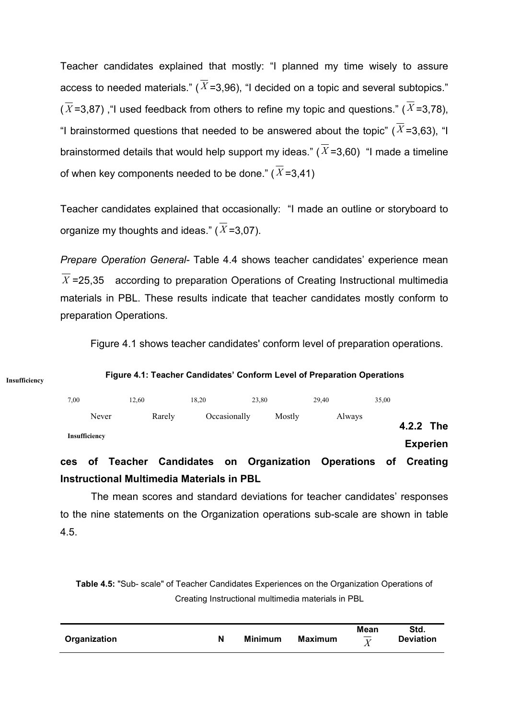Teacher candidates explained that mostly: "I planned my time wisely to assure access to needed materials." ( $\overline{X}$ =3,96), "I decided on a topic and several subtopics."  $(\overline{X}$ =3,87), "I used feedback from others to refine my topic and questions." ( $\overline{X}$ =3,78), "I brainstormed questions that needed to be answered about the topic" ( $\overline{X}$ =3,63), "I brainstormed details that would help support my ideas."  $(X=3.60)$  "I made a timeline of when key components needed to be done."  $(\overline{X} = 3.41)$ 

Teacher candidates explained that occasionally: "I made an outline or storyboard to organize my thoughts and ideas."  $(\overline{X} = 3.07)$ .

Prepare Operation General- Table 4.4 shows teacher candidates' experience mean  $\overline{X}$  =25.35 according to preparation Operations of Creating Instructional multimedia materials in PBL. These results indicate that teacher candidates mostly conform to preparation Operations.

Figure 4.1 shows teacher candidates' conform level of preparation operations.

| 7.00          | 12.60                 | 18.20        | 23.80  | 29.40                      | 35,00 |                 |  |
|---------------|-----------------------|--------------|--------|----------------------------|-------|-----------------|--|
| Never         | Rarely                | Occasionally | Mostly | Always                     |       | 4.2.2 The       |  |
| Insufficiency | af Tanahar Candidatoo |              |        | on Organization Operations |       | <b>Experien</b> |  |

# of Teacher Candidates on Organization Operations of Creating Instructional Multimedia Materials in PBL

 The mean scores and standard deviations for teacher candidates' responses to the nine statements on the Organization operations sub-scale are shown in table 4.5.

Table 4.5: "Sub- scale" of Teacher Candidates Experiences on the Organization Operations of Creating Instructional multimedia materials in PBL

| Organization | <b>Minimum</b> | <b>Maximum</b> | Mean<br>$\overline{v}$<br>Λ | Std.<br><b>Deviation</b> |
|--------------|----------------|----------------|-----------------------------|--------------------------|
|              |                |                |                             |                          |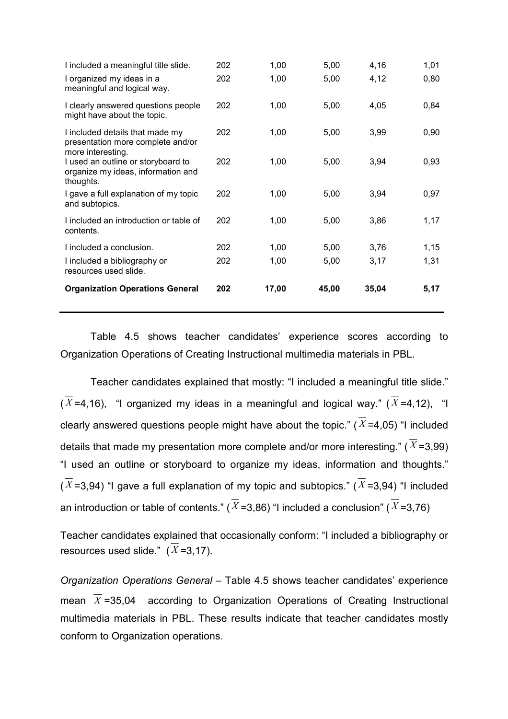| I included a meaningful title slide.                                                      | 202 | 1,00  | 5,00  | 4,16  | 1,01 |
|-------------------------------------------------------------------------------------------|-----|-------|-------|-------|------|
| I organized my ideas in a<br>meaningful and logical way.                                  | 202 | 1,00  | 5,00  | 4,12  | 0,80 |
| I clearly answered questions people<br>might have about the topic.                        | 202 | 1,00  | 5,00  | 4,05  | 0,84 |
| I included details that made my<br>presentation more complete and/or<br>more interesting. | 202 | 1,00  | 5,00  | 3,99  | 0,90 |
| I used an outline or storyboard to<br>organize my ideas, information and<br>thoughts.     | 202 | 1,00  | 5,00  | 3,94  | 0,93 |
| I gave a full explanation of my topic<br>and subtopics.                                   | 202 | 1,00  | 5,00  | 3,94  | 0,97 |
| I included an introduction or table of<br>contents.                                       | 202 | 1,00  | 5,00  | 3,86  | 1,17 |
| I included a conclusion.                                                                  | 202 | 1,00  | 5,00  | 3,76  | 1,15 |
| I included a bibliography or<br>resources used slide.                                     | 202 | 1,00  | 5,00  | 3,17  | 1,31 |
| <b>Organization Operations General</b>                                                    | 202 | 17,00 | 45,00 | 35,04 | 5,17 |

 Table 4.5 shows teacher candidates' experience scores according to Organization Operations of Creating Instructional multimedia materials in PBL.

 Teacher candidates explained that mostly: "I included a meaningful title slide."  $(\overline{X}$ =4,16), "I organized my ideas in a meaningful and logical way." ( $\overline{X}$ =4,12), "I clearly answered questions people might have about the topic." ( $\overline{X}$ =4,05) "I included details that made my presentation more complete and/or more interesting." ( $\overline{X}$ =3,99) "I used an outline or storyboard to organize my ideas, information and thoughts."  $(\overline{X}$ =3,94) "I gave a full explanation of my topic and subtopics." ( $\overline{X}$ =3,94) "I included an introduction or table of contents." ( $\overline{X}$ =3,86) "I included a conclusion" ( $\overline{X}$ =3,76)

Teacher candidates explained that occasionally conform: "I included a bibliography or resources used slide."  $(\overline{X} = 3, 17)$ .

Organization Operations General – Table 4.5 shows teacher candidates' experience mean  $\overline{X}$  =35,04 according to Organization Operations of Creating Instructional multimedia materials in PBL. These results indicate that teacher candidates mostly conform to Organization operations.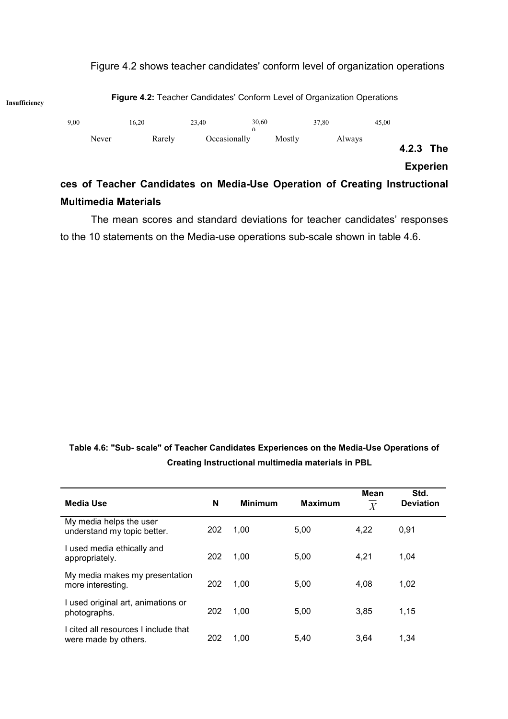

# Figure 4.2 shows teacher candidates' conform level of organization operations

# Multimedia Materials The mean scores and standard deviations for teacher candidates' responses

to the 10 statements on the Media-use operations sub-scale shown in table 4.6.

Table 4.6: "Sub- scale" of Teacher Candidates Experiences on the Media-Use Operations of Creating Instructional multimedia materials in PBL

| <b>Media Use</b>                                             | N   | <b>Minimum</b> | <b>Maximum</b> | <b>Mean</b><br>$\overline{X}$ | Std.<br><b>Deviation</b> |
|--------------------------------------------------------------|-----|----------------|----------------|-------------------------------|--------------------------|
| My media helps the user<br>understand my topic better.       | 202 | 1.00           | 5.00           | 4.22                          | 0,91                     |
| I used media ethically and<br>appropriately.                 | 202 | 1.00           | 5.00           | 4,21                          | 1,04                     |
| My media makes my presentation<br>more interesting.          | 202 | 1.00           | 5,00           | 4,08                          | 1,02                     |
| I used original art, animations or<br>photographs.           | 202 | 1,00           | 5,00           | 3,85                          | 1,15                     |
| I cited all resources I include that<br>were made by others. | 202 | 1,00           | 5,40           | 3.64                          | 1,34                     |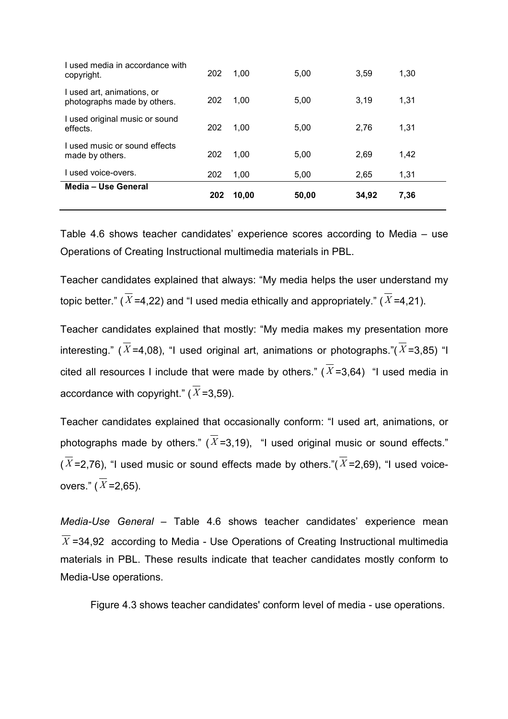| Media - Use General                                       | 202 | 10,00 | 50,00 | 34,92 | 7,36 |
|-----------------------------------------------------------|-----|-------|-------|-------|------|
| I used voice-overs.                                       | 202 | 1.00  | 5,00  | 2,65  | 1,31 |
| Lused music or sound effects<br>made by others.           | 202 | 1,00  | 5,00  | 2,69  | 1,42 |
| I used original music or sound<br>effects.                | 202 | 1,00  | 5,00  | 2,76  | 1,31 |
| I used art, animations, or<br>photographs made by others. | 202 | 1.00  | 5,00  | 3.19  | 1,31 |
| I used media in accordance with<br>copyright.             | 202 | 1.00  | 5.00  | 3.59  | 1.30 |

Table 4.6 shows teacher candidates' experience scores according to Media – use Operations of Creating Instructional multimedia materials in PBL.

Teacher candidates explained that always: "My media helps the user understand my topic better." ( $\overline{X}$  =4,22) and "I used media ethically and appropriately." ( $\overline{X}$  =4,21).

Teacher candidates explained that mostly: "My media makes my presentation more interesting." ( $\overline{X}$ =4,08), "I used original art, animations or photographs."( $\overline{X}$ =3,85) "I cited all resources I include that were made by others." ( $\overline{X}$ =3,64) "I used media in accordance with copyright."  $(\overline{X} = 3,59)$ .

Teacher candidates explained that occasionally conform: "I used art, animations, or photographs made by others." ( $\overline{X}$ =3,19), "I used original music or sound effects."  $(\overline{X}$ =2,76), "I used music or sound effects made by others."( $\overline{X}$ =2,69), "I used voiceovers."  $(\overline{X} = 2.65)$ .

Media-Use General – Table 4.6 shows teacher candidates' experience mean  $\overline{X}$  =34,92 according to Media - Use Operations of Creating Instructional multimedia materials in PBL. These results indicate that teacher candidates mostly conform to Media-Use operations.

Figure 4.3 shows teacher candidates' conform level of media - use operations.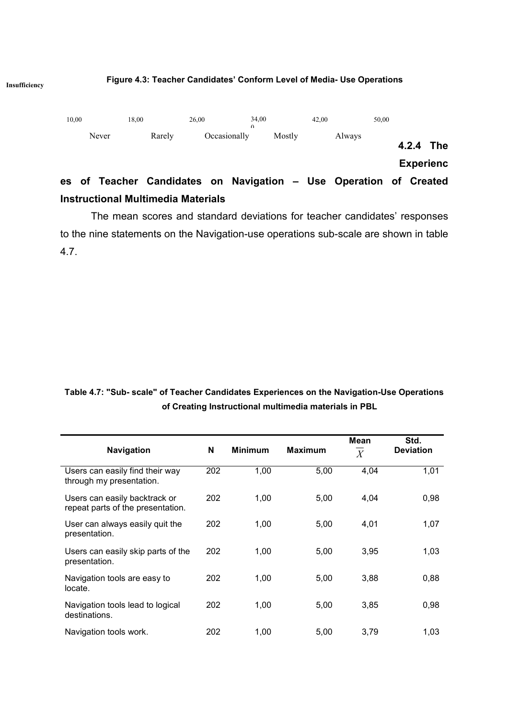#### Figure 4.3: Teacher Candidates' Conform Level of Media- Use Operations



 The mean scores and standard deviations for teacher candidates' responses to the nine statements on the Navigation-use operations sub-scale are shown in table 4.7.

Table 4.7: "Sub- scale" of Teacher Candidates Experiences on the Navigation-Use Operations of Creating Instructional multimedia materials in PBL

| <b>Navigation</b>                                                  | N   | <b>Minimum</b> | <b>Maximum</b> | Mean<br>$\boldsymbol{X}$ | Std.<br><b>Deviation</b> |
|--------------------------------------------------------------------|-----|----------------|----------------|--------------------------|--------------------------|
| Users can easily find their way<br>through my presentation.        | 202 | 1,00           | 5,00           | 4,04                     | 1,01                     |
| Users can easily backtrack or<br>repeat parts of the presentation. | 202 | 1,00           | 5,00           | 4,04                     | 0,98                     |
| User can always easily quit the<br>presentation.                   | 202 | 1,00           | 5,00           | 4,01                     | 1,07                     |
| Users can easily skip parts of the<br>presentation.                | 202 | 1,00           | 5,00           | 3,95                     | 1,03                     |
| Navigation tools are easy to<br>locate.                            | 202 | 1,00           | 5,00           | 3,88                     | 0,88                     |
| Navigation tools lead to logical<br>destinations.                  | 202 | 1,00           | 5,00           | 3,85                     | 0,98                     |
| Navigation tools work.                                             | 202 | 1,00           | 5,00           | 3,79                     | 1,03                     |

Insufficiency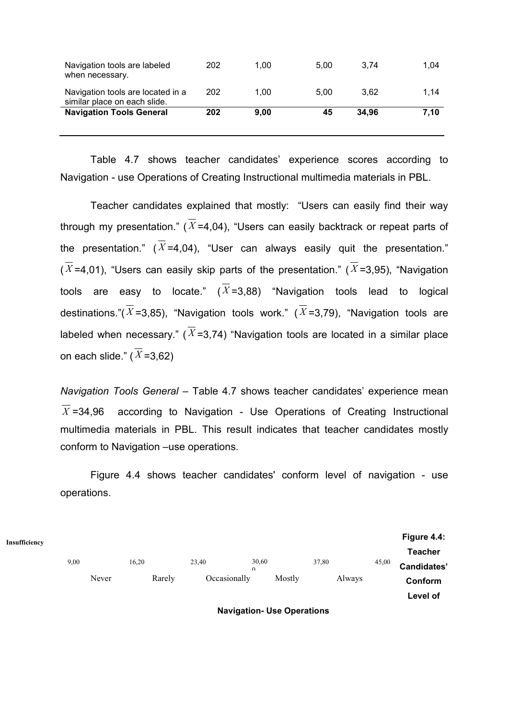| Navigation tools are labeled<br>when necessary.                   | 202 | 1.00 | 5.00 | 3.74  | 1.04 |
|-------------------------------------------------------------------|-----|------|------|-------|------|
| Navigation tools are located in a<br>similar place on each slide. | 202 | 1.00 | 5.00 | 3.62  | 1.14 |
| <b>Navigation Tools General</b>                                   | 202 | 9.00 | 45   | 34.96 | 7.10 |
|                                                                   |     |      |      |       |      |

 Table 4.7 shows teacher candidates' experience scores according to Navigation - use Operations of Creating Instructional multimedia materials in PBL.

 Teacher candidates explained that mostly: "Users can easily find their way through my presentation." ( $\overline{X}$ =4,04), "Users can easily backtrack or repeat parts of the presentation." ( $\overline{X}$ =4,04), "User can always easily quit the presentation."  $(\overline{X}$ =4,01), "Users can easily skip parts of the presentation." ( $\overline{X}$ =3,95), "Navigation tools are easy to locate."  $(\overline{X} = 3.88)$  "Navigation tools lead to logical destinations."( $\overline{X}$ =3,85), "Navigation tools work." ( $\overline{X}$ =3,79), "Navigation tools are labeled when necessary." ( $\overline{X}$ =3,74) "Navigation tools are located in a similar place on each slide." ( $\overline{X}$ =3,62)

Navigation Tools General – Table 4.7 shows teacher candidates' experience mean  $\overline{X}$  =34,96 according to Navigation - Use Operations of Creating Instructional multimedia materials in PBL. This result indicates that teacher candidates mostly conform to Navigation –use operations.

 Figure 4.4 shows teacher candidates' conform level of navigation - use operations.

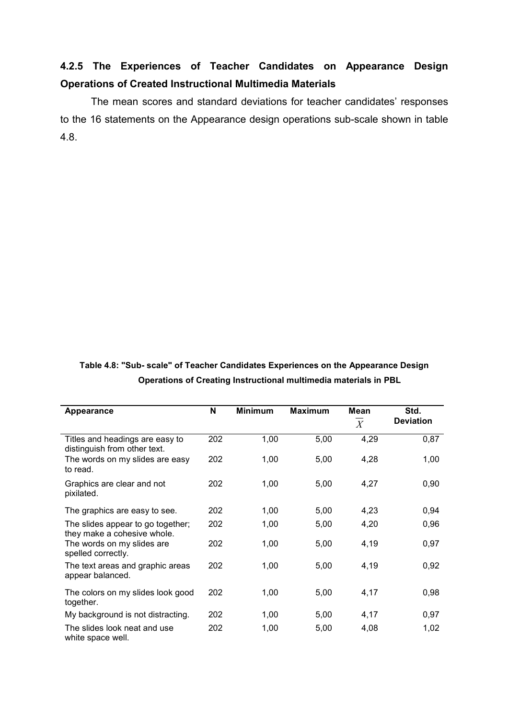# 4.2.5 The Experiences of Teacher Candidates on Appearance Design Operations of Created Instructional Multimedia Materials

 The mean scores and standard deviations for teacher candidates' responses to the 16 statements on the Appearance design operations sub-scale shown in table 4.8.

# Table 4.8: "Sub- scale" of Teacher Candidates Experiences on the Appearance Design Operations of Creating Instructional multimedia materials in PBL

| Appearance                                                       | N   | <b>Minimum</b> | <b>Maximum</b> | Mean<br>X | Std.<br><b>Deviation</b> |
|------------------------------------------------------------------|-----|----------------|----------------|-----------|--------------------------|
| Titles and headings are easy to<br>distinguish from other text.  | 202 | 1,00           | 5,00           | 4,29      | 0,87                     |
| The words on my slides are easy<br>to read.                      | 202 | 1,00           | 5,00           | 4,28      | 1,00                     |
| Graphics are clear and not<br>pixilated.                         | 202 | 1,00           | 5,00           | 4,27      | 0,90                     |
| The graphics are easy to see.                                    | 202 | 1,00           | 5,00           | 4,23      | 0,94                     |
| The slides appear to go together;<br>they make a cohesive whole. | 202 | 1,00           | 5,00           | 4,20      | 0,96                     |
| The words on my slides are<br>spelled correctly.                 | 202 | 1,00           | 5,00           | 4,19      | 0,97                     |
| The text areas and graphic areas<br>appear balanced.             | 202 | 1,00           | 5,00           | 4,19      | 0,92                     |
| The colors on my slides look good<br>together.                   | 202 | 1,00           | 5,00           | 4,17      | 0,98                     |
| My background is not distracting.                                | 202 | 1,00           | 5,00           | 4,17      | 0,97                     |
| The slides look neat and use<br>white space well.                | 202 | 1,00           | 5,00           | 4,08      | 1,02                     |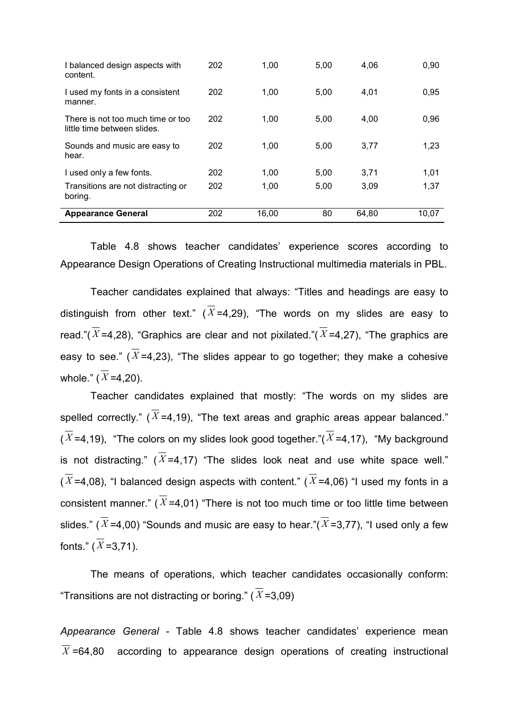| I balanced design aspects with<br>content.                       | 202 | 1.00  | 5,00 | 4.06  | 0,90  |
|------------------------------------------------------------------|-----|-------|------|-------|-------|
| I used my fonts in a consistent<br>manner.                       | 202 | 1.00  | 5,00 | 4,01  | 0,95  |
| There is not too much time or too<br>little time between slides. | 202 | 1.00  | 5,00 | 4.00  | 0,96  |
| Sounds and music are easy to<br>hear.                            | 202 | 1.00  | 5,00 | 3.77  | 1.23  |
| I used only a few fonts.                                         | 202 | 1.00  | 5,00 | 3,71  | 1,01  |
| Transitions are not distracting or<br>boring.                    | 202 | 1.00  | 5,00 | 3,09  | 1,37  |
| <b>Appearance General</b>                                        | 202 | 16,00 | 80   | 64.80 | 10.07 |

 Table 4.8 shows teacher candidates' experience scores according to Appearance Design Operations of Creating Instructional multimedia materials in PBL.

 Teacher candidates explained that always: "Titles and headings are easy to distinguish from other text." ( $\overline{X}$ =4.29), "The words on my slides are easy to read."( $\overline{X}$ =4,28), "Graphics are clear and not pixilated."( $\overline{X}$ =4,27), "The graphics are easy to see." ( $\overline{X}$ =4,23), "The slides appear to go together; they make a cohesive whole."  $(\overline{X} = 4,20)$ .

Teacher candidates explained that mostly: "The words on my slides are spelled correctly." ( $\overline{X}$ =4,19), "The text areas and graphic areas appear balanced."  $(\overline{X}$ =4,19), "The colors on my slides look good together."( $\overline{X}$ =4,17), "My background is not distracting." ( $\overline{X}$ =4,17) "The slides look neat and use white space well."  $(\overline{X}$ =4,08), "I balanced design aspects with content." ( $\overline{X}$ =4,06) "I used my fonts in a consistent manner." ( $\overline{X}$ =4,01) "There is not too much time or too little time between slides." ( $\overline{X}$ =4,00) "Sounds and music are easy to hear."( $\overline{X}$ =3,77), "I used only a few fonts."  $(\overline{X} = 3.71)$ .

 The means of operations, which teacher candidates occasionally conform: "Transitions are not distracting or boring." ( $\overline{X}$ =3.09)

Appearance General - Table 4.8 shows teacher candidates' experience mean  $\overline{X}$  =64,80 according to appearance design operations of creating instructional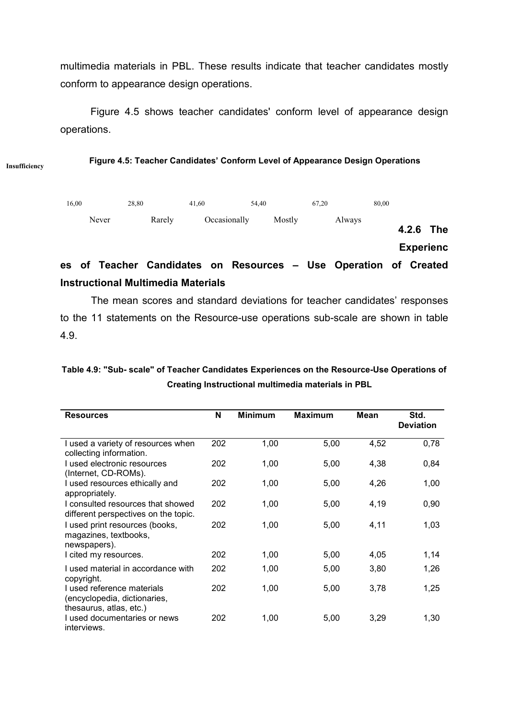multimedia materials in PBL. These results indicate that teacher candidates mostly conform to appearance design operations.

 Figure 4.5 shows teacher candidates' conform level of appearance design operations.

Figure 4.5: Teacher Candidates' Conform Level of Appearance Design Operations

Insufficiency



# Instructional Multimedia Materials

 The mean scores and standard deviations for teacher candidates' responses to the 11 statements on the Resource-use operations sub-scale are shown in table 4.9.

# Table 4.9: "Sub- scale" of Teacher Candidates Experiences on the Resource-Use Operations of Creating Instructional multimedia materials in PBL

| <b>Resources</b>                                                                      | N   | <b>Minimum</b> | <b>Maximum</b> | Mean | Std.<br><b>Deviation</b> |
|---------------------------------------------------------------------------------------|-----|----------------|----------------|------|--------------------------|
| I used a variety of resources when<br>collecting information.                         | 202 | 1,00           | 5,00           | 4,52 | 0,78                     |
| I used electronic resources<br>(Internet, CD-ROMs).                                   | 202 | 1,00           | 5,00           | 4,38 | 0,84                     |
| I used resources ethically and<br>appropriately.                                      | 202 | 1,00           | 5,00           | 4,26 | 1,00                     |
| I consulted resources that showed<br>different perspectives on the topic.             | 202 | 1,00           | 5,00           | 4,19 | 0,90                     |
| I used print resources (books,<br>magazines, textbooks,<br>newspapers).               | 202 | 1,00           | 5,00           | 4,11 | 1,03                     |
| I cited my resources.                                                                 | 202 | 1,00           | 5,00           | 4,05 | 1,14                     |
| I used material in accordance with<br>copyright.                                      | 202 | 1,00           | 5,00           | 3,80 | 1,26                     |
| I used reference materials<br>(encyclopedia, dictionaries,<br>thesaurus, atlas, etc.) | 202 | 1,00           | 5,00           | 3,78 | 1,25                     |
| I used documentaries or news<br>interviews.                                           | 202 | 1,00           | 5,00           | 3,29 | 1,30                     |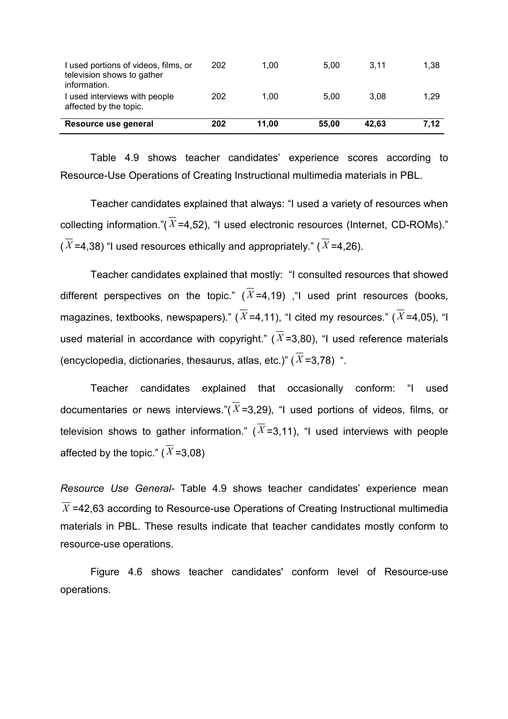| Resource use general                                                               | 202 | 11.00 | 55.00 | 42.63 | 7,12 |
|------------------------------------------------------------------------------------|-----|-------|-------|-------|------|
| I used interviews with people<br>affected by the topic.                            | 202 | 1.00  | 5.00  | 3.08  | 1.29 |
| I used portions of videos, films, or<br>television shows to gather<br>information. | 202 | 1.00  | 5.00  | 3.11  | 1,38 |

 Table 4.9 shows teacher candidates' experience scores according to Resource-Use Operations of Creating Instructional multimedia materials in PBL.

 Teacher candidates explained that always: "I used a variety of resources when collecting information."( $\overline{X}$ =4,52), "I used electronic resources (Internet, CD-ROMs)."  $(\overline{X}$ =4,38) "I used resources ethically and appropriately." ( $\overline{X}$ =4,26).

 Teacher candidates explained that mostly: "I consulted resources that showed different perspectives on the topic." ( $\overline{X}$ =4,19) , "I used print resources (books, magazines, textbooks, newspapers)." ( $\overline{X}$ =4,11), "I cited my resources." ( $\overline{X}$ =4,05), "I used material in accordance with copyright." ( $\overline{X}$ =3,80), "I used reference materials (encyclopedia, dictionaries, thesaurus, atlas, etc.)" ( $\overline{X}$ =3,78) ".

 Teacher candidates explained that occasionally conform: "I used documentaries or news interviews."( $\overline{X}$ =3,29), "I used portions of videos, films, or television shows to gather information." ( $\overline{X}$ =3.11), "I used interviews with people affected by the topic." ( $\overline{X}$ =3,08)

Resource Use General- Table 4.9 shows teacher candidates' experience mean  $\overline{X}$  =42,63 according to Resource-use Operations of Creating Instructional multimedia materials in PBL. These results indicate that teacher candidates mostly conform to resource-use operations.

 Figure 4.6 shows teacher candidates' conform level of Resource-use operations.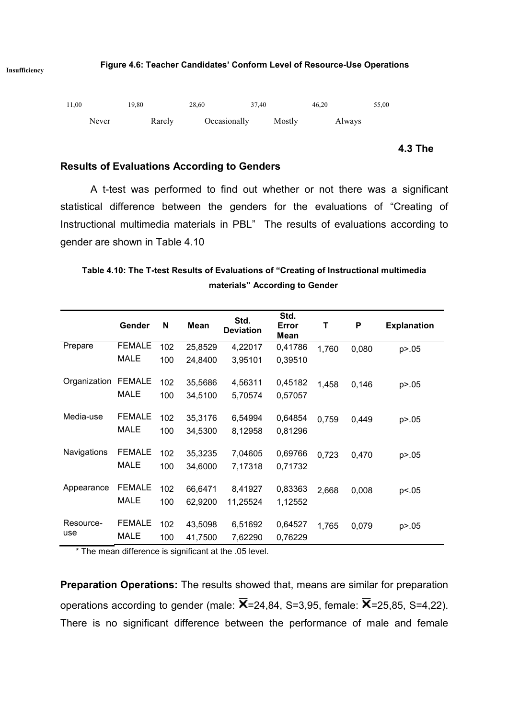

4.3 The

#### Results of Evaluations According to Genders

 A t-test was performed to find out whether or not there was a significant statistical difference between the genders for the evaluations of "Creating of Instructional multimedia materials in PBL" The results of evaluations according to gender are shown in Table 4.10

# Table 4.10: The T-test Results of Evaluations of "Creating of Instructional multimedia materials" According to Gender

|              | Gender        | N   | <b>Mean</b> | Std.<br><b>Deviation</b> | Std.<br>Error<br>Mean | т     | P     | <b>Explanation</b> |
|--------------|---------------|-----|-------------|--------------------------|-----------------------|-------|-------|--------------------|
| Prepare      | <b>FEMALE</b> | 102 | 25,8529     | 4,22017                  | 0,41786               | 1,760 | 0,080 | p > 0.05           |
|              | <b>MALE</b>   | 100 | 24,8400     | 3,95101                  | 0,39510               |       |       |                    |
| Organization | <b>FEMALE</b> | 102 | 35,5686     | 4,56311                  | 0,45182               | 1,458 | 0,146 | p > 0.05           |
|              | <b>MALE</b>   | 100 | 34,5100     | 5,70574                  | 0,57057               |       |       |                    |
| Media-use    | <b>FEMALE</b> | 102 | 35,3176     | 6,54994                  | 0,64854               | 0,759 | 0,449 | p > 0.05           |
|              | <b>MALE</b>   | 100 | 34,5300     | 8,12958                  | 0,81296               |       |       |                    |
| Navigations  | <b>FEMALE</b> | 102 | 35,3235     | 7,04605                  | 0,69766               | 0,723 | 0,470 | p > 0.05           |
|              | <b>MALE</b>   | 100 | 34,6000     | 7,17318                  | 0,71732               |       |       |                    |
| Appearance   | <b>FEMALE</b> | 102 | 66,6471     | 8,41927                  | 0,83363               | 2,668 | 0,008 | p <.05             |
|              | <b>MALE</b>   | 100 | 62,9200     | 11,25524                 | 1,12552               |       |       |                    |
| Resource-    | <b>FEMALE</b> | 102 | 43,5098     | 6,51692                  | 0,64527               | 1,765 | 0,079 | p > 0.05           |
| use          | <b>MALE</b>   | 100 | 41,7500     | 7,62290                  | 0,76229               |       |       |                    |

\* The mean difference is significant at the .05 level.

Preparation Operations: The results showed that, means are similar for preparation operations according to gender (male:  $\overline{X}$ =24,84, S=3,95, female:  $\overline{X}$ =25,85, S=4,22). There is no significant difference between the performance of male and female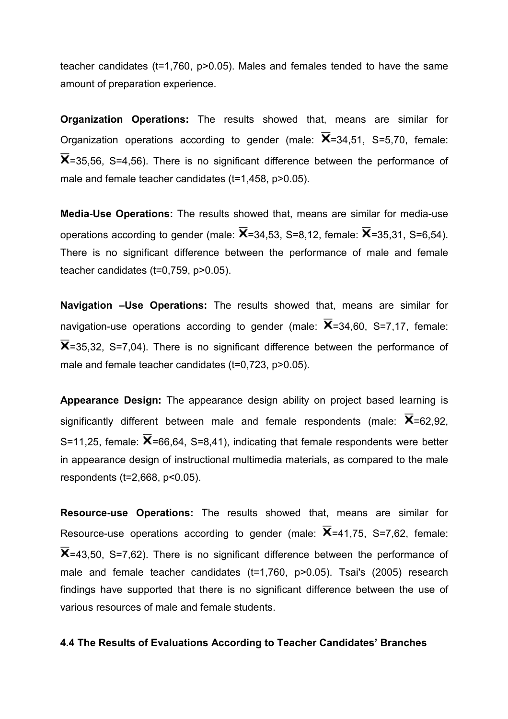teacher candidates (t=1,760, p>0.05). Males and females tended to have the same amount of preparation experience.

Organization Operations: The results showed that, means are similar for Organization operations according to gender (male:  $X=34,51$ , S=5,70, female:  $X$ =35,56, S=4,56). There is no significant difference between the performance of male and female teacher candidates (t=1,458, p>0.05).

Media-Use Operations: The results showed that, means are similar for media-use operations according to gender (male:  $\overline{X}$ =34,53, S=8,12, female:  $\overline{X}$ =35,31, S=6,54). There is no significant difference between the performance of male and female teacher candidates (t=0,759, p>0.05).

Navigation - Use Operations: The results showed that, means are similar for navigation-use operations according to gender (male:  $\overline{X}$ =34,60, S=7,17, female:  $\overline{X}$ =35.32. S=7.04). There is no significant difference between the performance of male and female teacher candidates (t=0,723, p>0.05).

Appearance Design: The appearance design ability on project based learning is significantly different between male and female respondents (male:  $X=62,92$ , S=11,25, female:  $\overline{X}$ =66,64, S=8,41), indicating that female respondents were better in appearance design of instructional multimedia materials, as compared to the male respondents (t=2,668, p<0.05).

Resource-use Operations: The results showed that, means are similar for Resource-use operations according to gender (male:  $X=41,75$ , S=7,62, female:  $\overline{X}$ =43,50, S=7,62). There is no significant difference between the performance of male and female teacher candidates (t=1,760, p>0.05). Tsai's (2005) research findings have supported that there is no significant difference between the use of various resources of male and female students.

#### 4.4 The Results of Evaluations According to Teacher Candidates' Branches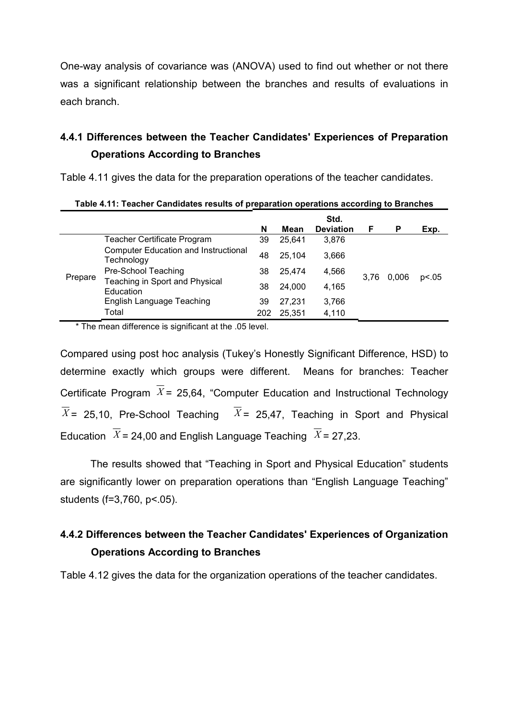One-way analysis of covariance was (ANOVA) used to find out whether or not there was a significant relationship between the branches and results of evaluations in each branch.

# 4.4.1 Differences between the Teacher Candidates' Experiences of Preparation Operations According to Branches

Table 4.11 gives the data for the preparation operations of the teacher candidates.

|         |                                                           | N  | Mean   | Std.<br><b>Deviation</b> | F             | P | Exp.  |
|---------|-----------------------------------------------------------|----|--------|--------------------------|---------------|---|-------|
| Prepare | <b>Teacher Certificate Program</b>                        |    | 25,641 | 3,876                    |               |   |       |
|         | <b>Computer Education and Instructional</b><br>Technology | 48 | 25.104 | 3,666                    |               |   |       |
|         | Pre-School Teaching                                       |    | 25,474 | 4,566                    |               |   | p<.05 |
|         | Teaching in Sport and Physical<br>Education               | 38 | 24.000 | 4,165                    | 0.006<br>3.76 |   |       |
|         | English Language Teaching<br>Total                        |    | 27.231 | 3,766                    |               |   |       |
|         |                                                           |    | 25,351 | 4,110                    |               |   |       |

|  | Table 4.11: Teacher Candidates results of preparation operations according to Branches |  |  |  |
|--|----------------------------------------------------------------------------------------|--|--|--|
|  |                                                                                        |  |  |  |

\* The mean difference is significant at the .05 level.

Compared using post hoc analysis (Tukey's Honestly Significant Difference, HSD) to determine exactly which groups were different. Means for branches: Teacher Certificate Program  $\overline{X}$  = 25,64, "Computer Education and Instructional Technology  $X = 25,10$ , Pre-School Teaching  $X = 25,47$ , Teaching in Sport and Physical Education  $\overline{X}$  = 24,00 and English Language Teaching  $\overline{X}$  = 27,23.

 The results showed that "Teaching in Sport and Physical Education" students are significantly lower on preparation operations than "English Language Teaching" students (f=3,760, p<.05).

# 4.4.2 Differences between the Teacher Candidates' Experiences of Organization Operations According to Branches

Table 4.12 gives the data for the organization operations of the teacher candidates.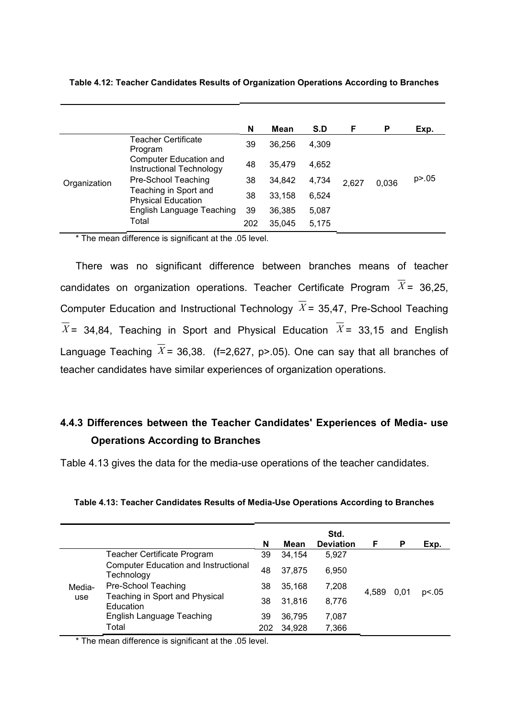|              |                                                    | N   | Mean   | S.D   | F     | P     | Exp.     |
|--------------|----------------------------------------------------|-----|--------|-------|-------|-------|----------|
|              | Teacher Certificate<br>Program                     | 39  | 36.256 | 4.309 |       |       |          |
| Organization | Computer Education and<br>Instructional Technology | 48  | 35.479 | 4.652 |       |       |          |
|              | Pre-School Teaching                                | 38  | 34,842 | 4,734 | 2,627 | 0.036 | p > 0.05 |
|              | Teaching in Sport and<br><b>Physical Education</b> | 38  | 33,158 | 6,524 |       |       |          |
|              | English Language Teaching                          | 39  | 36.385 | 5,087 |       |       |          |
|              | Total                                              | 202 | 35.045 | 5,175 |       |       |          |

Table 4.12: Teacher Candidates Results of Organization Operations According to Branches

\* The mean difference is significant at the .05 level.

There was no significant difference between branches means of teacher candidates on organization operations. Teacher Certificate Program  $\overline{X}$  = 36,25, Computer Education and Instructional Technology  $\overline{X}$  = 35,47, Pre-School Teaching  $\overline{X}$  = 34,84, Teaching in Sport and Physical Education  $\overline{X}$  = 33,15 and English Language Teaching  $\overline{X}$  = 36,38. (f=2,627, p>.05). One can say that all branches of teacher candidates have similar experiences of organization operations.

# 4.4.3 Differences between the Teacher Candidates' Experiences of Media- use Operations According to Branches

Table 4.13 gives the data for the media-use operations of the teacher candidates.

| Table 4.13: Teacher Candidates Results of Media-Use Operations According to Branches |  |  |  |
|--------------------------------------------------------------------------------------|--|--|--|
|                                                                                      |  |  |  |

|                                                           | N   | Mean   | Std.<br><b>Deviation</b> | F     | P    | Exp.  |
|-----------------------------------------------------------|-----|--------|--------------------------|-------|------|-------|
| Teacher Certificate Program                               | 39  | 34,154 | 5.927                    |       | 0.01 | p<.05 |
| <b>Computer Education and Instructional</b><br>Technology | 48  | 37,875 | 6,950                    | 4.589 |      |       |
| Pre-School Teaching                                       | 38  | 35,168 | 7,208                    |       |      |       |
| Teaching in Sport and Physical<br>Education               | 38  | 31,816 | 8,776                    |       |      |       |
| English Language Teaching                                 | 39  | 36,795 | 7,087                    |       |      |       |
| Total                                                     | 202 | 34,928 | 7,366                    |       |      |       |
|                                                           |     |        |                          |       |      |       |

\* The mean difference is significant at the .05 level.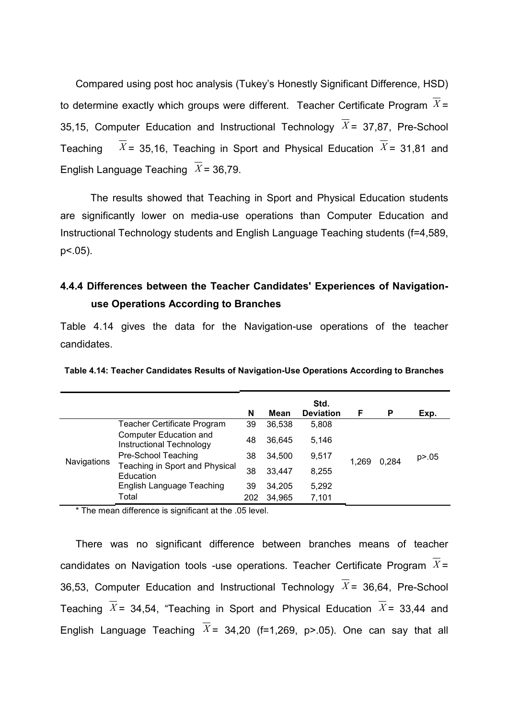Compared using post hoc analysis (Tukey's Honestly Significant Difference, HSD) to determine exactly which groups were different. Teacher Certificate Program  $\overline{X}$  = 35,15, Computer Education and Instructional Technology  $\overline{X}$  = 37,87, Pre-School Teaching  $\overline{X}$  = 35.16. Teaching in Sport and Physical Education  $X$  = 31,81 and English Language Teaching  $\overline{X}$  = 36,79.

 The results showed that Teaching in Sport and Physical Education students are significantly lower on media-use operations than Computer Education and Instructional Technology students and English Language Teaching students (f=4,589, p<.05).

# 4.4.4 Differences between the Teacher Candidates' Experiences of Navigationuse Operations According to Branches

Table 4.14 gives the data for the Navigation-use operations of the teacher candidates.

| Table 4.14: Teacher Candidates Results of Navigation-Use Operations According to Branches |  |  |
|-------------------------------------------------------------------------------------------|--|--|
|-------------------------------------------------------------------------------------------|--|--|

|                    |                                                           | N   | Mean   | Std.<br><b>Deviation</b> | F     | P     | Exp.     |
|--------------------|-----------------------------------------------------------|-----|--------|--------------------------|-------|-------|----------|
| <b>Navigations</b> | Teacher Certificate Program                               | 39  | 36,538 | 5,808                    |       | 0.284 |          |
|                    | <b>Computer Education and</b><br>Instructional Technology | 48  | 36.645 | 5.146                    | 1.269 |       |          |
|                    | Pre-School Teaching                                       | 38  | 34,500 | 9,517                    |       |       | p > 0.05 |
|                    | Teaching in Sport and Physical<br>Education               | 38  | 33,447 | 8,255                    |       |       |          |
|                    | English Language Teaching                                 | 39  | 34.205 | 5,292                    |       |       |          |
|                    | Total                                                     | 202 | 34,965 | 7,101                    |       |       |          |

\* The mean difference is significant at the .05 level.

There was no significant difference between branches means of teacher candidates on Navigation tools -use operations. Teacher Certificate Program  $\overline{X}$  = 36,53, Computer Education and Instructional Technology  $\overline{X}$  = 36,64, Pre-School Teaching  $\overline{X}$  = 34,54, "Teaching in Sport and Physical Education  $\overline{X}$  = 33,44 and English Language Teaching  $\overline{X}$  = 34,20 (f=1,269, p>.05). One can say that all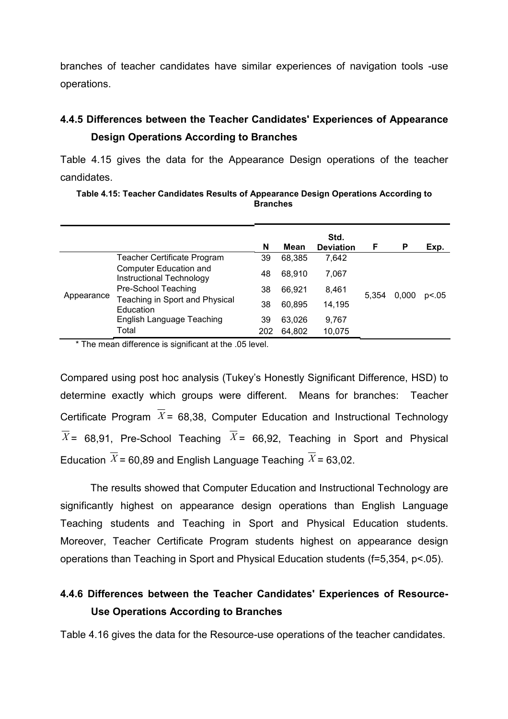branches of teacher candidates have similar experiences of navigation tools -use operations.

# 4.4.5 Differences between the Teacher Candidates' Experiences of Appearance Design Operations According to Branches

Table 4.15 gives the data for the Appearance Design operations of the teacher candidates.

Table 4.15: Teacher Candidates Results of Appearance Design Operations According to **Branches** 

|            |                                                                           | N   | Mean   | Std.<br><b>Deviation</b> | F     | P     | Exp.  |
|------------|---------------------------------------------------------------------------|-----|--------|--------------------------|-------|-------|-------|
| Appearance | Teacher Certificate Program                                               | 39  | 68,385 | 7.642                    |       | 0.000 | p<.05 |
|            | Computer Education and<br>Instructional Technology<br>Pre-School Teaching | 48  | 68.910 | 7.067                    | 5.354 |       |       |
|            |                                                                           | 38  | 66.921 | 8.461                    |       |       |       |
|            | Teaching in Sport and Physical<br>Education                               | 38  | 60.895 | 14.195                   |       |       |       |
|            | English Language Teaching                                                 | 39  | 63,026 | 9,767                    |       |       |       |
|            | Total                                                                     | 202 | 64.802 | 10,075                   |       |       |       |

\* The mean difference is significant at the .05 level.

Compared using post hoc analysis (Tukey's Honestly Significant Difference, HSD) to determine exactly which groups were different. Means for branches: Teacher Certificate Program  $\overline{X}$  = 68,38, Computer Education and Instructional Technology  $\overline{X}$  = 68,91, Pre-School Teaching  $\overline{X}$  = 66,92, Teaching in Sport and Physical Education  $\overline{X}$  = 60,89 and English Language Teaching  $\overline{X}$  = 63,02.

 The results showed that Computer Education and Instructional Technology are significantly highest on appearance design operations than English Language Teaching students and Teaching in Sport and Physical Education students. Moreover, Teacher Certificate Program students highest on appearance design operations than Teaching in Sport and Physical Education students (f=5,354, p<.05).

# 4.4.6 Differences between the Teacher Candidates' Experiences of Resource-Use Operations According to Branches

Table 4.16 gives the data for the Resource-use operations of the teacher candidates.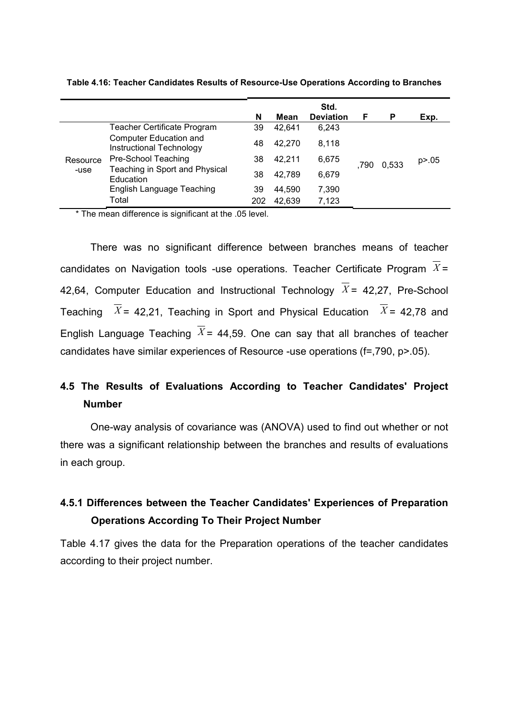|                  |                                                           | N   | Mean   | Std.<br><b>Deviation</b> | F    | P     | Exp.     |
|------------------|-----------------------------------------------------------|-----|--------|--------------------------|------|-------|----------|
|                  | Teacher Certificate Program                               | 39  | 42,641 | 6,243                    |      |       |          |
| Resource<br>-use | <b>Computer Education and</b><br>Instructional Technology | 48  | 42.270 | 8,118                    |      | 0.533 |          |
|                  | Pre-School Teaching                                       | 38  | 42,211 | 6,675                    |      |       | p > 0.05 |
|                  | Teaching in Sport and Physical<br>Education               | 38  | 42.789 | 6,679                    | .790 |       |          |
|                  | English Language Teaching                                 | 39  | 44.590 | 7,390                    |      |       |          |
|                  | Total                                                     | 202 | 42,639 | 7,123                    |      |       |          |

Table 4.16: Teacher Candidates Results of Resource-Use Operations According to Branches

\* The mean difference is significant at the .05 level.

 There was no significant difference between branches means of teacher candidates on Navigation tools -use operations. Teacher Certificate Program  $X =$ 42,64, Computer Education and Instructional Technology  $\overline{X}$  = 42,27, Pre-School Teaching  $\overline{X}$  = 42,21, Teaching in Sport and Physical Education  $\overline{X}$  = 42,78 and English Language Teaching  $\overline{X}$  = 44,59. One can say that all branches of teacher candidates have similar experiences of Resource -use operations (f=,790, p>.05).

# 4.5 The Results of Evaluations According to Teacher Candidates' Project Number

 One-way analysis of covariance was (ANOVA) used to find out whether or not there was a significant relationship between the branches and results of evaluations in each group.

# 4.5.1 Differences between the Teacher Candidates' Experiences of Preparation Operations According To Their Project Number

Table 4.17 gives the data for the Preparation operations of the teacher candidates according to their project number.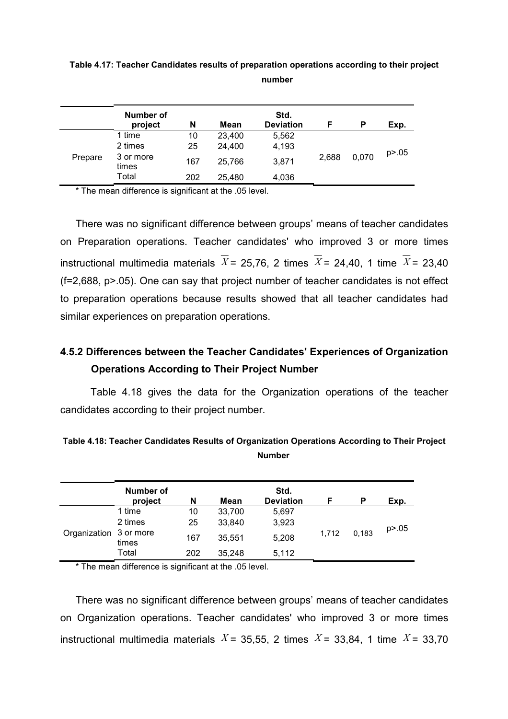|         | <b>Number of</b><br>project | N        | Mean             | Std.<br><b>Deviation</b> | F     | P     | Exp.     |
|---------|-----------------------------|----------|------------------|--------------------------|-------|-------|----------|
|         | 1 time<br>2 times           | 10<br>25 | 23,400<br>24,400 | 5,562<br>4,193           |       |       |          |
| Prepare | 3 or more<br>times          | 167      | 25,766           | 3,871                    | 2,688 | 0,070 | p > 0.05 |
|         | Total                       | 202      | 25.480           | 4,036                    |       |       |          |

Table 4.17: Teacher Candidates results of preparation operations according to their project number

\* The mean difference is significant at the .05 level.

There was no significant difference between groups' means of teacher candidates on Preparation operations. Teacher candidates' who improved 3 or more times instructional multimedia materials  $\overline{X}$  = 25,76, 2 times  $\overline{X}$  = 24,40, 1 time  $\overline{X}$  = 23,40 (f=2,688, p>.05). One can say that project number of teacher candidates is not effect to preparation operations because results showed that all teacher candidates had similar experiences on preparation operations.

# 4.5.2 Differences between the Teacher Candidates' Experiences of Organization Operations According to Their Project Number

 Table 4.18 gives the data for the Organization operations of the teacher candidates according to their project number.

| Table 4.18: Teacher Candidates Results of Organization Operations According to Their Project |
|----------------------------------------------------------------------------------------------|
| <b>Number</b>                                                                                |

|                        | Number of |     |        | Std.             |       |       |          |
|------------------------|-----------|-----|--------|------------------|-------|-------|----------|
|                        | project   | N   | Mean   | <b>Deviation</b> | F     | P     | Exp.     |
|                        | 1 time    | 10  | 33,700 | 5,697            |       |       |          |
|                        | 2 times   | 25  | 33,840 | 3,923            |       | 0.183 | p > 0.05 |
| Organization 3 or more | times     | 167 | 35.551 | 5,208            | 1.712 |       |          |
|                        | Total     | 202 | 35.248 | 5,112            |       |       |          |

\* The mean difference is significant at the .05 level.

There was no significant difference between groups' means of teacher candidates on Organization operations. Teacher candidates' who improved 3 or more times instructional multimedia materials  $\overline{X}$  = 35,55, 2 times  $\overline{X}$  = 33,84, 1 time  $\overline{X}$  = 33,70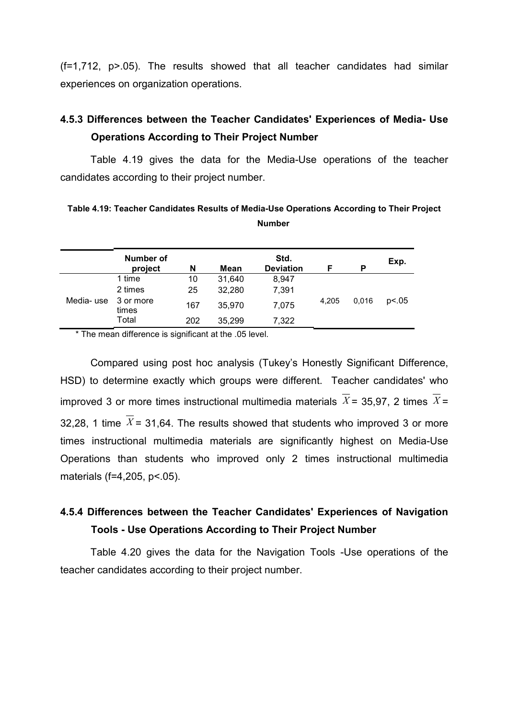(f=1,712, p>.05). The results showed that all teacher candidates had similar experiences on organization operations.

# 4.5.3 Differences between the Teacher Candidates' Experiences of Media- Use Operations According to Their Project Number

 Table 4.19 gives the data for the Media-Use operations of the teacher candidates according to their project number.

Table 4.19: Teacher Candidates Results of Media-Use Operations According to Their Project Number

|           | Number of<br>project | N   | Mean   | Std.<br><b>Deviation</b> | F     | P     | Exp.  |
|-----------|----------------------|-----|--------|--------------------------|-------|-------|-------|
|           | 1 time               | 10  | 31,640 | 8,947                    |       |       |       |
|           | 2 times              | 25  | 32,280 | 7,391                    |       | 0,016 | p<.05 |
| Media-use | 3 or more<br>times   | 167 | 35,970 | 7,075                    | 4,205 |       |       |
|           | Total                | 202 | 35,299 | 7.322                    |       |       |       |

\* The mean difference is significant at the .05 level.

 Compared using post hoc analysis (Tukey's Honestly Significant Difference, HSD) to determine exactly which groups were different. Teacher candidates' who improved 3 or more times instructional multimedia materials  $\overline{X}$  = 35,97, 2 times  $\overline{X}$  = 32,28, 1 time  $\overline{X}$  = 31,64. The results showed that students who improved 3 or more times instructional multimedia materials are significantly highest on Media-Use Operations than students who improved only 2 times instructional multimedia materials (f=4,205, p<.05).

# 4.5.4 Differences between the Teacher Candidates' Experiences of Navigation Tools - Use Operations According to Their Project Number

 Table 4.20 gives the data for the Navigation Tools -Use operations of the teacher candidates according to their project number.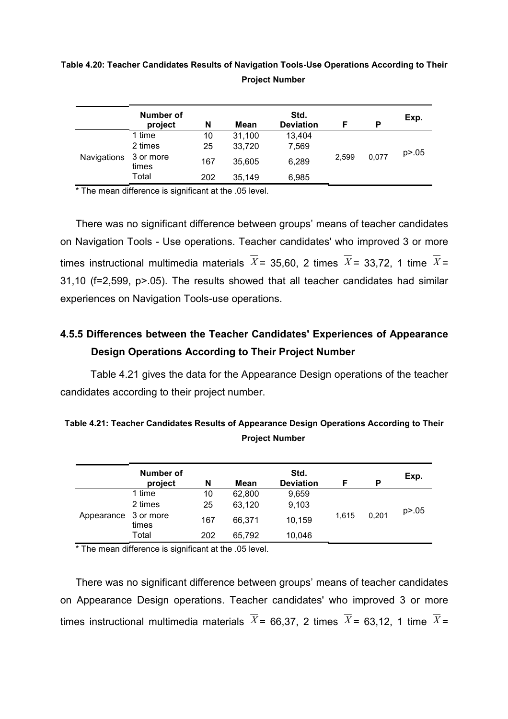## Table 4.20: Teacher Candidates Results of Navigation Tools-Use Operations According to Their Project Number

|             | Number of<br>project | N   | Mean   | Std.<br><b>Deviation</b> | F     | P     | Exp.     |
|-------------|----------------------|-----|--------|--------------------------|-------|-------|----------|
|             | 1 time               | 10  | 31,100 | 13,404                   |       |       |          |
|             | 2 times              | 25  | 33,720 | 7,569                    | 2,599 | 0.077 | p > 0.05 |
| Navigations | 3 or more<br>times   | 167 | 35,605 | 6,289                    |       |       |          |
|             | Total                | 202 | 35,149 | 6,985                    |       |       |          |

\* The mean difference is significant at the .05 level.

There was no significant difference between groups' means of teacher candidates on Navigation Tools - Use operations. Teacher candidates' who improved 3 or more times instructional multimedia materials  $\overline{X}$  = 35,60, 2 times  $\overline{X}$  = 33,72, 1 time  $\overline{X}$  = 31,10 (f=2,599, p>.05). The results showed that all teacher candidates had similar experiences on Navigation Tools-use operations.

# 4.5.5 Differences between the Teacher Candidates' Experiences of Appearance Design Operations According to Their Project Number

 Table 4.21 gives the data for the Appearance Design operations of the teacher candidates according to their project number.

|                      | Number of<br>project | N   | Mean   | Std.<br><b>Deviation</b> | F     | P     | Exp.     |
|----------------------|----------------------|-----|--------|--------------------------|-------|-------|----------|
|                      | 1 time               | 10  | 62,800 | 9,659                    |       |       |          |
|                      | 2 times              | 25  | 63,120 | 9,103                    | 1.615 | 0.201 | p > 0.05 |
| Appearance 3 or more | times                | 167 | 66,371 | 10,159                   |       |       |          |
|                      | Total                | 202 | 65,792 | 10,046                   |       |       |          |

Table 4.21: Teacher Candidates Results of Appearance Design Operations According to Their Project Number

\* The mean difference is significant at the .05 level.

There was no significant difference between groups' means of teacher candidates on Appearance Design operations. Teacher candidates' who improved 3 or more times instructional multimedia materials  $\overline{X}$  = 66.37, 2 times  $\overline{X}$  = 63.12, 1 time  $\overline{X}$  =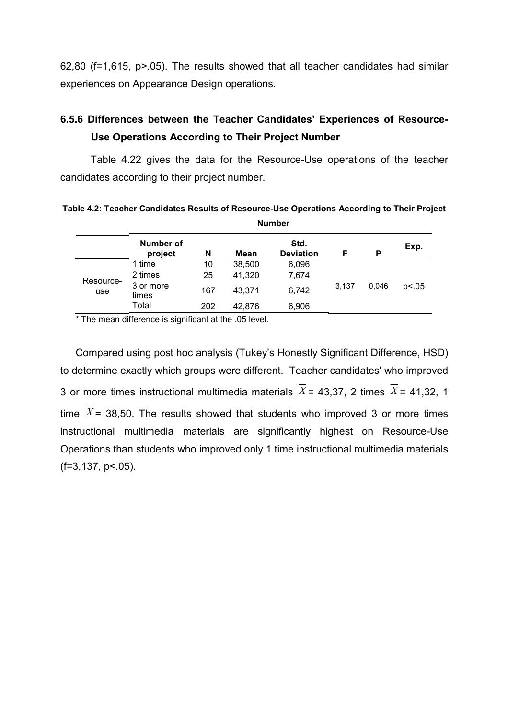62,80 (f=1,615, p>.05). The results showed that all teacher candidates had similar experiences on Appearance Design operations.

# 6.5.6 Differences between the Teacher Candidates' Experiences of Resource-Use Operations According to Their Project Number

 Table 4.22 gives the data for the Resource-Use operations of the teacher candidates according to their project number.

Table 4.2: Teacher Candidates Results of Resource-Use Operations According to Their Project Number

|                  | Number of<br>project | N   | Mean   | Std.<br><b>Deviation</b> |                | P | Exp.  |
|------------------|----------------------|-----|--------|--------------------------|----------------|---|-------|
|                  | 1 time               | 10  | 38,500 | 6,096                    |                |   |       |
|                  | 2 times              | 25  | 41,320 | 7,674                    | 3,137<br>0,046 |   |       |
| Resource-<br>use | 3 or more<br>times   | 167 | 43.371 | 6,742                    |                |   | p<.05 |
|                  | Total                | 202 | 42,876 | 6,906                    |                |   |       |

\* The mean difference is significant at the .05 level.

Compared using post hoc analysis (Tukey's Honestly Significant Difference, HSD) to determine exactly which groups were different. Teacher candidates' who improved 3 or more times instructional multimedia materials  $\overline{X}$  = 43,37, 2 times  $\overline{X}$  = 41,32, 1 time  $\overline{X}$  = 38,50. The results showed that students who improved 3 or more times instructional multimedia materials are significantly highest on Resource-Use Operations than students who improved only 1 time instructional multimedia materials  $(f=3,137, p<05)$ .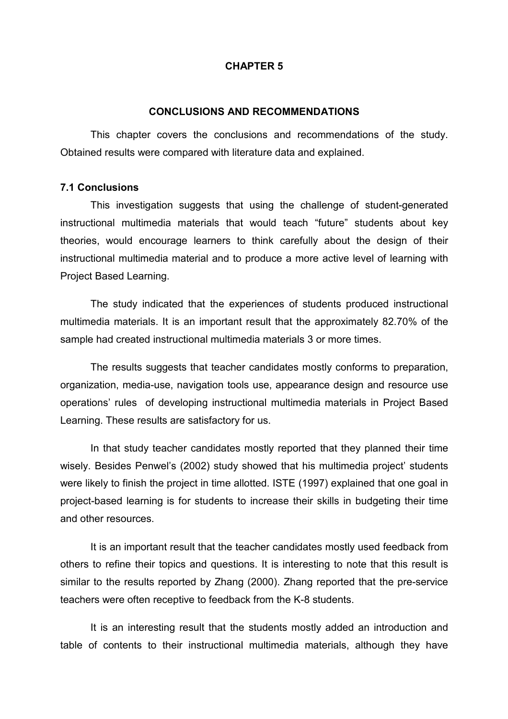#### CHAPTER 5

#### CONCLUSIONS AND RECOMMENDATIONS

This chapter covers the conclusions and recommendations of the study. Obtained results were compared with literature data and explained.

#### 7.1 Conclusions

 This investigation suggests that using the challenge of student-generated instructional multimedia materials that would teach "future" students about key theories, would encourage learners to think carefully about the design of their instructional multimedia material and to produce a more active level of learning with Project Based Learning.

 The study indicated that the experiences of students produced instructional multimedia materials. It is an important result that the approximately 82.70% of the sample had created instructional multimedia materials 3 or more times.

 The results suggests that teacher candidates mostly conforms to preparation, organization, media-use, navigation tools use, appearance design and resource use operations' rules of developing instructional multimedia materials in Project Based Learning. These results are satisfactory for us.

 In that study teacher candidates mostly reported that they planned their time wisely. Besides Penwel's (2002) study showed that his multimedia project' students were likely to finish the project in time allotted. ISTE (1997) explained that one goal in project-based learning is for students to increase their skills in budgeting their time and other resources.

 It is an important result that the teacher candidates mostly used feedback from others to refine their topics and questions. It is interesting to note that this result is similar to the results reported by Zhang (2000). Zhang reported that the pre-service teachers were often receptive to feedback from the K-8 students.

 It is an interesting result that the students mostly added an introduction and table of contents to their instructional multimedia materials, although they have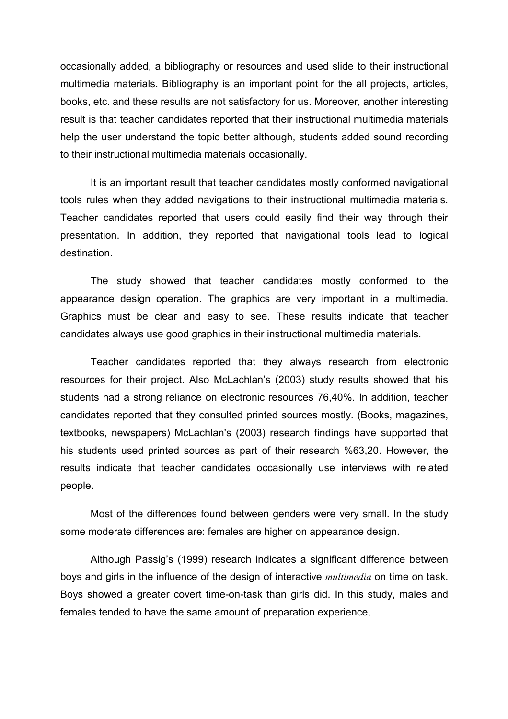occasionally added, a bibliography or resources and used slide to their instructional multimedia materials. Bibliography is an important point for the all projects, articles, books, etc. and these results are not satisfactory for us. Moreover, another interesting result is that teacher candidates reported that their instructional multimedia materials help the user understand the topic better although, students added sound recording to their instructional multimedia materials occasionally.

 It is an important result that teacher candidates mostly conformed navigational tools rules when they added navigations to their instructional multimedia materials. Teacher candidates reported that users could easily find their way through their presentation. In addition, they reported that navigational tools lead to logical destination.

 The study showed that teacher candidates mostly conformed to the appearance design operation. The graphics are very important in a multimedia. Graphics must be clear and easy to see. These results indicate that teacher candidates always use good graphics in their instructional multimedia materials.

 Teacher candidates reported that they always research from electronic resources for their project. Also McLachlan's (2003) study results showed that his students had a strong reliance on electronic resources 76,40%. In addition, teacher candidates reported that they consulted printed sources mostly. (Books, magazines, textbooks, newspapers) McLachlan's (2003) research findings have supported that his students used printed sources as part of their research %63,20. However, the results indicate that teacher candidates occasionally use interviews with related people.

 Most of the differences found between genders were very small. In the study some moderate differences are: females are higher on appearance design.

 Although Passig's (1999) research indicates a significant difference between boys and girls in the influence of the design of interactive *multimedia* on time on task. Boys showed a greater covert time-on-task than girls did. In this study, males and females tended to have the same amount of preparation experience,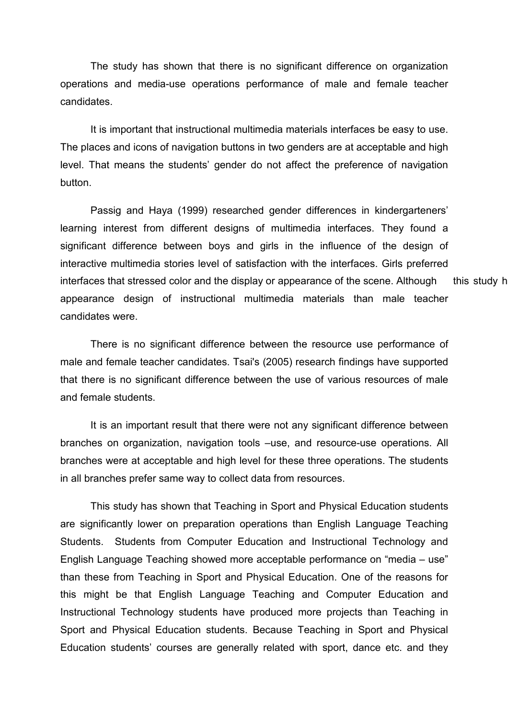The study has shown that there is no significant difference on organization operations and media-use operations performance of male and female teacher candidates.

 It is important that instructional multimedia materials interfaces be easy to use. The places and icons of navigation buttons in two genders are at acceptable and high level. That means the students' gender do not affect the preference of navigation button.

 Passig and Haya (1999) researched gender differences in kindergarteners' learning interest from different designs of multimedia interfaces. They found a significant difference between boys and girls in the influence of the design of interactive multimedia stories level of satisfaction with the interfaces. Girls preferred interfaces that stressed color and the display or appearance of the scene. Although this study h appearance design of instructional multimedia materials than male teacher candidates were.

 There is no significant difference between the resource use performance of male and female teacher candidates. Tsai's (2005) research findings have supported that there is no significant difference between the use of various resources of male and female students.

 It is an important result that there were not any significant difference between branches on organization, navigation tools –use, and resource-use operations. All branches were at acceptable and high level for these three operations. The students in all branches prefer same way to collect data from resources.

 This study has shown that Teaching in Sport and Physical Education students are significantly lower on preparation operations than English Language Teaching Students. Students from Computer Education and Instructional Technology and English Language Teaching showed more acceptable performance on "media – use" than these from Teaching in Sport and Physical Education. One of the reasons for this might be that English Language Teaching and Computer Education and Instructional Technology students have produced more projects than Teaching in Sport and Physical Education students. Because Teaching in Sport and Physical Education students' courses are generally related with sport, dance etc. and they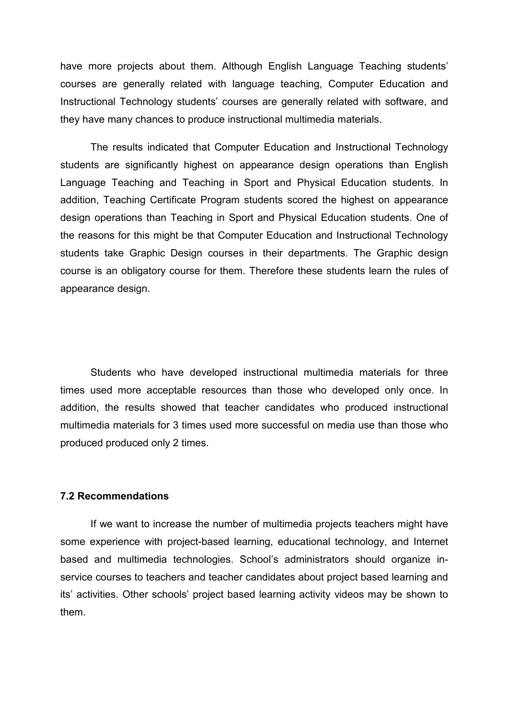have more projects about them. Although English Language Teaching students' courses are generally related with language teaching, Computer Education and Instructional Technology students' courses are generally related with software, and they have many chances to produce instructional multimedia materials.

 The results indicated that Computer Education and Instructional Technology students are significantly highest on appearance design operations than English Language Teaching and Teaching in Sport and Physical Education students. In addition, Teaching Certificate Program students scored the highest on appearance design operations than Teaching in Sport and Physical Education students. One of the reasons for this might be that Computer Education and Instructional Technology students take Graphic Design courses in their departments. The Graphic design course is an obligatory course for them. Therefore these students learn the rules of appearance design.

 Students who have developed instructional multimedia materials for three times used more acceptable resources than those who developed only once. In addition, the results showed that teacher candidates who produced instructional multimedia materials for 3 times used more successful on media use than those who produced produced only 2 times.

#### 7.2 Recommendations

If we want to increase the number of multimedia projects teachers might have some experience with project-based learning, educational technology, and Internet based and multimedia technologies. School's administrators should organize inservice courses to teachers and teacher candidates about project based learning and its' activities. Other schools' project based learning activity videos may be shown to them.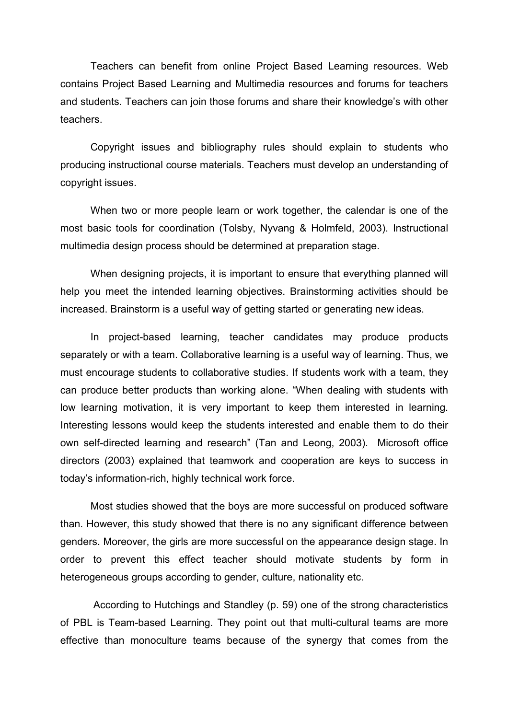Teachers can benefit from online Project Based Learning resources. Web contains Project Based Learning and Multimedia resources and forums for teachers and students. Teachers can join those forums and share their knowledge's with other teachers.

Copyright issues and bibliography rules should explain to students who producing instructional course materials. Teachers must develop an understanding of copyright issues.

When two or more people learn or work together, the calendar is one of the most basic tools for coordination (Tolsby, Nyvang & Holmfeld, 2003). Instructional multimedia design process should be determined at preparation stage.

 When designing projects, it is important to ensure that everything planned will help you meet the intended learning objectives. Brainstorming activities should be increased. Brainstorm is a useful way of getting started or generating new ideas.

In project-based learning, teacher candidates may produce products separately or with a team. Collaborative learning is a useful way of learning. Thus, we must encourage students to collaborative studies. If students work with a team, they can produce better products than working alone. "When dealing with students with low learning motivation, it is very important to keep them interested in learning. Interesting lessons would keep the students interested and enable them to do their own self-directed learning and research" (Tan and Leong, 2003). Microsoft office directors (2003) explained that teamwork and cooperation are keys to success in today's information-rich, highly technical work force.

Most studies showed that the boys are more successful on produced software than. However, this study showed that there is no any significant difference between genders. Moreover, the girls are more successful on the appearance design stage. In order to prevent this effect teacher should motivate students by form in heterogeneous groups according to gender, culture, nationality etc.

According to Hutchings and Standley (p. 59) one of the strong characteristics of PBL is Team-based Learning. They point out that multi-cultural teams are more effective than monoculture teams because of the synergy that comes from the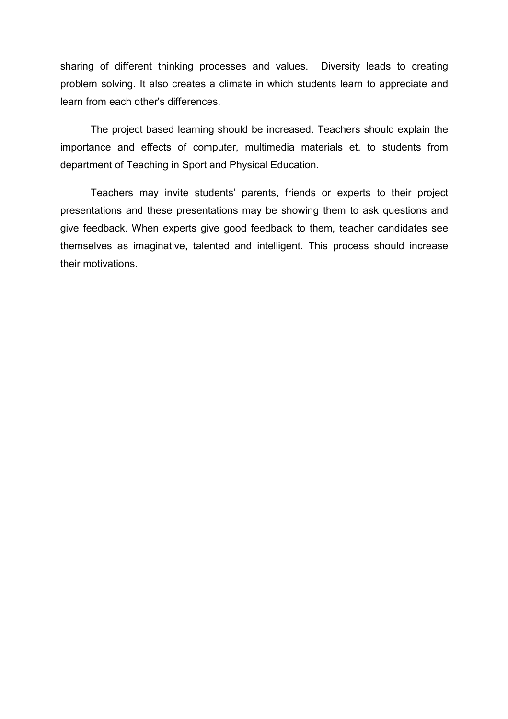sharing of different thinking processes and values. Diversity leads to creating problem solving. It also creates a climate in which students learn to appreciate and learn from each other's differences.

 The project based learning should be increased. Teachers should explain the importance and effects of computer, multimedia materials et. to students from department of Teaching in Sport and Physical Education.

Teachers may invite students' parents, friends or experts to their project presentations and these presentations may be showing them to ask questions and give feedback. When experts give good feedback to them, teacher candidates see themselves as imaginative, talented and intelligent. This process should increase their motivations.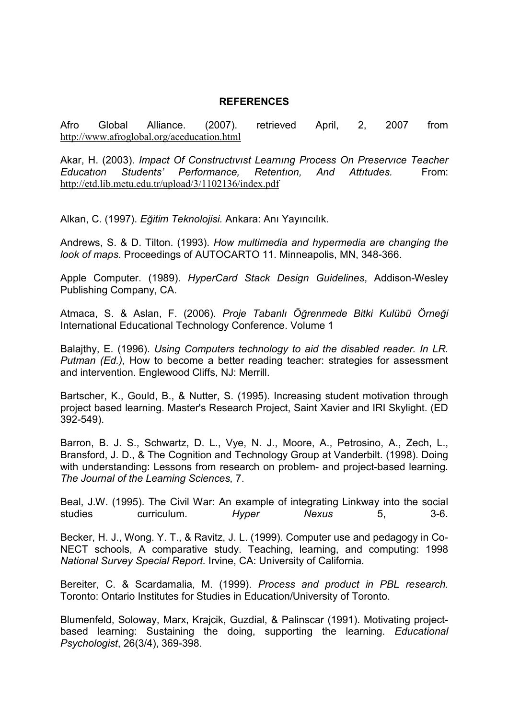### REFERENCES

Afro Global Alliance. (2007). retrieved April, 2, 2007 from http://www.afroglobal.org/aceducation.html

Akar, H. (2003). Impact Of Constructivist Learning Process On Preservice Teacher<br>Education Students' Performance. Retention. And Attitudes. From: Educatıon Students' Performance, Retentıon, And Attıtudes. From: http://etd.lib.metu.edu.tr/upload/3/1102136/index.pdf

Alkan, C. (1997). Eğitim Teknolojisi. Ankara: Anı Yayıncılık.

Andrews, S. & D. Tilton. (1993). How multimedia and hypermedia are changing the look of maps. Proceedings of AUTOCARTO 11. Minneapolis, MN, 348-366.

Apple Computer. (1989). HyperCard Stack Design Guidelines, Addison-Wesley Publishing Company, CA.

Atmaca, S. & Aslan, F. (2006). Proje Tabanlı Öğrenmede Bitki Kulübü Örneği International Educational Technology Conference. Volume 1

Balajthy, E. (1996). Using Computers technology to aid the disabled reader. In LR. Putman (Ed.), How to become a better reading teacher: strategies for assessment and intervention. Englewood Cliffs, NJ: Merrill.

Bartscher, K., Gould, B., & Nutter, S. (1995). Increasing student motivation through project based learning. Master's Research Project, Saint Xavier and IRI Skylight. (ED 392-549).

Barron, B. J. S., Schwartz, D. L., Vye, N. J., Moore, A., Petrosino, A., Zech, L., Bransford, J. D., & The Cognition and Technology Group at Vanderbilt. (1998). Doing with understanding: Lessons from research on problem- and project-based learning. The Journal of the Learning Sciences, 7.

Beal, J.W. (1995). The Civil War: An example of integrating Linkway into the social studies curriculum. Hyper Nexus 5, 3-6.

Becker, H. J., Wong. Y. T., & Ravitz, J. L. (1999). Computer use and pedagogy in Co-NECT schools, A comparative study. Teaching, learning, and computing: 1998 National Survey Special Report. Irvine, CA: University of California.

Bereiter, C. & Scardamalia, M. (1999). Process and product in PBL research. Toronto: Ontario Institutes for Studies in Education/University of Toronto.

Blumenfeld, Soloway, Marx, Krajcik, Guzdial, & Palinscar (1991). Motivating projectbased learning: Sustaining the doing, supporting the learning. Educational Psychologist, 26(3/4), 369-398.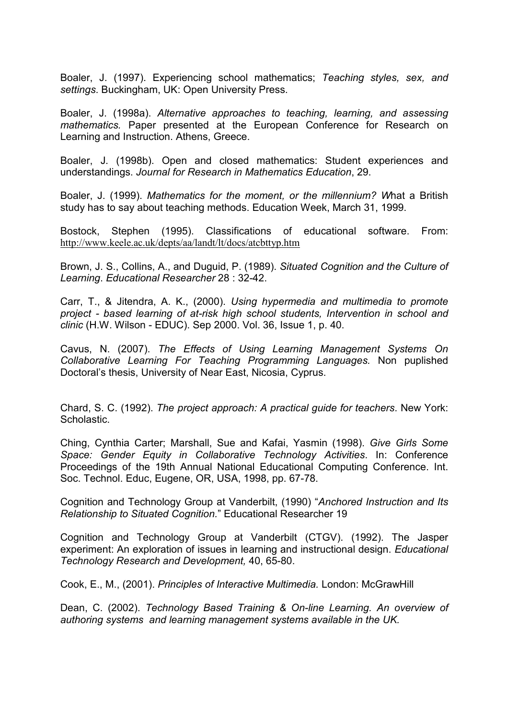Boaler, J. (1997). Experiencing school mathematics; Teaching styles, sex, and settings. Buckingham, UK: Open University Press.

Boaler, J. (1998a). Alternative approaches to teaching, learning, and assessing mathematics. Paper presented at the European Conference for Research on Learning and Instruction. Athens, Greece.

Boaler, J. (1998b). Open and closed mathematics: Student experiences and understandings. Journal for Research in Mathematics Education, 29.

Boaler, J. (1999). Mathematics for the moment, or the millennium? What a British study has to say about teaching methods. Education Week, March 31, 1999.

Bostock, Stephen (1995). Classifications of educational software. From: http://www.keele.ac.uk/depts/aa/landt/lt/docs/atcbttyp.htm

Brown, J. S., Collins, A., and Duguid, P. (1989). Situated Cognition and the Culture of Learning. Educational Researcher 28 : 32-42.

Carr, T., & Jitendra, A. K., (2000). Using hypermedia and multimedia to promote project - based learning of at-risk high school students, Intervention in school and clinic (H.W. Wilson - EDUC). Sep 2000. Vol. 36, Issue 1, p. 40.

Cavus, N. (2007). The Effects of Using Learning Management Systems On Collaborative Learning For Teaching Programming Languages. Non puplished Doctoral's thesis, University of Near East, Nicosia, Cyprus.

Chard, S. C. (1992). The project approach: A practical guide for teachers. New York: **Scholastic.** 

Ching, Cynthia Carter; Marshall, Sue and Kafai, Yasmin (1998). Give Girls Some Space: Gender Equity in Collaborative Technology Activities. In: Conference Proceedings of the 19th Annual National Educational Computing Conference. Int. Soc. Technol. Educ, Eugene, OR, USA, 1998, pp. 67-78.

Cognition and Technology Group at Vanderbilt, (1990) "Anchored Instruction and Its Relationship to Situated Cognition." Educational Researcher 19

Cognition and Technology Group at Vanderbilt (CTGV). (1992). The Jasper experiment: An exploration of issues in learning and instructional design. Educational Technology Research and Development, 40, 65-80.

Cook, E., M., (2001). Principles of Interactive Multimedia. London: McGrawHill

Dean, C. (2002). Technology Based Training & On-line Learning. An overview of authoring systems and learning management systems available in the UK.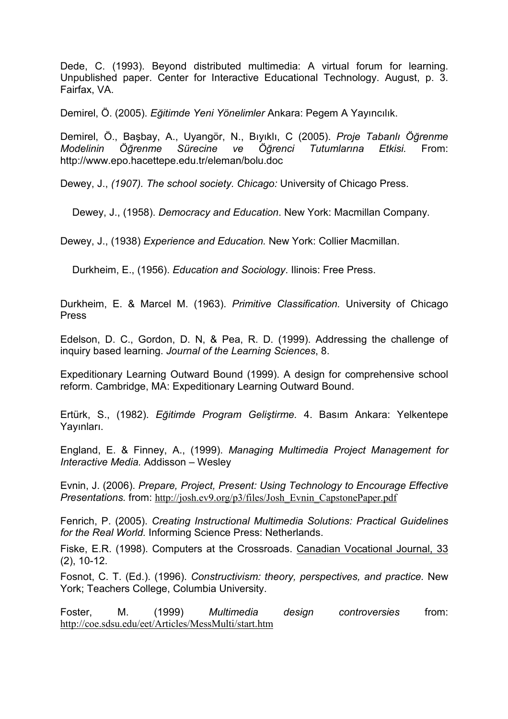Dede, C. (1993). Beyond distributed multimedia: A virtual forum for learning. Unpublished paper. Center for Interactive Educational Technology. August, p. 3. Fairfax, VA.

Demirel, Ö. (2005). Eğitimde Yeni Yönelimler Ankara: Pegem A Yayıncılık.

Demirel, Ö., Başbay, A., Uyangör, N., Bıyıklı, C (2005). Proje Tabanlı Öğrenme Modelinin Öğrenme Sürecine ve Öğrenci Tutumlarına Etkisi. From: http://www.epo.hacettepe.edu.tr/eleman/bolu.doc

Dewey, J., (1907). The school society. Chicago: University of Chicago Press.

Dewey, J., (1958). Democracy and Education. New York: Macmillan Company.

Dewey, J., (1938) Experience and Education. New York: Collier Macmillan.

Durkheim, E., (1956). Education and Sociology. Ilinois: Free Press.

Durkheim, E. & Marcel M. (1963). Primitive Classification. University of Chicago Press

Edelson, D. C., Gordon, D. N, & Pea, R. D. (1999). Addressing the challenge of inquiry based learning. Journal of the Learning Sciences, 8.

Expeditionary Learning Outward Bound (1999). A design for comprehensive school reform. Cambridge, MA: Expeditionary Learning Outward Bound.

Ertürk, S., (1982). Eğitimde Program Geliştirme. 4. Basım Ankara: Yelkentepe Yayınları.

England, E. & Finney, A., (1999). Managing Multimedia Project Management for Interactive Media. Addisson – Wesley

Evnin, J. (2006). Prepare, Project, Present: Using Technology to Encourage Effective Presentations. from: http://josh.ev9.org/p3/files/Josh\_Evnin\_CapstonePaper.pdf

Fenrich, P. (2005). Creating Instructional Multimedia Solutions: Practical Guidelines for the Real World. Informing Science Press: Netherlands.

Fiske, E.R. (1998). Computers at the Crossroads. Canadian Vocational Journal, 33 (2), 10-12.

Fosnot, C. T. (Ed.). (1996). Constructivism: theory, perspectives, and practice. New York; Teachers College, Columbia University.

Foster, M. (1999) Multimedia design controversies from: http://coe.sdsu.edu/eet/Articles/MessMulti/start.htm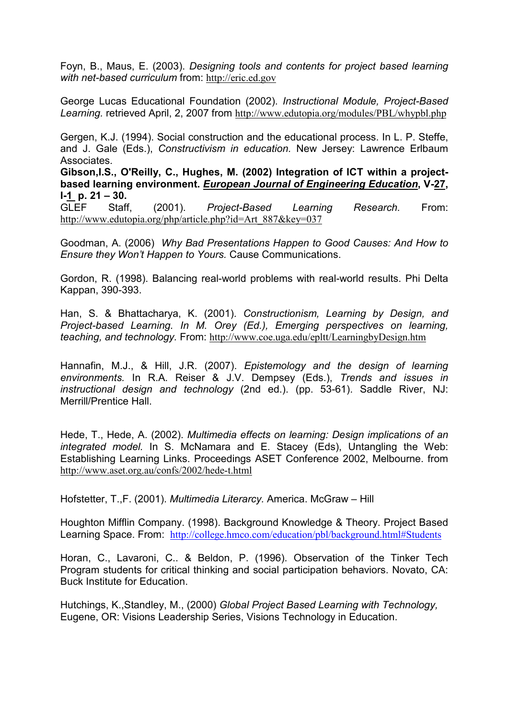Foyn, B., Maus, E. (2003). Designing tools and contents for project based learning with net-based curriculum from: http://eric.ed.gov

George Lucas Educational Foundation (2002). Instructional Module, Project-Based Learning. retrieved April, 2, 2007 from http://www.edutopia.org/modules/PBL/whypbl.php

Gergen, K.J. (1994). Social construction and the educational process. In L. P. Steffe, and J. Gale (Eds.), Constructivism in education. New Jersey: Lawrence Erlbaum Associates.

Gibson,I.S., O'Reilly, C., Hughes, M. (2002) Integration of ICT within a projectbased learning environment. European Journal of Engineering Education, V-27,  $I-1$  p.  $21 - 30$ .

GLEF Staff, (2001). Project-Based Learning Research. From: http://www.edutopia.org/php/article.php?id=Art\_887&key=037

Goodman, A. (2006) Why Bad Presentations Happen to Good Causes: And How to Ensure they Won't Happen to Yours. Cause Communications.

Gordon, R. (1998). Balancing real-world problems with real-world results. Phi Delta Kappan, 390-393.

Han, S. & Bhattacharya, K. (2001). Constructionism, Learning by Design, and Project-based Learning. In M. Orey (Ed.), Emerging perspectives on learning, teaching, and technology. From: http://www.coe.uga.edu/epltt/LearningbyDesign.htm

Hannafin, M.J., & Hill, J.R. (2007). Epistemology and the design of learning environments. In R.A. Reiser & J.V. Dempsey (Eds.), Trends and issues in instructional design and technology (2nd ed.). (pp. 53-61). Saddle River, NJ: Merrill/Prentice Hall.

Hede, T., Hede, A. (2002). Multimedia effects on learning: Design implications of an integrated model. In S. McNamara and E. Stacey (Eds), Untangling the Web: Establishing Learning Links. Proceedings ASET Conference 2002, Melbourne. from http://www.aset.org.au/confs/2002/hede-t.html

Hofstetter, T.,F. (2001). Multimedia Literarcy. America. McGraw – Hill

Houghton Mifflin Company. (1998). Background Knowledge & Theory. Project Based Learning Space. From: http://college.hmco.com/education/pbl/background.html#Students

Horan, C., Lavaroni, C.. & Beldon, P. (1996). Observation of the Tinker Tech Program students for critical thinking and social participation behaviors. Novato, CA: Buck Institute for Education.

Hutchings, K.,Standley, M., (2000) Global Project Based Learning with Technology, Eugene, OR: Visions Leadership Series, Visions Technology in Education.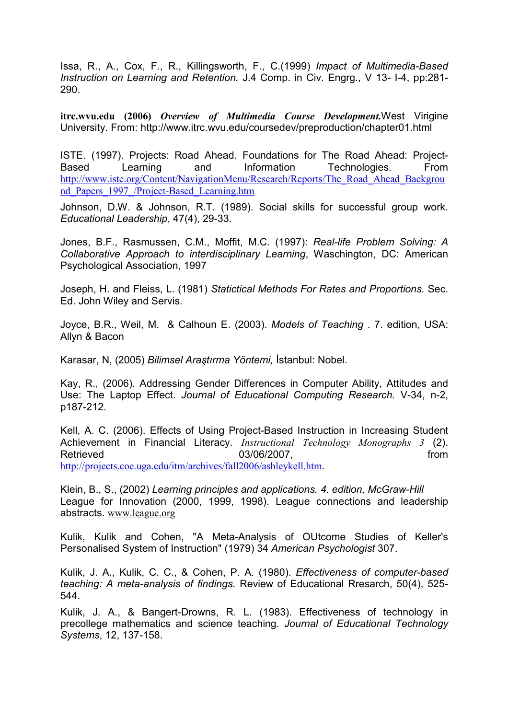Issa, R., A., Cox, F., R., Killingsworth, F., C.(1999) Impact of Multimedia-Based Instruction on Learning and Retention. J.4 Comp. in Civ. Engrg., V 13- I-4, pp:281- 290.

itrc.wvu.edu (2006) Overview of Multimedia Course Development.West Virigine University. From: http://www.itrc.wvu.edu/coursedev/preproduction/chapter01.html

ISTE. (1997). Projects: Road Ahead. Foundations for The Road Ahead: Project-Based Learning and Information Technologies. From http://www.iste.org/Content/NavigationMenu/Research/Reports/The\_Road\_Ahead\_Backgrou nd\_Papers\_1997\_/Project-Based\_Learning.htm

Johnson, D.W. & Johnson, R.T. (1989). Social skills for successful group work. Educational Leadership, 47(4), 29-33.

Jones, B.F., Rasmussen, C.M., Moffit, M.C. (1997): Real-life Problem Solving: A Collaborative Approach to interdisciplinary Learning, Waschington, DC: American Psychological Association, 1997

Joseph, H. and Fleiss, L. (1981) Statictical Methods For Rates and Proportions. Sec. Ed. John Wiley and Servis.

Joyce, B.R., Weil, M. & Calhoun E. (2003). Models of Teaching . 7. edition, USA: Allyn & Bacon

Karasar, N, (2005) Bilimsel Araştırma Yöntemi, İstanbul: Nobel.

Kay, R., (2006). Addressing Gender Differences in Computer Ability, Attitudes and Use: The Laptop Effect. Journal of Educational Computing Research. V-34, n-2, p187-212.

Kell, A. C. (2006). Effects of Using Project-Based Instruction in Increasing Student Achievement in Financial Literacy. *Instructional Technology Monographs 3* (2). Retrieved 63/06/2007, **https://www.frommuniter.com/** 63/06/2007, **frommunity** from http://projects.coe.uga.edu/itm/archives/fall2006/ashleykell.htm.

Klein, B., S., (2002) Learning principles and applications. 4. edition, McGraw-Hill League for Innovation (2000, 1999, 1998). League connections and leadership abstracts. www.league.org

Kulik, Kulik and Cohen, "A Meta-Analysis of OUtcome Studies of Keller's Personalised System of Instruction" (1979) 34 American Psychologist 307.

Kulik, J. A., Kulik, C. C., & Cohen, P. A. (1980). Effectiveness of computer-based teaching: A meta-analysis of findings. Review of Educational Rresarch, 50(4), 525- 544.

Kulik, J. A., & Bangert-Drowns, R. L. (1983). Effectiveness of technology in precollege mathematics and science teaching. Journal of Educational Technology Systems, 12, 137-158.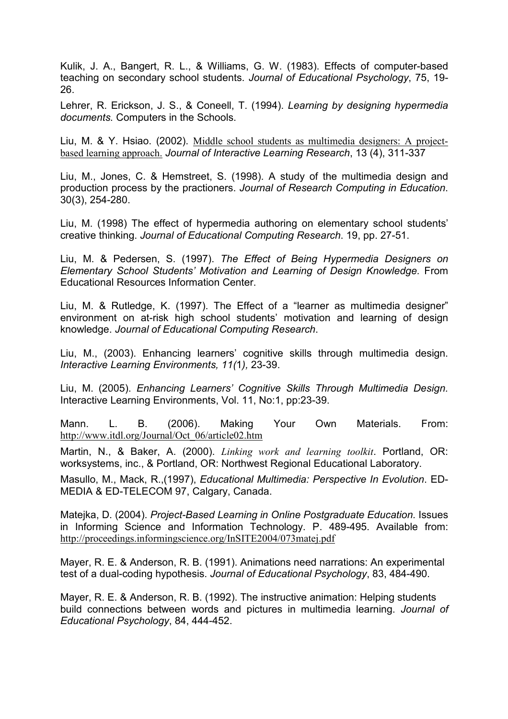Kulik, J. A., Bangert, R. L., & Williams, G. W. (1983). Effects of computer-based teaching on secondary school students. Journal of Educational Psychology, 75, 19- 26.

Lehrer, R. Erickson, J. S., & Coneell, T. (1994). Learning by designing hypermedia documents. Computers in the Schools.

Liu, M. & Y. Hsiao. (2002). Middle school students as multimedia designers: A projectbased learning approach. Journal of Interactive Learning Research, 13 (4), 311-337

Liu, M., Jones, C. & Hemstreet, S. (1998). A study of the multimedia design and production process by the practioners. Journal of Research Computing in Education. 30(3), 254-280.

Liu, M. (1998) The effect of hypermedia authoring on elementary school students' creative thinking. Journal of Educational Computing Research. 19, pp. 27-51.

Liu, M. & Pedersen, S. (1997). The Effect of Being Hypermedia Designers on Elementary School Students' Motivation and Learning of Design Knowledge. From Educational Resources Information Center.

Liu, M. & Rutledge, K. (1997). The Effect of a "learner as multimedia designer" environment on at-risk high school students' motivation and learning of design knowledge. Journal of Educational Computing Research.

Liu, M., (2003). Enhancing learners' cognitive skills through multimedia design. Interactive Learning Environments, 11(1), 23-39.

Liu, M. (2005). Enhancing Learners' Cognitive Skills Through Multimedia Design. Interactive Learning Environments, Vol. 11, No:1, pp:23-39.

Mann. L. B. (2006). Making Your Own Materials. From: http://www.itdl.org/Journal/Oct\_06/article02.htm

Martin, N., & Baker, A. (2000). Linking work and learning toolkit. Portland, OR: worksystems, inc., & Portland, OR: Northwest Regional Educational Laboratory.

Masullo, M., Mack, R.,(1997), Educational Multimedia: Perspective In Evolution. ED-MEDIA & ED-TELECOM 97, Calgary, Canada.

Matejka, D. (2004). Project-Based Learning in Online Postgraduate Education. Issues in Informing Science and Information Technology. P. 489-495. Available from: http://proceedings.informingscience.org/InSITE2004/073matej.pdf

Mayer, R. E. & Anderson, R. B. (1991). Animations need narrations: An experimental test of a dual-coding hypothesis. Journal of Educational Psychology, 83, 484-490.

Mayer, R. E. & Anderson, R. B. (1992). The instructive animation: Helping students build connections between words and pictures in multimedia learning. Journal of Educational Psychology, 84, 444-452.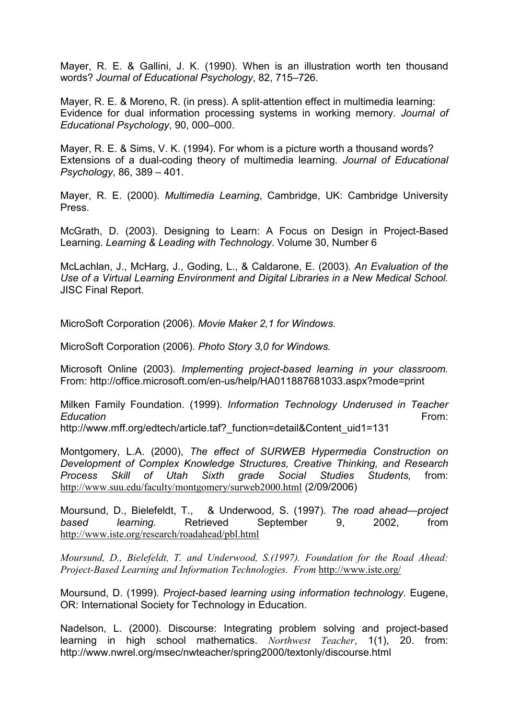Mayer, R. E. & Gallini, J. K. (1990). When is an illustration worth ten thousand words? Journal of Educational Psychology, 82, 715–726.

Mayer, R. E. & Moreno, R. (in press). A split-attention effect in multimedia learning: Evidence for dual information processing systems in working memory. Journal of Educational Psychology, 90, 000–000.

Mayer, R. E. & Sims, V. K. (1994). For whom is a picture worth a thousand words? Extensions of a dual-coding theory of multimedia learning. Journal of Educational Psychology, 86, 389 – 401.

Mayer, R. E. (2000). Multimedia Learning, Cambridge, UK: Cambridge University Press.

McGrath, D. (2003). Designing to Learn: A Focus on Design in Project-Based Learning. Learning & Leading with Technology. Volume 30, Number 6

McLachlan, J., McHarg, J., Goding, L., & Caldarone, E. (2003). An Evaluation of the Use of a Virtual Learning Environment and Digital Libraries in a New Medical School. JISC Final Report.

MicroSoft Corporation (2006). Movie Maker 2,1 for Windows.

MicroSoft Corporation (2006). Photo Story 3,0 for Windows.

Microsoft Online (2003). Implementing project-based learning in your classroom. From: http://office.microsoft.com/en-us/help/HA011887681033.aspx?mode=print

Milken Family Foundation. (1999). Information Technology Underused in Teacher Education **From:** 

http://www.mff.org/edtech/article.taf? function=detail&Content\_uid1=131

Montgomery, L.A. (2000), The effect of SURWEB Hypermedia Construction on Development of Complex Knowledge Structures, Creative Thinking, and Research Process Skill of Utah Sixth grade Social Studies Students, from: http://www.suu.edu/faculty/montgomery/surweb2000.html (2/09/2006)

Moursund, D., Bielefeldt, T., & Underwood, S. (1997). The road ahead—project based learning. Retrieved September 9, 2002, from http://www.iste.org/research/roadahead/pbl.html

Moursund, D., Bielefeldt, T. and Underwood, S.(1997). Foundation for the Road Ahead: Project-Based Learning and Information Technologies. From http://www.iste.org/

Moursund, D. (1999). Project-based learning using information technology. Eugene, OR: International Society for Technology in Education.

Nadelson, L. (2000). Discourse: Integrating problem solving and project-based learning in high school mathematics. Northwest Teacher, 1(1), 20. from: http://www.nwrel.org/msec/nwteacher/spring2000/textonly/discourse.html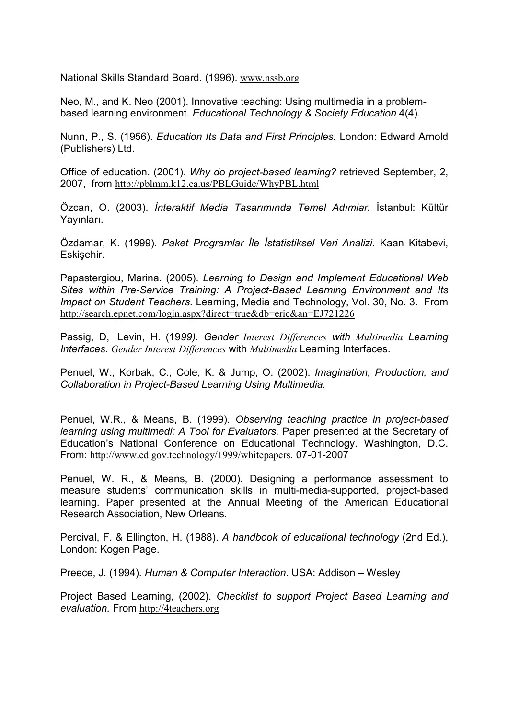National Skills Standard Board. (1996). www.nssb.org

Neo, M., and K. Neo (2001). Innovative teaching: Using multimedia in a problembased learning environment. Educational Technology & Society Education 4(4).

Nunn, P., S. (1956). Education Its Data and First Principles. London: Edward Arnold (Publishers) Ltd.

Office of education. (2001). Why do project-based learning? retrieved September, 2, 2007, from http://pblmm.k12.ca.us/PBLGuide/WhyPBL.html

Özcan, O. (2003). *İnteraktif Media Tasarımında Temel Adımlar.* İstanbul: Kültür Yayınları.

Özdamar, K. (1999). Paket Programlar İle İstatistiksel Veri Analizi. Kaan Kitabevi, Eskisehir.

Papastergiou, Marina. (2005). Learning to Design and Implement Educational Web Sites within Pre-Service Training: A Project-Based Learning Environment and Its Impact on Student Teachers. Learning, Media and Technology, Vol. 30, No. 3. From http://search.epnet.com/login.aspx?direct=true&db=eric&an=EJ721226

Passig, D. Levin, H. (1999). Gender Interest Differences with Multimedia Learning Interfaces. Gender Interest Differences with Multimedia Learning Interfaces.

Penuel, W., Korbak, C., Cole, K. & Jump, O. (2002). Imagination, Production, and Collaboration in Project-Based Learning Using Multimedia.

Penuel, W.R., & Means, B. (1999). Observing teaching practice in project-based learning using multimedi: A Tool for Evaluators. Paper presented at the Secretary of Education's National Conference on Educational Technology. Washington, D.C. From: http://www.ed.gov.technology/1999/whitepapers. 07-01-2007

Penuel, W. R., & Means, B. (2000). Designing a performance assessment to measure students' communication skills in multi-media-supported, project-based learning. Paper presented at the Annual Meeting of the American Educational Research Association, New Orleans.

Percival, F. & Ellington, H. (1988). A handbook of educational technology (2nd Ed.), London: Kogen Page.

Preece, J. (1994). Human & Computer Interaction. USA: Addison – Wesley

Project Based Learning, (2002). Checklist to support Project Based Learning and evaluation. From http://4teachers.org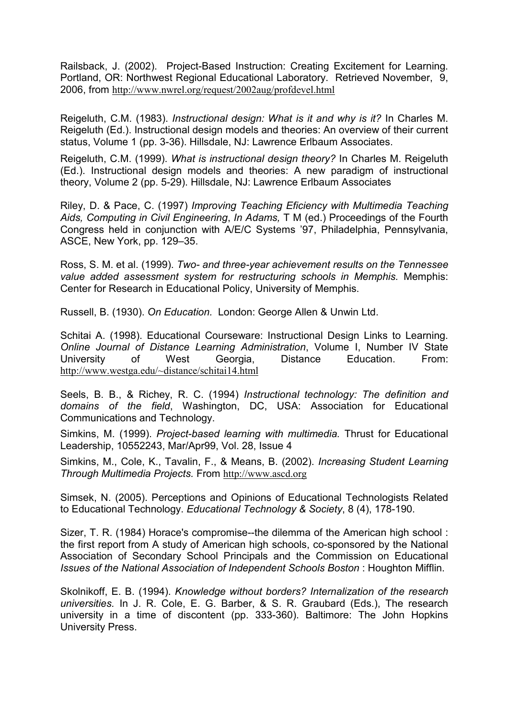Railsback, J. (2002). Project-Based Instruction: Creating Excitement for Learning. Portland, OR: Northwest Regional Educational Laboratory. Retrieved November, 9, 2006, from http://www.nwrel.org/request/2002aug/profdevel.html

Reigeluth, C.M. (1983). Instructional design: What is it and why is it? In Charles M. Reigeluth (Ed.). Instructional design models and theories: An overview of their current status, Volume 1 (pp. 3-36). Hillsdale, NJ: Lawrence Erlbaum Associates.

Reigeluth, C.M. (1999). What is instructional design theory? In Charles M. Reigeluth (Ed.). Instructional design models and theories: A new paradigm of instructional theory, Volume 2 (pp. 5-29). Hillsdale, NJ: Lawrence Erlbaum Associates

Riley, D. & Pace, C. (1997) Improving Teaching Eficiency with Multimedia Teaching Aids, Computing in Civil Engineering, In Adams, T M (ed.) Proceedings of the Fourth Congress held in conjunction with A/E/C Systems '97, Philadelphia, Pennsylvania, ASCE, New York, pp. 129–35.

Ross, S. M. et al. (1999). Two- and three-year achievement results on the Tennessee value added assessment system for restructuring schools in Memphis. Memphis: Center for Research in Educational Policy, University of Memphis.

Russell, B. (1930). On Education. London: George Allen & Unwin Ltd.

Schitai A. (1998). Educational Courseware: Instructional Design Links to Learning. Online Journal of Distance Learning Administration, Volume I, Number IV State University of West Georgia, Distance Education. From: http://www.westga.edu/~distance/schitai14.html

Seels, B. B., & Richey, R. C. (1994) Instructional technology: The definition and domains of the field, Washington, DC, USA: Association for Educational Communications and Technology.

Simkins, M. (1999). Project-based learning with multimedia. Thrust for Educational Leadership, 10552243, Mar/Apr99, Vol. 28, Issue 4

Simkins, M., Cole, K., Tavalin, F., & Means, B. (2002). Increasing Student Learning Through Multimedia Projects. From http://www.ascd.org

Simsek, N. (2005). Perceptions and Opinions of Educational Technologists Related to Educational Technology. Educational Technology & Society, 8 (4), 178-190.

Sizer, T. R. (1984) Horace's compromise--the dilemma of the American high school : the first report from A study of American high schools, co-sponsored by the National Association of Secondary School Principals and the Commission on Educational Issues of the National Association of Independent Schools Boston : Houghton Mifflin.

Skolnikoff, E. B. (1994). Knowledge without borders? Internalization of the research universities. In J. R. Cole, E. G. Barber, & S. R. Graubard (Eds.), The research university in a time of discontent (pp. 333-360). Baltimore: The John Hopkins University Press.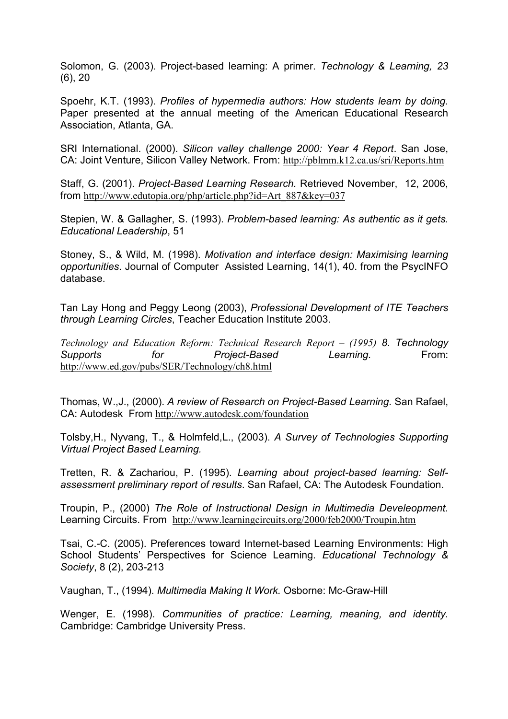Solomon, G. (2003). Project-based learning: A primer. Technology & Learning, 23 (6), 20

Spoehr, K.T. (1993). Profiles of hypermedia authors: How students learn by doing. Paper presented at the annual meeting of the American Educational Research Association, Atlanta, GA.

SRI International. (2000). Silicon valley challenge 2000: Year 4 Report. San Jose, CA: Joint Venture, Silicon Valley Network. From: http://pblmm.k12.ca.us/sri/Reports.htm

Staff, G. (2001). Project-Based Learning Research. Retrieved November, 12, 2006, from http://www.edutopia.org/php/article.php?id=Art\_887&key=037

Stepien, W. & Gallagher, S. (1993). Problem-based learning: As authentic as it gets. Educational Leadership, 51

Stoney, S., & Wild, M. (1998). Motivation and interface design: Maximising learning opportunities. Journal of Computer Assisted Learning, 14(1), 40. from the PsycINFO database.

Tan Lay Hong and Peggy Leong (2003), Professional Development of ITE Teachers through Learning Circles, Teacher Education Institute 2003.

Technology and Education Reform: Technical Research Report – (1995) 8. Technology Supports for Project-Based Learning. From: http://www.ed.gov/pubs/SER/Technology/ch8.html

Thomas, W.,J., (2000). A review of Research on Project-Based Learning. San Rafael, CA: Autodesk From http://www.autodesk.com/foundation

Tolsby,H., Nyvang, T., & Holmfeld,L., (2003). A Survey of Technologies Supporting Virtual Project Based Learning.

Tretten, R. & Zachariou, P. (1995). Learning about project-based learning: Selfassessment preliminary report of results. San Rafael, CA: The Autodesk Foundation.

Troupin, P., (2000) The Role of Instructional Design in Multimedia Develeopment. Learning Circuits. From http://www.learningcircuits.org/2000/feb2000/Troupin.htm

Tsai, C.-C. (2005). Preferences toward Internet-based Learning Environments: High School Students' Perspectives for Science Learning. Educational Technology & Society, 8 (2), 203-213

Vaughan, T., (1994). Multimedia Making It Work. Osborne: Mc-Graw-Hill

Wenger, E. (1998). Communities of practice: Learning, meaning, and identity. Cambridge: Cambridge University Press.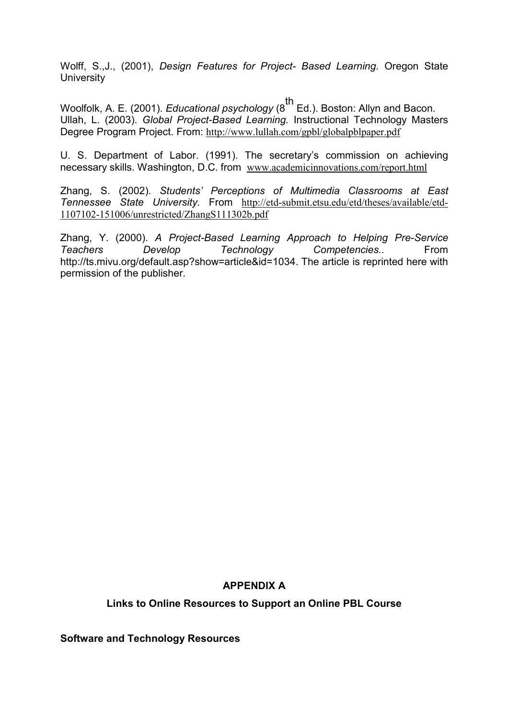Wolff, S.,J., (2001), Design Features for Project- Based Learning. Oregon State **University** 

Woolfolk, A. E. (2001). *Educational psychology* ( $8^{th}$  Ed.). Boston: Allyn and Bacon. Ullah, L. (2003). Global Project-Based Learning. Instructional Technology Masters Degree Program Project. From: http://www.lullah.com/gpbl/globalpblpaper.pdf

U. S. Department of Labor. (1991). The secretary's commission on achieving necessary skills. Washington, D.C. from www.academicinnovations.com/report.html

Zhang, S. (2002). Students' Perceptions of Multimedia Classrooms at East Tennessee State University. From http://etd-submit.etsu.edu/etd/theses/available/etd-1107102-151006/unrestricted/ZhangS111302b.pdf

Zhang, Y. (2000). A Project-Based Learning Approach to Helping Pre-Service Teachers Develop Technology Competencies.. From http://ts.mivu.org/default.asp?show=article&id=1034. The article is reprinted here with permission of the publisher.

### APPENDIX A

Links to Online Resources to Support an Online PBL Course

Software and Technology Resources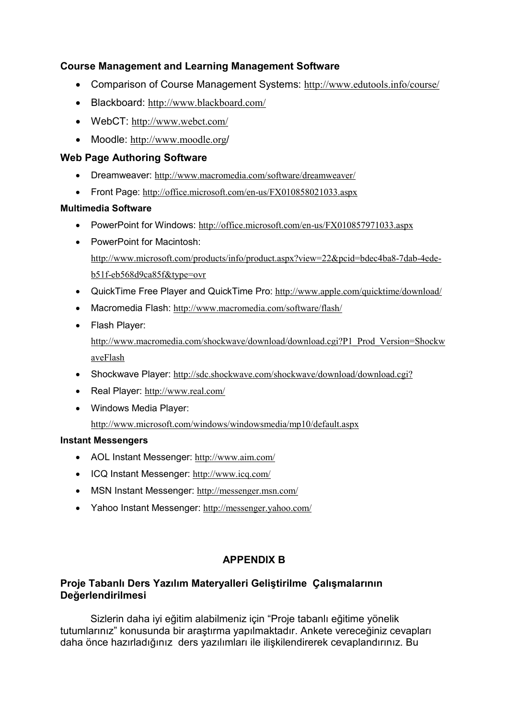## Course Management and Learning Management Software

- Comparison of Course Management Systems: http://www.edutools.info/course/
- Blackboard: http://www.blackboard.com/
- WebCT: http://www.webct.com/
- Moodle: http://www.moodle.org/

## Web Page Authoring Software

- Dreamweaver: http://www.macromedia.com/software/dreamweaver/
- Front Page: http://office.microsoft.com/en-us/FX010858021033.aspx

## Multimedia Software

- PowerPoint for Windows: http://office.microsoft.com/en-us/FX010857971033.aspx
- PowerPoint for Macintosh: http://www.microsoft.com/products/info/product.aspx?view=22&pcid=bdec4ba8-7dab-4edeb51f-eb568d9ca85f&type=ovr
- QuickTime Free Player and QuickTime Pro: http://www.apple.com/quicktime/download/
- Macromedia Flash: http://www.macromedia.com/software/flash/
- Flash Player: http://www.macromedia.com/shockwave/download/download.cgi?P1\_Prod\_Version=Shockw aveFlash
- Shockwave Player: http://sdc.shockwave.com/shockwave/download/download.cgi?
- Real Player: http://www.real.com/
- Windows Media Player:

http://www.microsoft.com/windows/windowsmedia/mp10/default.aspx

### Instant Messengers

- AOL Instant Messenger: http://www.aim.com/
- ICQ Instant Messenger: http://www.icq.com/
- MSN Instant Messenger: http://messenger.msn.com/
- Yahoo Instant Messenger: http://messenger.yahoo.com/

## APPENDIX B

## Proje Tabanlı Ders Yazılım Materyalleri Geliştirilme Çalışmalarının Değerlendirilmesi

 Sizlerin daha iyi eğitim alabilmeniz için "Proje tabanlı eğitime yönelik tutumlarınız" konusunda bir araştırma yapılmaktadır. Ankete vereceğiniz cevapları daha önce hazırladığınız ders yazılımları ile ilişkilendirerek cevaplandırınız. Bu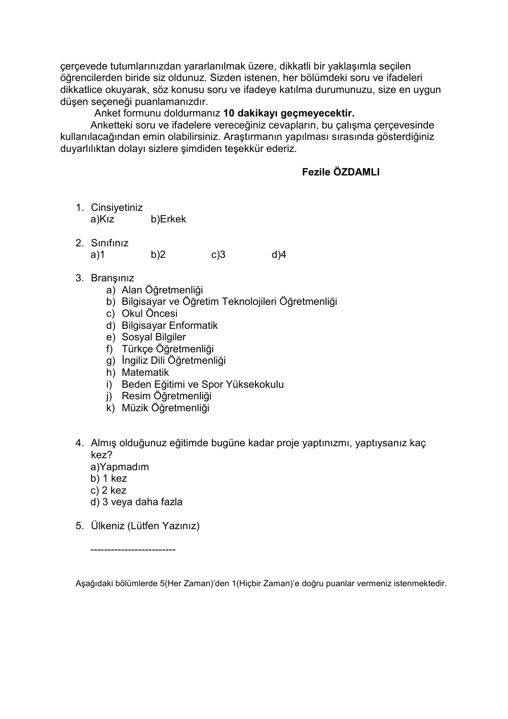çerçevede tutumlarınızdan yararlanılmak üzere, dikkatli bir yaklaşımla seçilen öğrencilerden biride siz oldunuz. Sizden istenen, her bölümdeki soru ve ifadeleri dikkatlice okuyarak, söz konusu soru ve ifadeye katılma durumunuzu, size en uygun düşen seçeneği puanlamanızdır.

Anket formunu doldurmanız 10 dakikayı geçmeyecektir.

 Anketteki soru ve ifadelere vereceğiniz cevapların, bu çalışma çerçevesinde kullanılacağından emin olabilirsiniz. Araştırmanın yapılması sırasında gösterdiğiniz duyarlılıktan dolayı sizlere şimdiden teşekkür ederiz.

## Fezile ÖZDAMLI

- 1. Cinsiyetiniz a)Kız b)Erkek
- 2. Sınıfınız a)1 b)2 c)3 d)4
	-

- 3. Branşınız
	- a) Alan Öğretmenliği
	- b) Bilgisayar ve Öğretim Teknolojileri Öğretmenliği
	- c) Okul Öncesi
	- d) Bilgisayar Enformatik
	- e) Sosyal Bilgiler
	- f) Türkçe Öğretmenliği
	- g) İngiliz Dili Öğretmenliği
	- h) Matematik
	- i) Beden Eğitimi ve Spor Yüksekokulu
	- j) Resim Öğretmenliği
	- k) Müzik Öğretmenliği
- 4. Almış olduğunuz eğitimde bugüne kadar proje yaptınızmı, yaptıysanız kaç kez?
	- a)Yapmadım
	- b) 1 kez
	- c) 2 kez
	- d) 3 veya daha fazla
- 5. Ülkeniz (Lütfen Yazınız)

-------------------------

Aşağıdaki bölümlerde 5(Her Zaman)'den 1(Hiçbir Zaman)'e doğru puanlar vermeniz istenmektedir.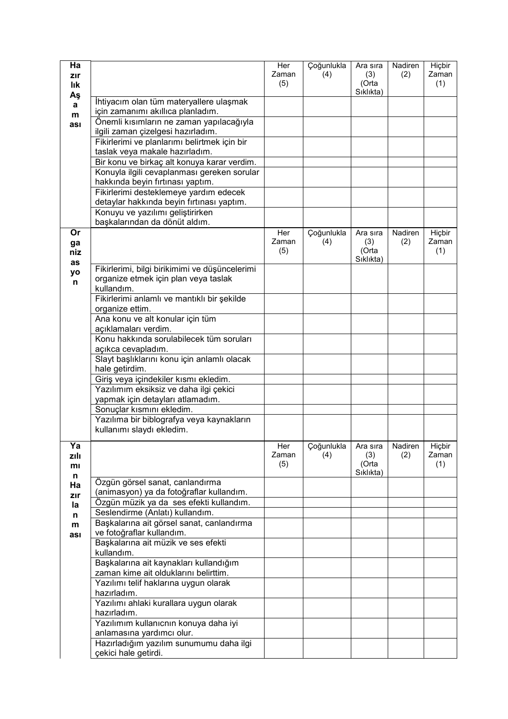| Zaman<br>(2)<br>(4)<br>(3)<br>zır<br>(Orta<br>(5)<br>lık<br>Sıklıkta)<br>Aş<br>İhtiyacım olan tüm materyallere ulaşmak<br>a<br>için zamanımı akıllıca planladım.<br>m<br>Önemli kısımların ne zaman yapılacağıyla<br>ası<br>ilgili zaman çizelgesi hazırladım.<br>Fikirlerimi ve planlarımı belirtmek için bir<br>taslak veya makale hazırladım.<br>Bir konu ve birkaç alt konuya karar verdim.<br>Konuyla ilgili cevaplanması gereken sorular<br>hakkında beyin fırtınası yaptım.<br>Fikirlerimi desteklemeye yardım edecek<br>detaylar hakkında beyin fırtınası yaptım.<br>Konuyu ve yazılımı geliştirirken<br>başkalarından da dönüt aldım.<br>Or<br>Çoğunlukla<br>Nadiren<br>Her<br>Ara sıra<br>Zaman<br>(3)<br>(2)<br>(4)<br>ga<br>(5)<br>(Orta<br>niz<br>Sıklıkta)<br>as<br>Fikirlerimi, bilgi birikimimi ve düşüncelerimi<br>yo<br>organize etmek için plan veya taslak<br>n<br>kullandım.<br>Fikirlerimi anlamlı ve mantıklı bir şekilde<br>organize ettim.<br>Ana konu ve alt konular için tüm<br>açıklamaları verdim.<br>Konu hakkında sorulabilecek tüm soruları<br>açıkca cevapladım.<br>Slayt başlıklarını konu için anlamlı olacak<br>hale getirdim.<br>Giriş veya içindekiler kısmı ekledim.<br>Yazılımım eksiksiz ve daha ilgi çekici<br>yapmak için detayları atlamadım.<br>Sonuçlar kısmını ekledim.<br>Yazılıma bir biblografya veya kaynakların<br>kullanımı slaydı ekledim.<br>Her<br>Çoğunlukla<br>Nadiren<br>Ya<br>Ara sıra<br>Zaman<br>(4)<br>(3)<br>(2)<br>zılı<br>(5)<br>(Orta<br>mı<br>Sıklıkta)<br>n<br>Özgün görsel sanat, canlandırma<br>Ha<br>(animasyon) ya da fotoğraflar kullandım.<br>zır<br>Özgün müzik ya da ses efekti kullandım.<br>la<br>Seslendirme (Anlatı) kullandım.<br>n<br>Başkalarına ait görsel sanat, canlandırma<br>m<br>ve fotoğraflar kullandım.<br>ası<br>Başkalarına ait müzik ve ses efekti<br>kullandım.<br>Başkalarına ait kaynakları kullandığım<br>zaman kime ait olduklarını belirttim.<br>Yazılımı telif haklarına uygun olarak | Ha |                      | Her | Çoğunlukla | Ara sıra | Nadiren | Hiçbir          |
|----------------------------------------------------------------------------------------------------------------------------------------------------------------------------------------------------------------------------------------------------------------------------------------------------------------------------------------------------------------------------------------------------------------------------------------------------------------------------------------------------------------------------------------------------------------------------------------------------------------------------------------------------------------------------------------------------------------------------------------------------------------------------------------------------------------------------------------------------------------------------------------------------------------------------------------------------------------------------------------------------------------------------------------------------------------------------------------------------------------------------------------------------------------------------------------------------------------------------------------------------------------------------------------------------------------------------------------------------------------------------------------------------------------------------------------------------------------------------------------------------------------------------------------------------------------------------------------------------------------------------------------------------------------------------------------------------------------------------------------------------------------------------------------------------------------------------------------------------------------------------------------------------------------------------------------------------------------------------------------------|----|----------------------|-----|------------|----------|---------|-----------------|
|                                                                                                                                                                                                                                                                                                                                                                                                                                                                                                                                                                                                                                                                                                                                                                                                                                                                                                                                                                                                                                                                                                                                                                                                                                                                                                                                                                                                                                                                                                                                                                                                                                                                                                                                                                                                                                                                                                                                                                                              |    |                      |     |            |          |         | Zaman           |
|                                                                                                                                                                                                                                                                                                                                                                                                                                                                                                                                                                                                                                                                                                                                                                                                                                                                                                                                                                                                                                                                                                                                                                                                                                                                                                                                                                                                                                                                                                                                                                                                                                                                                                                                                                                                                                                                                                                                                                                              |    |                      |     |            |          |         | (1)             |
|                                                                                                                                                                                                                                                                                                                                                                                                                                                                                                                                                                                                                                                                                                                                                                                                                                                                                                                                                                                                                                                                                                                                                                                                                                                                                                                                                                                                                                                                                                                                                                                                                                                                                                                                                                                                                                                                                                                                                                                              |    |                      |     |            |          |         |                 |
|                                                                                                                                                                                                                                                                                                                                                                                                                                                                                                                                                                                                                                                                                                                                                                                                                                                                                                                                                                                                                                                                                                                                                                                                                                                                                                                                                                                                                                                                                                                                                                                                                                                                                                                                                                                                                                                                                                                                                                                              |    |                      |     |            |          |         |                 |
|                                                                                                                                                                                                                                                                                                                                                                                                                                                                                                                                                                                                                                                                                                                                                                                                                                                                                                                                                                                                                                                                                                                                                                                                                                                                                                                                                                                                                                                                                                                                                                                                                                                                                                                                                                                                                                                                                                                                                                                              |    |                      |     |            |          |         |                 |
|                                                                                                                                                                                                                                                                                                                                                                                                                                                                                                                                                                                                                                                                                                                                                                                                                                                                                                                                                                                                                                                                                                                                                                                                                                                                                                                                                                                                                                                                                                                                                                                                                                                                                                                                                                                                                                                                                                                                                                                              |    |                      |     |            |          |         |                 |
|                                                                                                                                                                                                                                                                                                                                                                                                                                                                                                                                                                                                                                                                                                                                                                                                                                                                                                                                                                                                                                                                                                                                                                                                                                                                                                                                                                                                                                                                                                                                                                                                                                                                                                                                                                                                                                                                                                                                                                                              |    |                      |     |            |          |         |                 |
|                                                                                                                                                                                                                                                                                                                                                                                                                                                                                                                                                                                                                                                                                                                                                                                                                                                                                                                                                                                                                                                                                                                                                                                                                                                                                                                                                                                                                                                                                                                                                                                                                                                                                                                                                                                                                                                                                                                                                                                              |    |                      |     |            |          |         |                 |
|                                                                                                                                                                                                                                                                                                                                                                                                                                                                                                                                                                                                                                                                                                                                                                                                                                                                                                                                                                                                                                                                                                                                                                                                                                                                                                                                                                                                                                                                                                                                                                                                                                                                                                                                                                                                                                                                                                                                                                                              |    |                      |     |            |          |         |                 |
|                                                                                                                                                                                                                                                                                                                                                                                                                                                                                                                                                                                                                                                                                                                                                                                                                                                                                                                                                                                                                                                                                                                                                                                                                                                                                                                                                                                                                                                                                                                                                                                                                                                                                                                                                                                                                                                                                                                                                                                              |    |                      |     |            |          |         |                 |
|                                                                                                                                                                                                                                                                                                                                                                                                                                                                                                                                                                                                                                                                                                                                                                                                                                                                                                                                                                                                                                                                                                                                                                                                                                                                                                                                                                                                                                                                                                                                                                                                                                                                                                                                                                                                                                                                                                                                                                                              |    |                      |     |            |          |         |                 |
|                                                                                                                                                                                                                                                                                                                                                                                                                                                                                                                                                                                                                                                                                                                                                                                                                                                                                                                                                                                                                                                                                                                                                                                                                                                                                                                                                                                                                                                                                                                                                                                                                                                                                                                                                                                                                                                                                                                                                                                              |    |                      |     |            |          |         |                 |
|                                                                                                                                                                                                                                                                                                                                                                                                                                                                                                                                                                                                                                                                                                                                                                                                                                                                                                                                                                                                                                                                                                                                                                                                                                                                                                                                                                                                                                                                                                                                                                                                                                                                                                                                                                                                                                                                                                                                                                                              |    |                      |     |            |          |         |                 |
|                                                                                                                                                                                                                                                                                                                                                                                                                                                                                                                                                                                                                                                                                                                                                                                                                                                                                                                                                                                                                                                                                                                                                                                                                                                                                                                                                                                                                                                                                                                                                                                                                                                                                                                                                                                                                                                                                                                                                                                              |    |                      |     |            |          |         |                 |
|                                                                                                                                                                                                                                                                                                                                                                                                                                                                                                                                                                                                                                                                                                                                                                                                                                                                                                                                                                                                                                                                                                                                                                                                                                                                                                                                                                                                                                                                                                                                                                                                                                                                                                                                                                                                                                                                                                                                                                                              |    |                      |     |            |          |         | Hiçbir<br>Zaman |
|                                                                                                                                                                                                                                                                                                                                                                                                                                                                                                                                                                                                                                                                                                                                                                                                                                                                                                                                                                                                                                                                                                                                                                                                                                                                                                                                                                                                                                                                                                                                                                                                                                                                                                                                                                                                                                                                                                                                                                                              |    |                      |     |            |          |         | (1)             |
|                                                                                                                                                                                                                                                                                                                                                                                                                                                                                                                                                                                                                                                                                                                                                                                                                                                                                                                                                                                                                                                                                                                                                                                                                                                                                                                                                                                                                                                                                                                                                                                                                                                                                                                                                                                                                                                                                                                                                                                              |    |                      |     |            |          |         |                 |
|                                                                                                                                                                                                                                                                                                                                                                                                                                                                                                                                                                                                                                                                                                                                                                                                                                                                                                                                                                                                                                                                                                                                                                                                                                                                                                                                                                                                                                                                                                                                                                                                                                                                                                                                                                                                                                                                                                                                                                                              |    |                      |     |            |          |         |                 |
|                                                                                                                                                                                                                                                                                                                                                                                                                                                                                                                                                                                                                                                                                                                                                                                                                                                                                                                                                                                                                                                                                                                                                                                                                                                                                                                                                                                                                                                                                                                                                                                                                                                                                                                                                                                                                                                                                                                                                                                              |    |                      |     |            |          |         |                 |
|                                                                                                                                                                                                                                                                                                                                                                                                                                                                                                                                                                                                                                                                                                                                                                                                                                                                                                                                                                                                                                                                                                                                                                                                                                                                                                                                                                                                                                                                                                                                                                                                                                                                                                                                                                                                                                                                                                                                                                                              |    |                      |     |            |          |         |                 |
|                                                                                                                                                                                                                                                                                                                                                                                                                                                                                                                                                                                                                                                                                                                                                                                                                                                                                                                                                                                                                                                                                                                                                                                                                                                                                                                                                                                                                                                                                                                                                                                                                                                                                                                                                                                                                                                                                                                                                                                              |    |                      |     |            |          |         |                 |
|                                                                                                                                                                                                                                                                                                                                                                                                                                                                                                                                                                                                                                                                                                                                                                                                                                                                                                                                                                                                                                                                                                                                                                                                                                                                                                                                                                                                                                                                                                                                                                                                                                                                                                                                                                                                                                                                                                                                                                                              |    |                      |     |            |          |         |                 |
|                                                                                                                                                                                                                                                                                                                                                                                                                                                                                                                                                                                                                                                                                                                                                                                                                                                                                                                                                                                                                                                                                                                                                                                                                                                                                                                                                                                                                                                                                                                                                                                                                                                                                                                                                                                                                                                                                                                                                                                              |    |                      |     |            |          |         |                 |
|                                                                                                                                                                                                                                                                                                                                                                                                                                                                                                                                                                                                                                                                                                                                                                                                                                                                                                                                                                                                                                                                                                                                                                                                                                                                                                                                                                                                                                                                                                                                                                                                                                                                                                                                                                                                                                                                                                                                                                                              |    |                      |     |            |          |         |                 |
|                                                                                                                                                                                                                                                                                                                                                                                                                                                                                                                                                                                                                                                                                                                                                                                                                                                                                                                                                                                                                                                                                                                                                                                                                                                                                                                                                                                                                                                                                                                                                                                                                                                                                                                                                                                                                                                                                                                                                                                              |    |                      |     |            |          |         |                 |
|                                                                                                                                                                                                                                                                                                                                                                                                                                                                                                                                                                                                                                                                                                                                                                                                                                                                                                                                                                                                                                                                                                                                                                                                                                                                                                                                                                                                                                                                                                                                                                                                                                                                                                                                                                                                                                                                                                                                                                                              |    |                      |     |            |          |         |                 |
|                                                                                                                                                                                                                                                                                                                                                                                                                                                                                                                                                                                                                                                                                                                                                                                                                                                                                                                                                                                                                                                                                                                                                                                                                                                                                                                                                                                                                                                                                                                                                                                                                                                                                                                                                                                                                                                                                                                                                                                              |    |                      |     |            |          |         |                 |
|                                                                                                                                                                                                                                                                                                                                                                                                                                                                                                                                                                                                                                                                                                                                                                                                                                                                                                                                                                                                                                                                                                                                                                                                                                                                                                                                                                                                                                                                                                                                                                                                                                                                                                                                                                                                                                                                                                                                                                                              |    |                      |     |            |          |         |                 |
|                                                                                                                                                                                                                                                                                                                                                                                                                                                                                                                                                                                                                                                                                                                                                                                                                                                                                                                                                                                                                                                                                                                                                                                                                                                                                                                                                                                                                                                                                                                                                                                                                                                                                                                                                                                                                                                                                                                                                                                              |    |                      |     |            |          |         |                 |
|                                                                                                                                                                                                                                                                                                                                                                                                                                                                                                                                                                                                                                                                                                                                                                                                                                                                                                                                                                                                                                                                                                                                                                                                                                                                                                                                                                                                                                                                                                                                                                                                                                                                                                                                                                                                                                                                                                                                                                                              |    |                      |     |            |          |         |                 |
|                                                                                                                                                                                                                                                                                                                                                                                                                                                                                                                                                                                                                                                                                                                                                                                                                                                                                                                                                                                                                                                                                                                                                                                                                                                                                                                                                                                                                                                                                                                                                                                                                                                                                                                                                                                                                                                                                                                                                                                              |    |                      |     |            |          |         |                 |
|                                                                                                                                                                                                                                                                                                                                                                                                                                                                                                                                                                                                                                                                                                                                                                                                                                                                                                                                                                                                                                                                                                                                                                                                                                                                                                                                                                                                                                                                                                                                                                                                                                                                                                                                                                                                                                                                                                                                                                                              |    |                      |     |            |          |         |                 |
|                                                                                                                                                                                                                                                                                                                                                                                                                                                                                                                                                                                                                                                                                                                                                                                                                                                                                                                                                                                                                                                                                                                                                                                                                                                                                                                                                                                                                                                                                                                                                                                                                                                                                                                                                                                                                                                                                                                                                                                              |    |                      |     |            |          |         | Hiçbir<br>Zaman |
|                                                                                                                                                                                                                                                                                                                                                                                                                                                                                                                                                                                                                                                                                                                                                                                                                                                                                                                                                                                                                                                                                                                                                                                                                                                                                                                                                                                                                                                                                                                                                                                                                                                                                                                                                                                                                                                                                                                                                                                              |    |                      |     |            |          |         | (1)             |
|                                                                                                                                                                                                                                                                                                                                                                                                                                                                                                                                                                                                                                                                                                                                                                                                                                                                                                                                                                                                                                                                                                                                                                                                                                                                                                                                                                                                                                                                                                                                                                                                                                                                                                                                                                                                                                                                                                                                                                                              |    |                      |     |            |          |         |                 |
|                                                                                                                                                                                                                                                                                                                                                                                                                                                                                                                                                                                                                                                                                                                                                                                                                                                                                                                                                                                                                                                                                                                                                                                                                                                                                                                                                                                                                                                                                                                                                                                                                                                                                                                                                                                                                                                                                                                                                                                              |    |                      |     |            |          |         |                 |
|                                                                                                                                                                                                                                                                                                                                                                                                                                                                                                                                                                                                                                                                                                                                                                                                                                                                                                                                                                                                                                                                                                                                                                                                                                                                                                                                                                                                                                                                                                                                                                                                                                                                                                                                                                                                                                                                                                                                                                                              |    |                      |     |            |          |         |                 |
|                                                                                                                                                                                                                                                                                                                                                                                                                                                                                                                                                                                                                                                                                                                                                                                                                                                                                                                                                                                                                                                                                                                                                                                                                                                                                                                                                                                                                                                                                                                                                                                                                                                                                                                                                                                                                                                                                                                                                                                              |    |                      |     |            |          |         |                 |
|                                                                                                                                                                                                                                                                                                                                                                                                                                                                                                                                                                                                                                                                                                                                                                                                                                                                                                                                                                                                                                                                                                                                                                                                                                                                                                                                                                                                                                                                                                                                                                                                                                                                                                                                                                                                                                                                                                                                                                                              |    |                      |     |            |          |         |                 |
|                                                                                                                                                                                                                                                                                                                                                                                                                                                                                                                                                                                                                                                                                                                                                                                                                                                                                                                                                                                                                                                                                                                                                                                                                                                                                                                                                                                                                                                                                                                                                                                                                                                                                                                                                                                                                                                                                                                                                                                              |    |                      |     |            |          |         |                 |
|                                                                                                                                                                                                                                                                                                                                                                                                                                                                                                                                                                                                                                                                                                                                                                                                                                                                                                                                                                                                                                                                                                                                                                                                                                                                                                                                                                                                                                                                                                                                                                                                                                                                                                                                                                                                                                                                                                                                                                                              |    |                      |     |            |          |         |                 |
|                                                                                                                                                                                                                                                                                                                                                                                                                                                                                                                                                                                                                                                                                                                                                                                                                                                                                                                                                                                                                                                                                                                                                                                                                                                                                                                                                                                                                                                                                                                                                                                                                                                                                                                                                                                                                                                                                                                                                                                              |    |                      |     |            |          |         |                 |
|                                                                                                                                                                                                                                                                                                                                                                                                                                                                                                                                                                                                                                                                                                                                                                                                                                                                                                                                                                                                                                                                                                                                                                                                                                                                                                                                                                                                                                                                                                                                                                                                                                                                                                                                                                                                                                                                                                                                                                                              |    |                      |     |            |          |         |                 |
|                                                                                                                                                                                                                                                                                                                                                                                                                                                                                                                                                                                                                                                                                                                                                                                                                                                                                                                                                                                                                                                                                                                                                                                                                                                                                                                                                                                                                                                                                                                                                                                                                                                                                                                                                                                                                                                                                                                                                                                              |    |                      |     |            |          |         |                 |
|                                                                                                                                                                                                                                                                                                                                                                                                                                                                                                                                                                                                                                                                                                                                                                                                                                                                                                                                                                                                                                                                                                                                                                                                                                                                                                                                                                                                                                                                                                                                                                                                                                                                                                                                                                                                                                                                                                                                                                                              |    | hazırladım.          |     |            |          |         |                 |
| Yazılımı ahlaki kurallara uygun olarak                                                                                                                                                                                                                                                                                                                                                                                                                                                                                                                                                                                                                                                                                                                                                                                                                                                                                                                                                                                                                                                                                                                                                                                                                                                                                                                                                                                                                                                                                                                                                                                                                                                                                                                                                                                                                                                                                                                                                       |    |                      |     |            |          |         |                 |
| hazırladım.                                                                                                                                                                                                                                                                                                                                                                                                                                                                                                                                                                                                                                                                                                                                                                                                                                                                                                                                                                                                                                                                                                                                                                                                                                                                                                                                                                                                                                                                                                                                                                                                                                                                                                                                                                                                                                                                                                                                                                                  |    |                      |     |            |          |         |                 |
| Yazılımım kullanıcnın konuya daha iyi                                                                                                                                                                                                                                                                                                                                                                                                                                                                                                                                                                                                                                                                                                                                                                                                                                                                                                                                                                                                                                                                                                                                                                                                                                                                                                                                                                                                                                                                                                                                                                                                                                                                                                                                                                                                                                                                                                                                                        |    |                      |     |            |          |         |                 |
| anlamasına yardımcı olur.<br>Hazırladığım yazılım sunumumu daha ilgi                                                                                                                                                                                                                                                                                                                                                                                                                                                                                                                                                                                                                                                                                                                                                                                                                                                                                                                                                                                                                                                                                                                                                                                                                                                                                                                                                                                                                                                                                                                                                                                                                                                                                                                                                                                                                                                                                                                         |    |                      |     |            |          |         |                 |
|                                                                                                                                                                                                                                                                                                                                                                                                                                                                                                                                                                                                                                                                                                                                                                                                                                                                                                                                                                                                                                                                                                                                                                                                                                                                                                                                                                                                                                                                                                                                                                                                                                                                                                                                                                                                                                                                                                                                                                                              |    | çekici hale getirdi. |     |            |          |         |                 |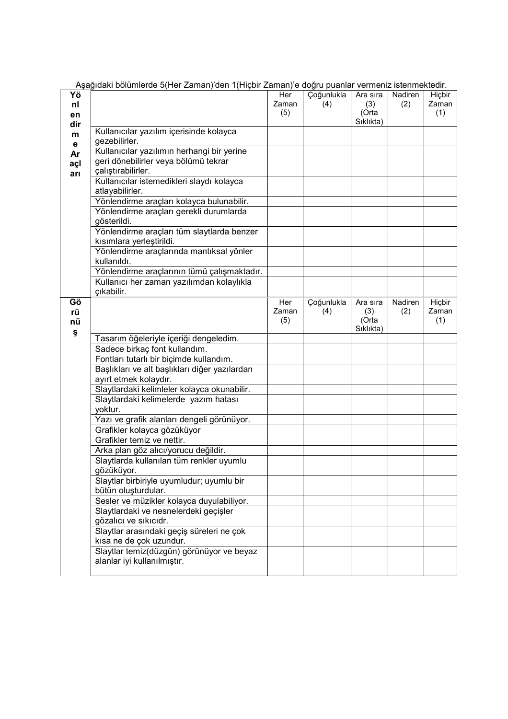|                       | Aşağıdaki bölümlerde 5(Her Zaman)'den 1(Hiçbir Zaman)'e doğru puanlar vermeniz istenmektedir.            |                     |                   |                                       |                |                        |
|-----------------------|----------------------------------------------------------------------------------------------------------|---------------------|-------------------|---------------------------------------|----------------|------------------------|
| Υö<br>nl<br>en<br>dir |                                                                                                          | Her<br>Zaman<br>(5) | Çoğunlukla<br>(4) | Ara sıra<br>(3)<br>(Orta<br>Sıklıkta) | Nadiren<br>(2) | Hiçbir<br>Zaman<br>(1) |
| m<br>е                | Kullanıcılar yazılım içerisinde kolayca<br>gezebilirler.                                                 |                     |                   |                                       |                |                        |
| Ar<br>açl<br>arı      | Kullanıcılar yazılımın herhangi bir yerine<br>geri dönebilirler veya bölümü tekrar<br>çalıştırabilirler. |                     |                   |                                       |                |                        |
|                       | Kullanıcılar istemedikleri slaydı kolayca<br>atlayabilirler.                                             |                     |                   |                                       |                |                        |
|                       | Yönlendirme araçları kolayca bulunabilir.                                                                |                     |                   |                                       |                |                        |
|                       | Yönlendirme araçları gerekli durumlarda<br>gösterildi.                                                   |                     |                   |                                       |                |                        |
|                       | Yönlendirme araçları tüm slaytlarda benzer<br>kısımlara yerleştirildi.                                   |                     |                   |                                       |                |                        |
|                       | Yönlendirme araçlarında mantıksal yönler<br>kullanıldı.                                                  |                     |                   |                                       |                |                        |
|                       | Yönlendirme araçlarının tümü çalışmaktadır.                                                              |                     |                   |                                       |                |                        |
|                       | Kullanıcı her zaman yazılımdan kolaylıkla                                                                |                     |                   |                                       |                |                        |
|                       | çıkabilir.                                                                                               |                     |                   |                                       |                |                        |
| Gö<br>rü              |                                                                                                          | Her<br>Zaman        | Çoğunlukla<br>(4) | Ara sıra<br>(3)                       | Nadiren<br>(2) | Hiçbir<br>Zaman        |
| nü                    |                                                                                                          | (5)                 |                   | (Orta                                 |                | (1)                    |
| Ş                     |                                                                                                          |                     |                   | Sıklıkta)                             |                |                        |
|                       | Tasarım öğeleriyle içeriği dengeledim.                                                                   |                     |                   |                                       |                |                        |
|                       | Sadece birkaç font kullandım.                                                                            |                     |                   |                                       |                |                        |
|                       | Fontları tutarlı bir biçimde kullandım.                                                                  |                     |                   |                                       |                |                        |
|                       | Başlıkları ve alt başlıkları diğer yazılardan                                                            |                     |                   |                                       |                |                        |
|                       | ayırt etmek kolaydır.                                                                                    |                     |                   |                                       |                |                        |
|                       | Slaytlardaki kelimleler kolayca okunabilir.<br>Slaytlardaki kelimelerde yazım hatası                     |                     |                   |                                       |                |                        |
|                       | yoktur.                                                                                                  |                     |                   |                                       |                |                        |
|                       | Yazı ve grafik alanları dengeli görünüyor.                                                               |                     |                   |                                       |                |                        |
|                       | Grafikler kolayca gözüküyor<br>Grafikler temiz ve nettir.                                                |                     |                   |                                       |                |                        |
|                       |                                                                                                          |                     |                   |                                       |                |                        |
|                       | Arka plan göz alıcı/yorucu değildir.<br>Slaytlarda kullanılan tüm renkler uyumlu                         |                     |                   |                                       |                |                        |
|                       | gözüküyor.                                                                                               |                     |                   |                                       |                |                        |
|                       | Slaytlar birbiriyle uyumludur; uyumlu bir                                                                |                     |                   |                                       |                |                        |
|                       | bütün oluşturdular.                                                                                      |                     |                   |                                       |                |                        |
|                       | Sesler ve müzikler kolayca duyulabiliyor.                                                                |                     |                   |                                       |                |                        |
|                       | Slaytlardaki ve nesnelerdeki geçişler                                                                    |                     |                   |                                       |                |                        |
|                       | gözalıcı ve sıkıcıdr.                                                                                    |                     |                   |                                       |                |                        |
|                       | Slaytlar arasındaki geçiş süreleri ne çok                                                                |                     |                   |                                       |                |                        |
|                       | kisa ne de çok uzundur.                                                                                  |                     |                   |                                       |                |                        |
|                       | Slaytlar temiz(düzgün) görünüyor ve beyaz<br>alanlar iyi kullanılmıştır.                                 |                     |                   |                                       |                |                        |
|                       |                                                                                                          |                     |                   |                                       |                |                        |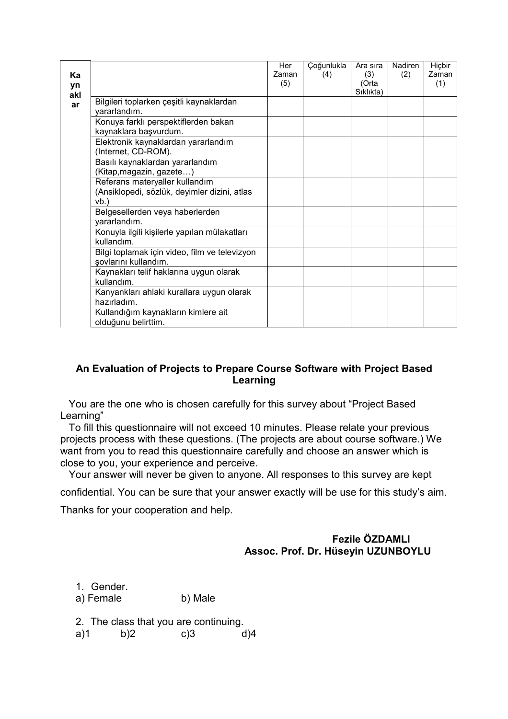|           |                                                            | Her   | Çoğunlukla | Ara sıra           | Nadiren | Hiçbir |
|-----------|------------------------------------------------------------|-------|------------|--------------------|---------|--------|
| Ka        |                                                            | Zaman | (4)        | (3)                | (2)     | Zaman  |
| yn<br>akl |                                                            | (5)   |            | (Orta<br>Siklikta) |         | (1)    |
| ar        | Bilgileri toplarken çeşitli kaynaklardan                   |       |            |                    |         |        |
|           | yararlandım.                                               |       |            |                    |         |        |
|           | Konuya farklı perspektiflerden bakan                       |       |            |                    |         |        |
|           | kaynaklara başvurdum.                                      |       |            |                    |         |        |
|           | Elektronik kaynaklardan yararlandım                        |       |            |                    |         |        |
|           | (Internet, CD-ROM).                                        |       |            |                    |         |        |
|           | Basılı kaynaklardan yararlandım                            |       |            |                    |         |        |
|           | (Kitap, magazin, gazete)                                   |       |            |                    |         |        |
|           | Referans materyaller kullandım                             |       |            |                    |         |        |
|           | (Ansiklopedi, sözlük, deyimler dizini, atlas               |       |            |                    |         |        |
|           | vb.                                                        |       |            |                    |         |        |
|           | Belgesellerden veya haberlerden                            |       |            |                    |         |        |
|           | yararlandım.                                               |       |            |                    |         |        |
|           | Konuyla ilgili kişilerle yapılan mülakatları<br>kullandım. |       |            |                    |         |        |
|           | Bilgi toplamak için video, film ve televizyon              |       |            |                    |         |        |
|           | şovlarını kullandım.                                       |       |            |                    |         |        |
|           | Kaynakları telif haklarına uygun olarak                    |       |            |                    |         |        |
|           | kullandım.                                                 |       |            |                    |         |        |
|           | Kanyankları ahlaki kurallara uygun olarak                  |       |            |                    |         |        |
|           | hazırladım.                                                |       |            |                    |         |        |
|           | Kullandığım kaynakların kimlere ait                        |       |            |                    |         |        |
|           | olduğunu belirttim.                                        |       |            |                    |         |        |

## An Evaluation of Projects to Prepare Course Software with Project Based Learning

 You are the one who is chosen carefully for this survey about "Project Based Learning"

 To fill this questionnaire will not exceed 10 minutes. Please relate your previous projects process with these questions. (The projects are about course software.) We want from you to read this questionnaire carefully and choose an answer which is close to you, your experience and perceive.

Your answer will never be given to anyone. All responses to this survey are kept

confidential. You can be sure that your answer exactly will be use for this study's aim.

Thanks for your cooperation and help.

## Fezile ÖZDAMLI Assoc. Prof. Dr. Hüseyin UZUNBOYLU

1. Gender. a) Female b) Male

2. The class that you are continuing.

a)1 b)2 c)3 d)4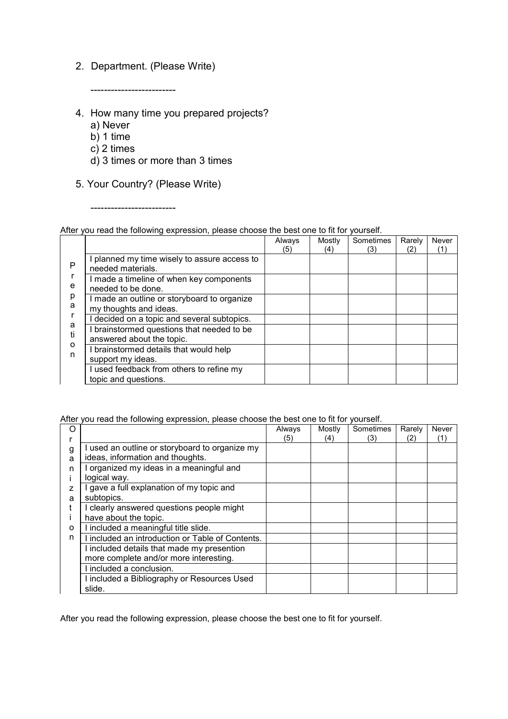## 2. Department. (Please Write)

-------------------------

- 4. How many time you prepared projects?
	- a) Never
	- b) 1 time
	- c) 2 times
	- d) 3 times or more than 3 times
- 5. Your Country? (Please Write)

-------------------------

### After you read the following expression, please choose the best one to fit for yourself.

|                                       |                                                                         | Always<br>(5) | Mostly<br>(4) | Sometimes<br>(3) | Rarely<br>(2) | Never<br>(1) |
|---------------------------------------|-------------------------------------------------------------------------|---------------|---------------|------------------|---------------|--------------|
| P<br>e<br>p<br>a<br>a<br>ti<br>O<br>n | I planned my time wisely to assure access to<br>needed materials.       |               |               |                  |               |              |
|                                       | I made a timeline of when key components<br>needed to be done.          |               |               |                  |               |              |
|                                       | I made an outline or storyboard to organize<br>my thoughts and ideas.   |               |               |                  |               |              |
|                                       | decided on a topic and several subtopics.                               |               |               |                  |               |              |
|                                       | I brainstormed questions that needed to be<br>answered about the topic. |               |               |                  |               |              |
|                                       | I brainstormed details that would help<br>support my ideas.             |               |               |                  |               |              |
|                                       | I used feedback from others to refine my<br>topic and questions.        |               |               |                  |               |              |

#### After you read the following expression, please choose the best one to fit for yourself.

| ∩ |                                                  | Always | Mostly | Sometimes | Rarely | Never |
|---|--------------------------------------------------|--------|--------|-----------|--------|-------|
|   |                                                  | (5)    | (4)    | (3)       | (2)    | (1)   |
| g | used an outline or storyboard to organize my     |        |        |           |        |       |
| a | ideas, information and thoughts.                 |        |        |           |        |       |
| n | I organized my ideas in a meaningful and         |        |        |           |        |       |
|   | logical way.                                     |        |        |           |        |       |
|   | I gave a full explanation of my topic and        |        |        |           |        |       |
| a | subtopics.                                       |        |        |           |        |       |
|   | I clearly answered questions people might        |        |        |           |        |       |
|   | have about the topic.                            |        |        |           |        |       |
| o | I included a meaningful title slide.             |        |        |           |        |       |
| n | I included an introduction or Table of Contents. |        |        |           |        |       |
|   | I included details that made my presention       |        |        |           |        |       |
|   | more complete and/or more interesting.           |        |        |           |        |       |
|   | I included a conclusion.                         |        |        |           |        |       |
|   | I included a Bibliography or Resources Used      |        |        |           |        |       |
|   | slide.                                           |        |        |           |        |       |

After you read the following expression, please choose the best one to fit for yourself.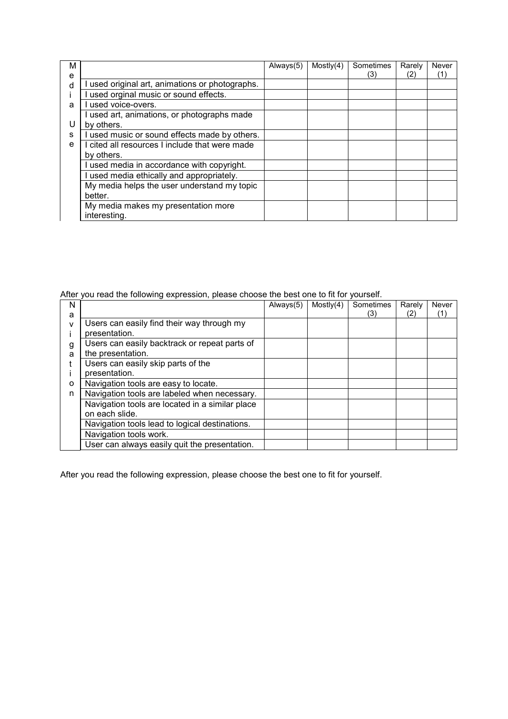| м |                                                           | Always(5) | Mostly(4) | Sometimes | Rarely | Never |
|---|-----------------------------------------------------------|-----------|-----------|-----------|--------|-------|
| e |                                                           |           |           | (3)       | (2)    | (1'   |
| d | used original art, animations or photographs.             |           |           |           |        |       |
|   | used orginal music or sound effects.                      |           |           |           |        |       |
| a | used voice-overs.                                         |           |           |           |        |       |
| U | I used art, animations, or photographs made<br>by others. |           |           |           |        |       |
| s | I used music or sound effects made by others.             |           |           |           |        |       |
| e | I cited all resources I include that were made            |           |           |           |        |       |
|   | by others.                                                |           |           |           |        |       |
|   | I used media in accordance with copyright.                |           |           |           |        |       |
|   | I used media ethically and appropriately.                 |           |           |           |        |       |
|   | My media helps the user understand my topic               |           |           |           |        |       |
|   | better.                                                   |           |           |           |        |       |
|   | My media makes my presentation more<br>interesting.       |           |           |           |        |       |

After you read the following expression, please choose the best one to fit for yourself.

| N |                                                 | Always(5) | Mostly(4) | Sometimes | Rarely | Never |
|---|-------------------------------------------------|-----------|-----------|-----------|--------|-------|
| а |                                                 |           |           | (3)       | (2)    | (1)   |
| v | Users can easily find their way through my      |           |           |           |        |       |
|   | presentation.                                   |           |           |           |        |       |
| g | Users can easily backtrack or repeat parts of   |           |           |           |        |       |
| a | the presentation.                               |           |           |           |        |       |
|   | Users can easily skip parts of the              |           |           |           |        |       |
|   | presentation.                                   |           |           |           |        |       |
| o | Navigation tools are easy to locate.            |           |           |           |        |       |
| n | Navigation tools are labeled when necessary.    |           |           |           |        |       |
|   | Navigation tools are located in a similar place |           |           |           |        |       |
|   | on each slide.                                  |           |           |           |        |       |
|   | Navigation tools lead to logical destinations.  |           |           |           |        |       |
|   | Navigation tools work.                          |           |           |           |        |       |
|   | User can always easily quit the presentation.   |           |           |           |        |       |

After you read the following expression, please choose the best one to fit for yourself.